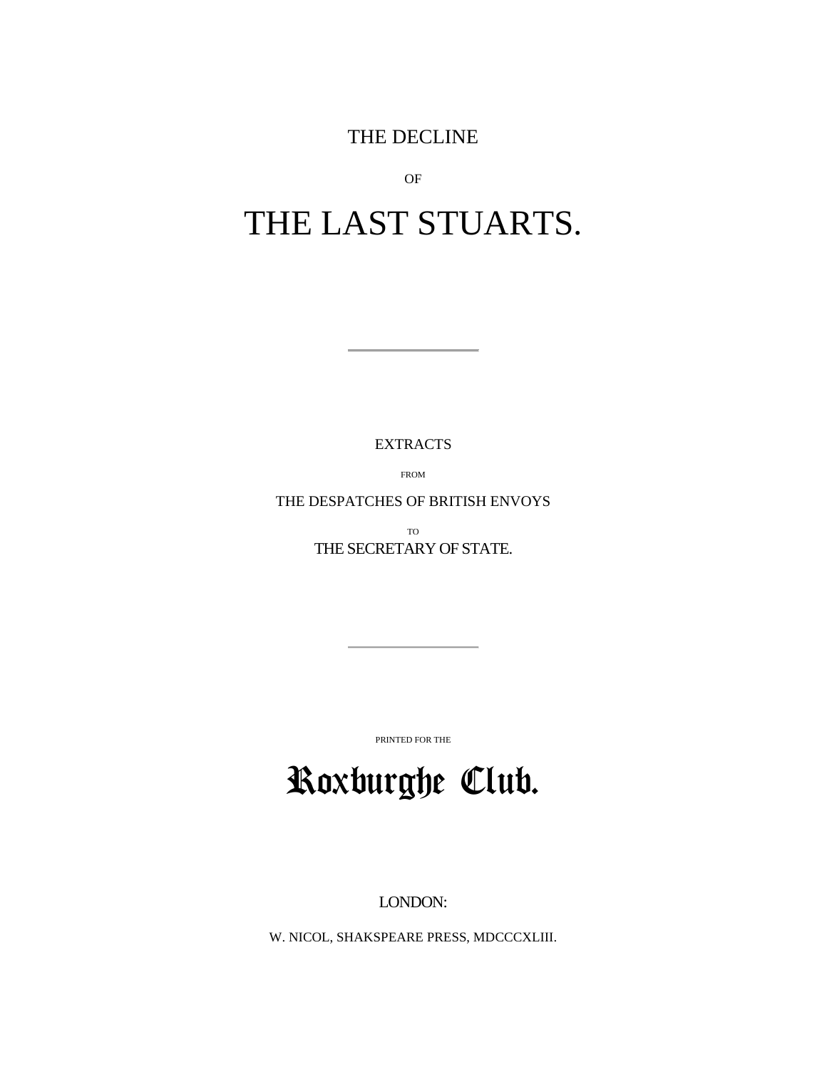THE DECLINE

OF

# THE LAST STUARTS.

EXTRACTS

FROM

THE DESPATCHES OF BRITISH ENVOYS

TO THE SECRETARY OF STATE.

PRINTED FOR THE

# Roxburghe Club.

LONDON:

W. NICOL, SHAKSPEARE PRESS, MDCCCXLIII.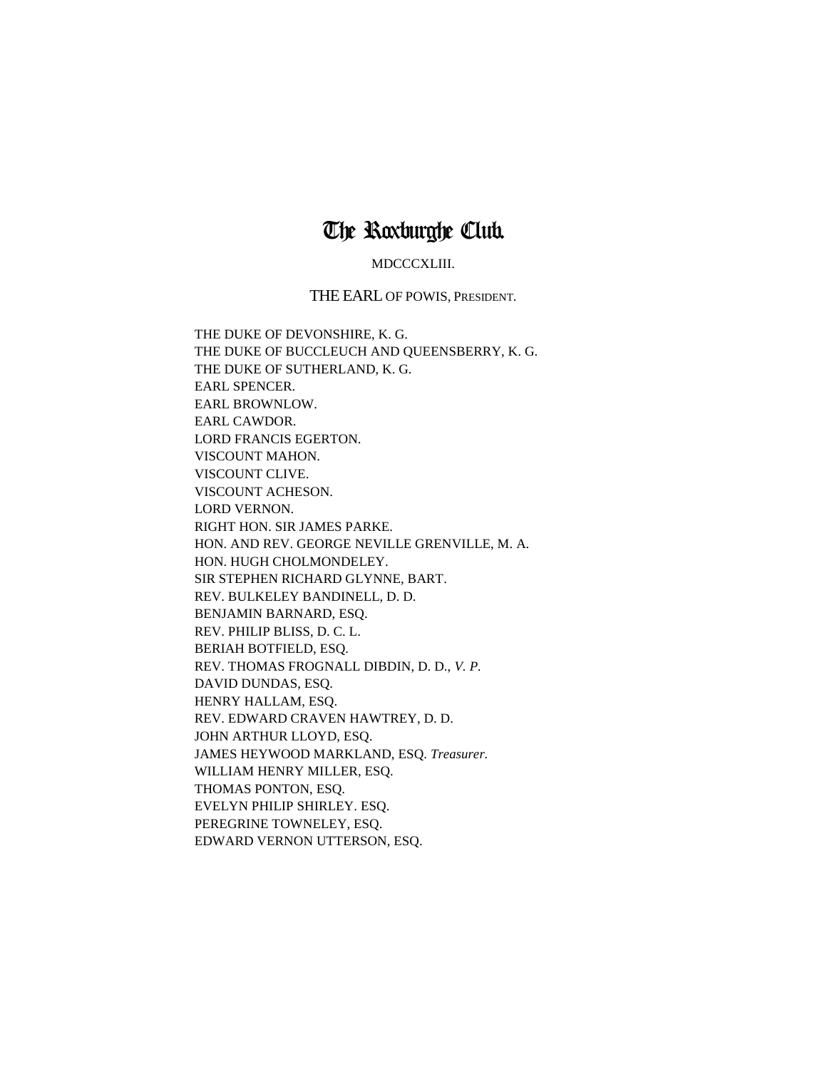### The Roxburghe Club.

#### MDCCCXLIII.

#### THE EARL OF POWIS, PRESIDENT.

THE DUKE OF DEVONSHIRE, K. G. THE DUKE OF BUCCLEUCH AND QUEENSBERRY, K. G. THE DUKE OF SUTHERLAND, K. G. EARL SPENCER. EARL BROWNLOW. EARL CAWDOR. LORD FRANCIS EGERTON. VISCOUNT MAHON. VISCOUNT CLIVE. VISCOUNT ACHESON. LORD VERNON. RIGHT HON. SIR JAMES PARKE. HON. AND REV. GEORGE NEVILLE GRENVILLE, M. A. HON. HUGH CHOLMONDELEY. SIR STEPHEN RICHARD GLYNNE, BART. REV. BULKELEY BANDINELL, D. D. BENJAMIN BARNARD, ESQ. REV. PHILIP BLISS, D. C. L. BERIAH BOTFIELD, ESQ. REV. THOMAS FROGNALL DIBDIN, D. D., *V. P.* DAVID DUNDAS, ESQ. HENRY HALLAM, ESQ. REV. EDWARD CRAVEN HAWTREY, D. D. JOHN ARTHUR LLOYD, ESQ. JAMES HEYWOOD MARKLAND, ESQ. *Treasurer.* WILLIAM HENRY MILLER, ESQ. THOMAS PONTON, ESQ. EVELYN PHILIP SHIRLEY. ESQ. PEREGRINE TOWNELEY, ESQ. EDWARD VERNON UTTERSON, ESQ.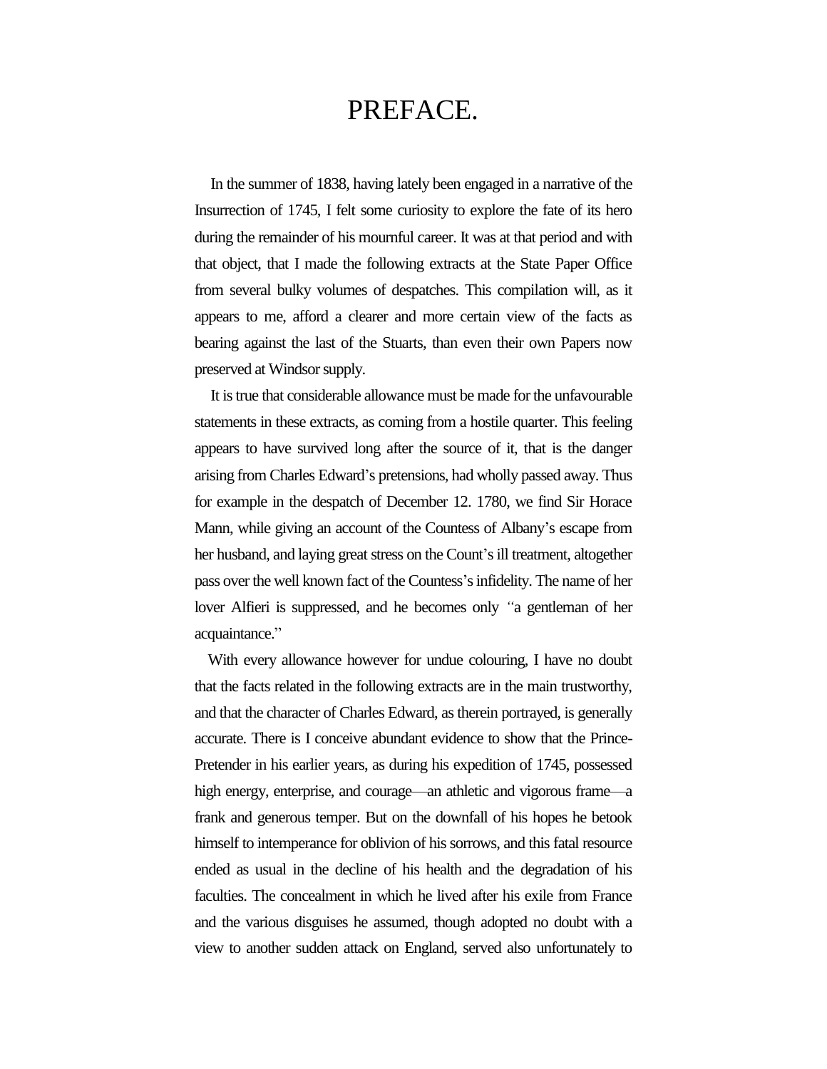## PREFACE.

In the summer of 1838, having lately been engaged in a narrative of the Insurrection of 1745, I felt some curiosity to explore the fate of its hero during the remainder of his mournful career. It was at that period and with that object, that I made the following extracts at the State Paper Office from several bulky volumes of despatches. This compilation will, as it appears to me, afford a clearer and more certain view of the facts as bearing against the last of the Stuarts, than even their own Papers now preserved at Windsor supply.

It is true that considerable allowance must be made for the unfavourable statements in these extracts, as coming from a hostile quarter. This feeling appears to have survived long after the source of it, that is the danger arising from Charles Edward's pretensions, had wholly passed away. Thus for example in the despatch of December 12. 1780, we find Sir Horace Mann, while giving an account of the Countess of Albany's escape from her husband, and laying great stress on the Count's ill treatment, altogether pass over the well known fact of the Countess's infidelity. The name of her lover Alfieri is suppressed, and he becomes only *"*a gentleman of her acquaintance."

With every allowance however for undue colouring, I have no doubt that the facts related in the following extracts are in the main trustworthy, and that the character of Charles Edward, as therein portrayed, is generally accurate. There is I conceive abundant evidence to show that the Prince-Pretender in his earlier years, as during his expedition of 1745, possessed high energy, enterprise, and courage—an athletic and vigorous frame—a frank and generous temper. But on the downfall of his hopes he betook himself to intemperance for oblivion of his sorrows, and this fatal resource ended as usual in the decline of his health and the degradation of his faculties. The concealment in which he lived after his exile from France and the various disguises he assumed, though adopted no doubt with a view to another sudden attack on England, served also unfortunately to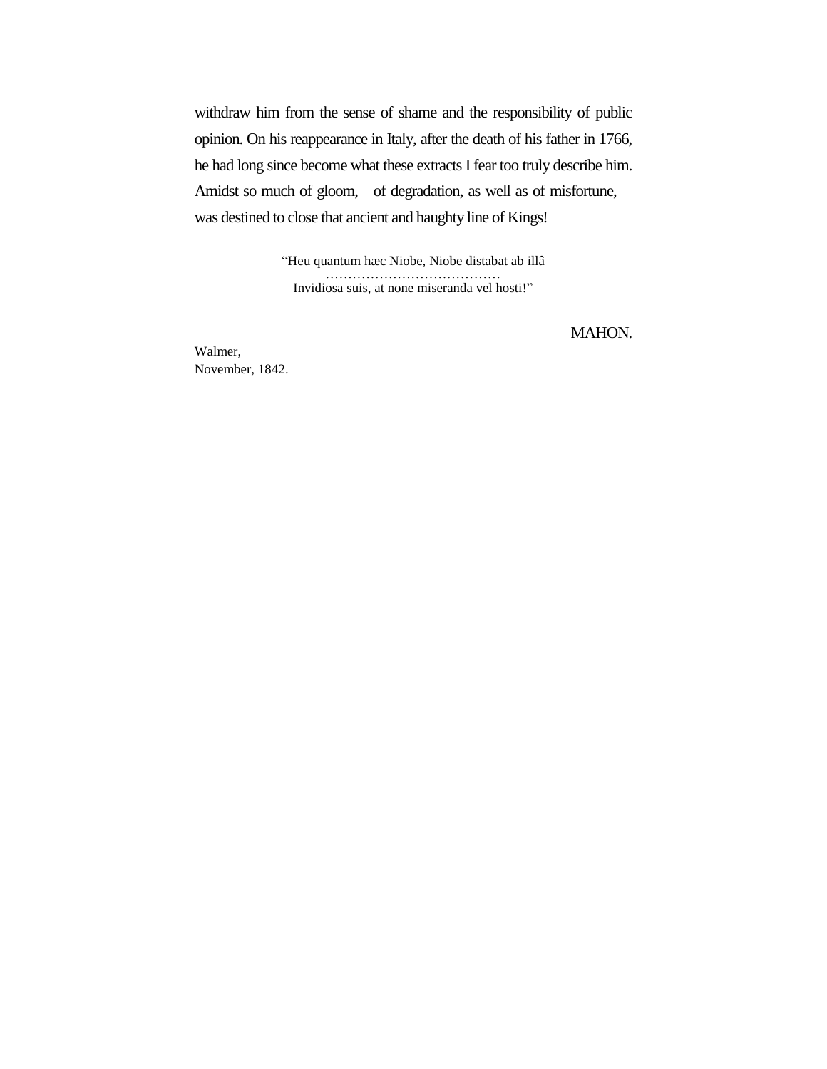withdraw him from the sense of shame and the responsibility of public opinion. On his reappearance in Italy, after the death of his father in 1766, he had long since become what these extracts I fear too truly describe him. Amidst so much of gloom,—of degradation, as well as of misfortune, was destined to close that ancient and haughty line of Kings!

> "Heu quantum hæc Niobe, Niobe distabat ab illâ ………………………………… Invidiosa suis, at none miseranda vel hosti!"

> > MAHON.

Walmer, November, 1842.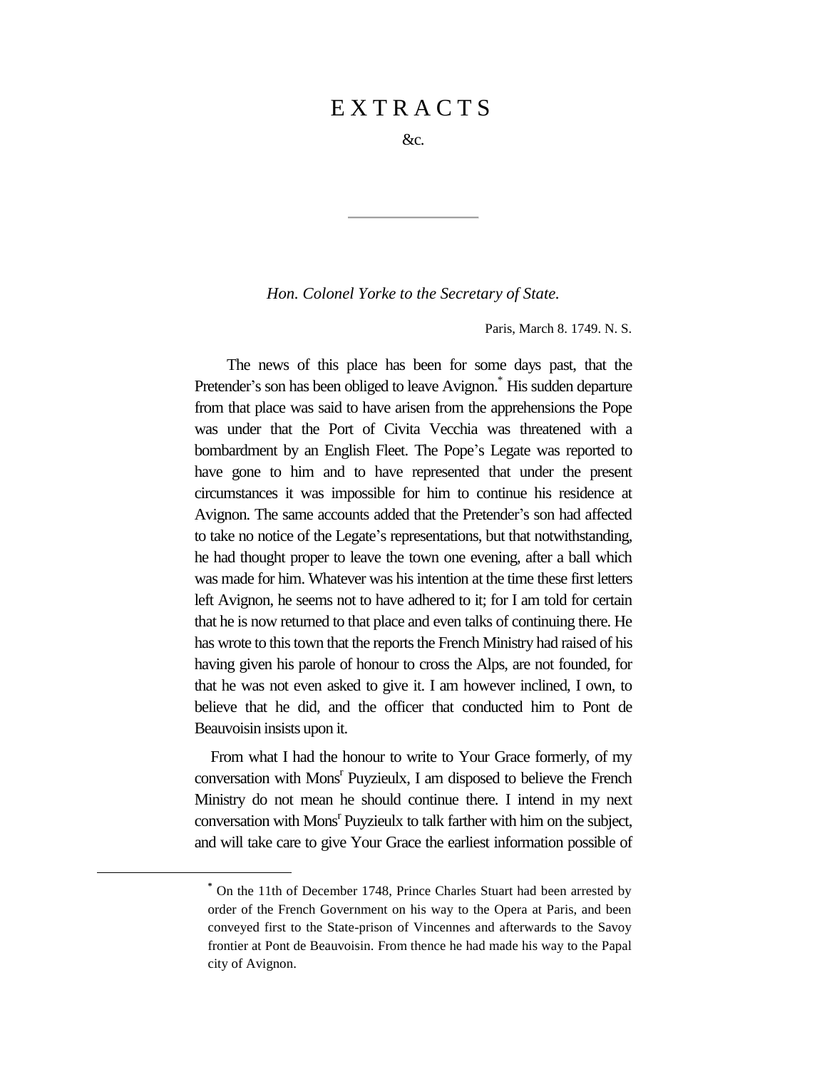### E X T R A C T S

&c.

*Hon. Colonel Yorke to the Secretary of State.*

Paris, March 8. 1749. N. S.

The news of this place has been for some days past, that the Pretender's son has been obliged to leave Avignon.\* His sudden departure from that place was said to have arisen from the apprehensions the Pope was under that the Port of Civita Vecchia was threatened with a bombardment by an English Fleet. The Pope's Legate was reported to have gone to him and to have represented that under the present circumstances it was impossible for him to continue his residence at Avignon. The same accounts added that the Pretender's son had affected to take no notice of the Legate's representations, but that notwithstanding, he had thought proper to leave the town one evening, after a ball which was made for him. Whatever was his intention at the time these first letters left Avignon, he seems not to have adhered to it; for I am told for certain that he is now returned to that place and even talks of continuing there. He has wrote to this town that the reports the French Ministry had raised of his having given his parole of honour to cross the Alps, are not founded, for that he was not even asked to give it. I am however inclined, I own, to believe that he did, and the officer that conducted him to Pont de Beauvoisin insists upon it.

From what I had the honour to write to Your Grace formerly, of my conversation with Mons<sup>r</sup> Puyzieulx, I am disposed to believe the French Ministry do not mean he should continue there. I intend in my next conversation with Mons<sup>r</sup> Puyzieulx to talk farther with him on the subject, and will take care to give Your Grace the earliest information possible of

**<sup>\*</sup>** On the 11th of December 1748, Prince Charles Stuart had been arrested by order of the French Government on his way to the Opera at Paris, and been conveyed first to the State-prison of Vincennes and afterwards to the Savoy frontier at Pont de Beauvoisin. From thence he had made his way to the Papal city of Avignon.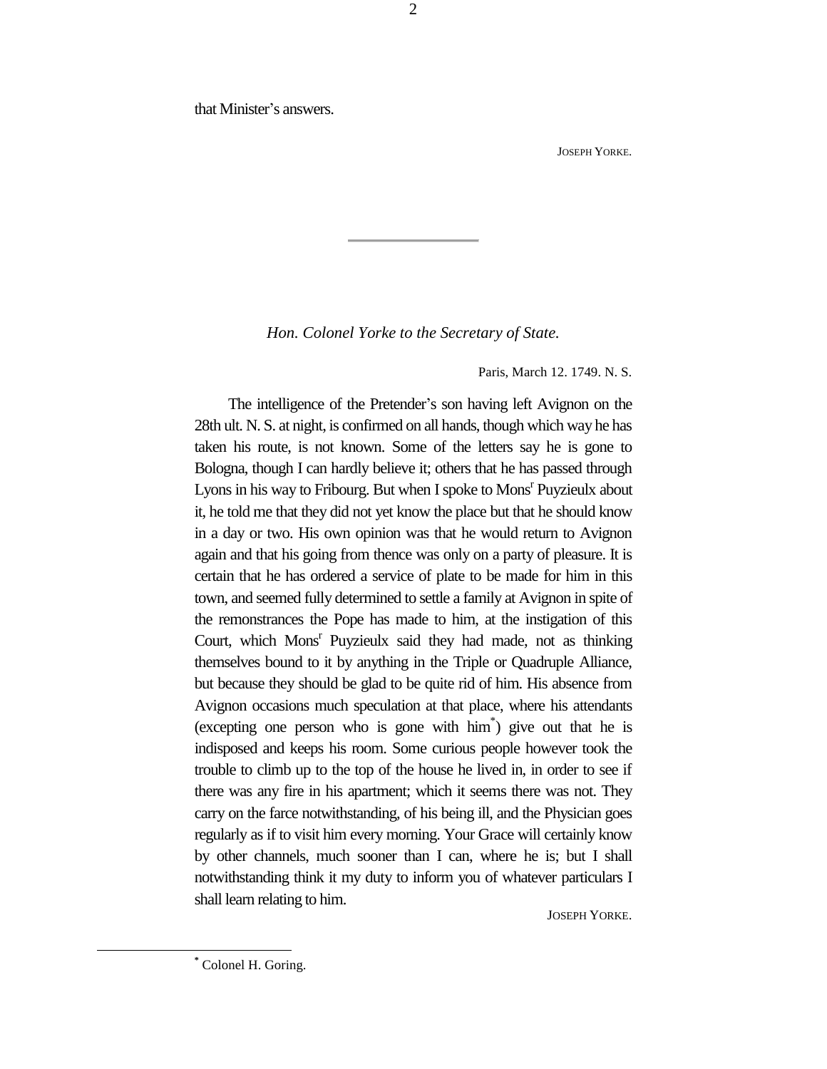that Minister's answers.

JOSEPH YORKE.

*Hon. Colonel Yorke to the Secretary of State.*

Paris, March 12. 1749. N. S.

The intelligence of the Pretender's son having left Avignon on the 28th ult. N. S. at night, is confirmed on all hands, though which way he has taken his route, is not known. Some of the letters say he is gone to Bologna, though I can hardly believe it; others that he has passed through Lyons in his way to Fribourg. But when I spoke to Mons<sup>r</sup> Puyzieulx about it, he told me that they did not yet know the place but that he should know in a day or two. His own opinion was that he would return to Avignon again and that his going from thence was only on a party of pleasure. It is certain that he has ordered a service of plate to be made for him in this town, and seemed fully determined to settle a family at Avignon in spite of the remonstrances the Pope has made to him, at the instigation of this Court, which Mons<sup>r</sup> Puyzieulx said they had made, not as thinking themselves bound to it by anything in the Triple or Quadruple Alliance, but because they should be glad to be quite rid of him. His absence from Avignon occasions much speculation at that place, where his attendants (excepting one person who is gone with him\* ) give out that he is indisposed and keeps his room. Some curious people however took the trouble to climb up to the top of the house he lived in, in order to see if there was any fire in his apartment; which it seems there was not. They carry on the farce notwithstanding, of his being ill, and the Physician goes regularly as if to visit him every morning. Your Grace will certainly know by other channels, much sooner than I can, where he is; but I shall notwithstanding think it my duty to inform you of whatever particulars I shall learn relating to him.

JOSEPH YORKE.

2

**<sup>\*</sup>** Colonel H. Goring.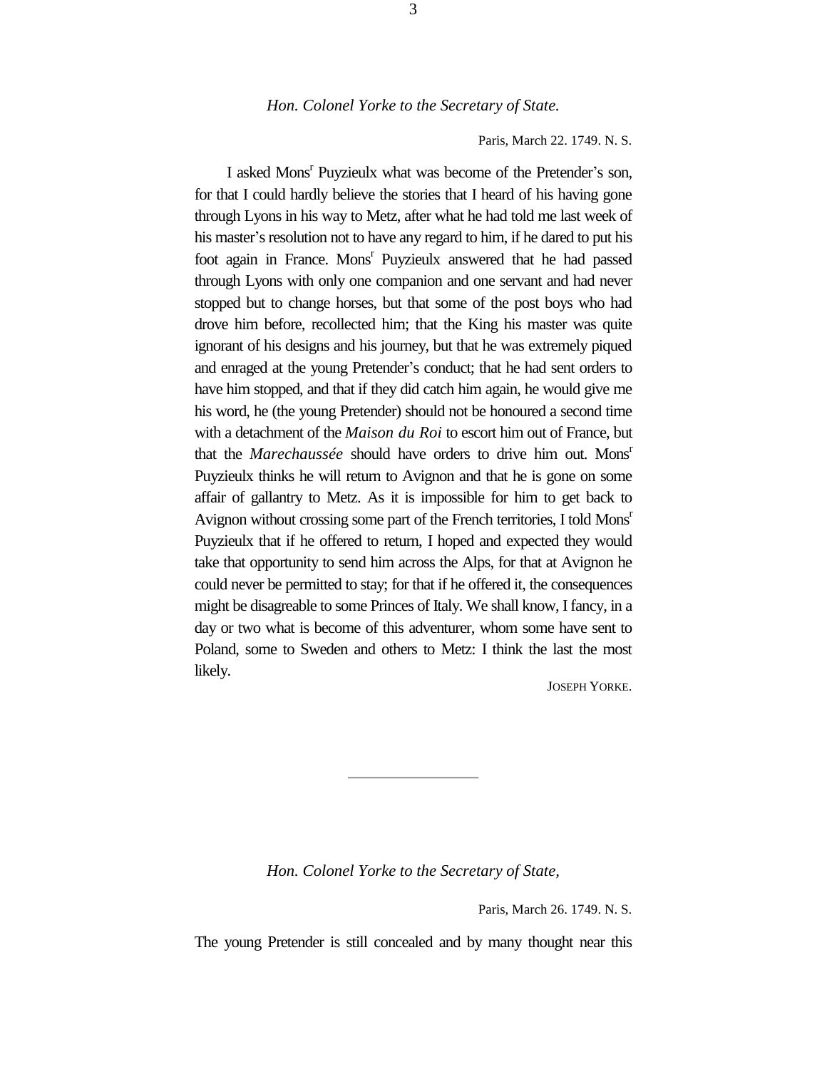#### *Hon. Colonel Yorke to the Secretary of State.*

Paris, March 22. 1749. N. S.

I asked Mons<sup>r</sup> Puyzieulx what was become of the Pretender's son, for that I could hardly believe the stories that I heard of his having gone through Lyons in his way to Metz, after what he had told me last week of his master's resolution not to have any regard to him, if he dared to put his foot again in France. Mons<sup>r</sup> Puyzieulx answered that he had passed through Lyons with only one companion and one servant and had never stopped but to change horses, but that some of the post boys who had drove him before, recollected him; that the King his master was quite ignorant of his designs and his journey, but that he was extremely piqued and enraged at the young Pretender's conduct; that he had sent orders to have him stopped, and that if they did catch him again, he would give me his word, he (the young Pretender) should not be honoured a second time with a detachment of the *Maison du Roi* to escort him out of France, but that the *Marechaussée* should have orders to drive him out. Mons<sup>r</sup> Puyzieulx thinks he will return to Avignon and that he is gone on some affair of gallantry to Metz. As it is impossible for him to get back to Avignon without crossing some part of the French territories, I told Mons<sup>r</sup> Puyzieulx that if he offered to return, I hoped and expected they would take that opportunity to send him across the Alps, for that at Avignon he could never be permitted to stay; for that if he offered it, the consequences might be disagreable to some Princes of Italy. We shall know, I fancy, in a day or two what is become of this adventurer, whom some have sent to Poland, some to Sweden and others to Metz: I think the last the most likely.

JOSEPH YORKE.

*Hon. Colonel Yorke to the Secretary of State,*

Paris, March 26. 1749. N. S.

The young Pretender is still concealed and by many thought near this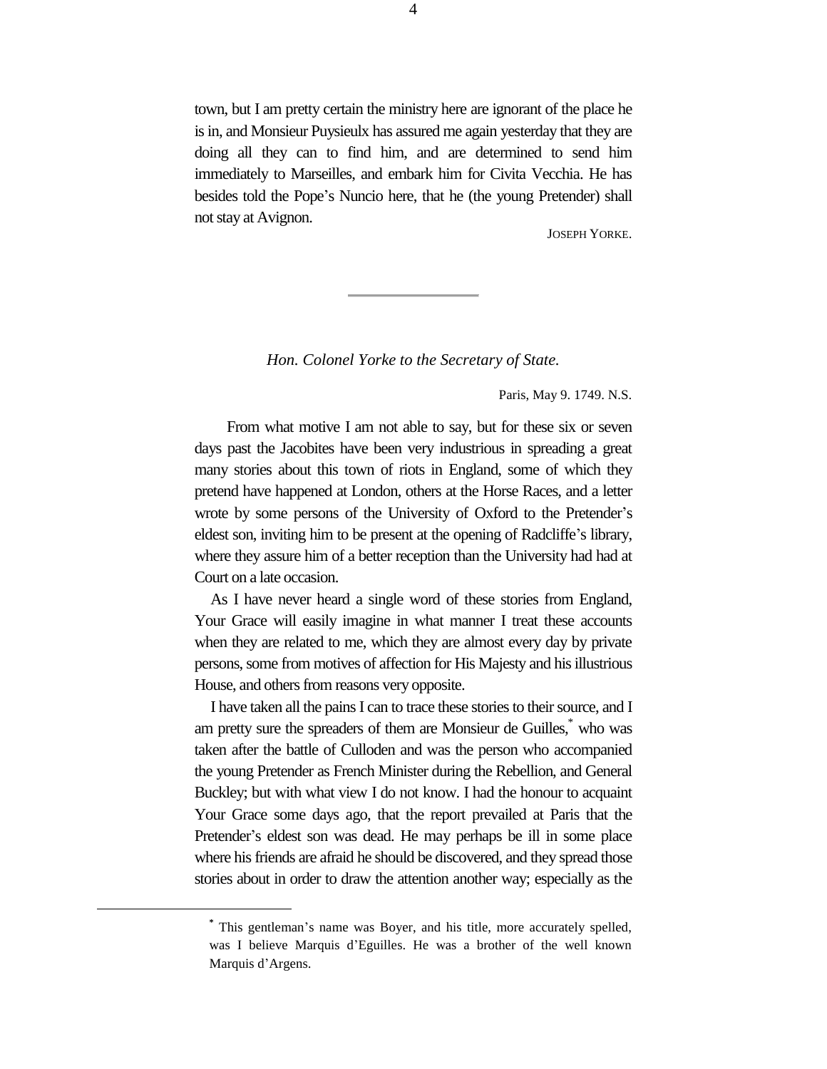town, but I am pretty certain the ministry here are ignorant of the place he is in, and Monsieur Puysieulx has assured me again yesterday that they are doing all they can to find him, and are determined to send him immediately to Marseilles, and embark him for Civita Vecchia. He has besides told the Pope's Nuncio here, that he (the young Pretender) shall not stay at Avignon.

JOSEPH YORKE.

*Hon. Colonel Yorke to the Secretary of State.*

Paris, May 9. 1749. N.S.

From what motive I am not able to say, but for these six or seven days past the Jacobites have been very industrious in spreading a great many stories about this town of riots in England, some of which they pretend have happened at London, others at the Horse Races, and a letter wrote by some persons of the University of Oxford to the Pretender's eldest son, inviting him to be present at the opening of Radcliffe's library, where they assure him of a better reception than the University had had at Court on a late occasion.

As I have never heard a single word of these stories from England, Your Grace will easily imagine in what manner I treat these accounts when they are related to me, which they are almost every day by private persons, some from motives of affection for His Majesty and his illustrious House, and others from reasons very opposite.

I have taken all the pains I can to trace these stories to their source, and I am pretty sure the spreaders of them are Monsieur de Guilles,\* who was taken after the battle of Culloden and was the person who accompanied the young Pretender as French Minister during the Rebellion, and General Buckley; but with what view I do not know. I had the honour to acquaint Your Grace some days ago, that the report prevailed at Paris that the Pretender's eldest son was dead. He may perhaps be ill in some place where his friends are afraid he should be discovered, and they spread those stories about in order to draw the attention another way; especially as the

**<sup>\*</sup>** This gentleman's name was Boyer, and his title, more accurately spelled, was I believe Marquis d'Eguilles. He was a brother of the well known Marquis d'Argens.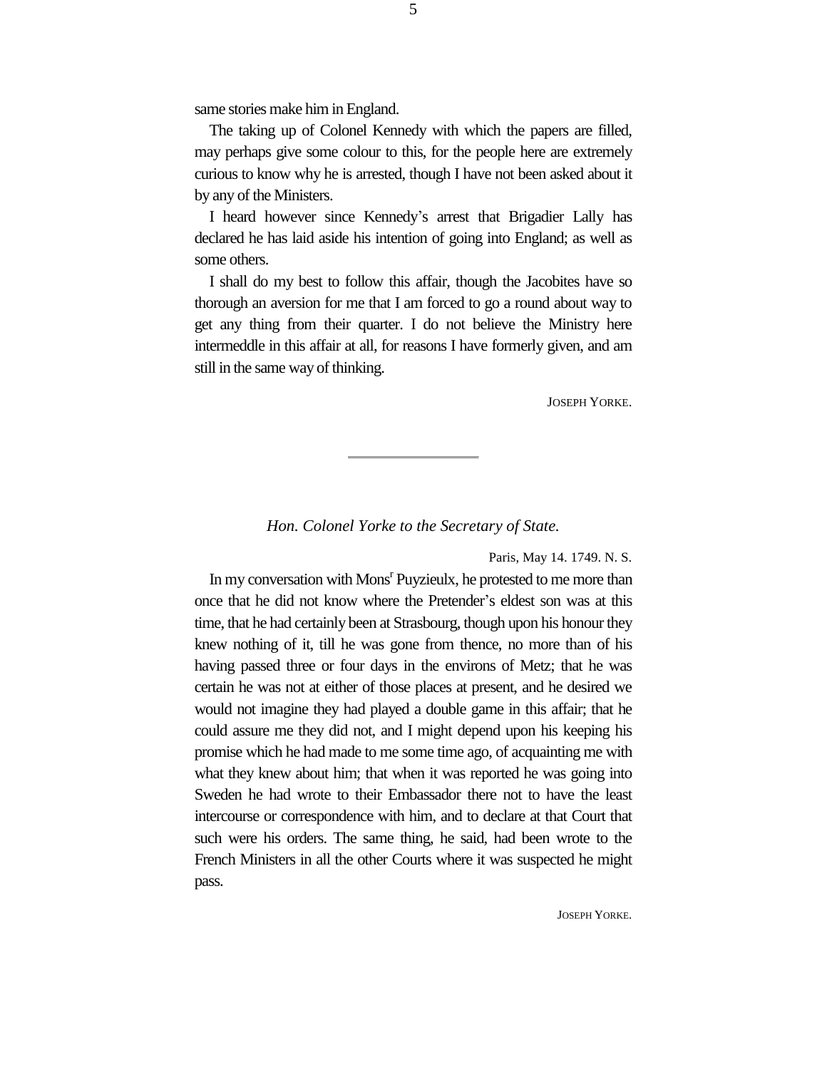same stories make him in England.

The taking up of Colonel Kennedy with which the papers are filled, may perhaps give some colour to this, for the people here are extremely curious to know why he is arrested, though I have not been asked about it by any of the Ministers.

I heard however since Kennedy's arrest that Brigadier Lally has declared he has laid aside his intention of going into England; as well as some others.

I shall do my best to follow this affair, though the Jacobites have so thorough an aversion for me that I am forced to go a round about way to get any thing from their quarter. I do not believe the Ministry here intermeddle in this affair at all, for reasons I have formerly given, and am still in the same way of thinking.

JOSEPH YORKE.

#### *Hon. Colonel Yorke to the Secretary of State.*

Paris, May 14. 1749. N. S.

In my conversation with Mons<sup>r</sup> Puyzieulx, he protested to me more than once that he did not know where the Pretender's eldest son was at this time, that he had certainly been at Strasbourg, though upon his honour they knew nothing of it, till he was gone from thence, no more than of his having passed three or four days in the environs of Metz; that he was certain he was not at either of those places at present, and he desired we would not imagine they had played a double game in this affair; that he could assure me they did not, and I might depend upon his keeping his promise which he had made to me some time ago, of acquainting me with what they knew about him; that when it was reported he was going into Sweden he had wrote to their Embassador there not to have the least intercourse or correspondence with him, and to declare at that Court that such were his orders. The same thing, he said, had been wrote to the French Ministers in all the other Courts where it was suspected he might pass.

5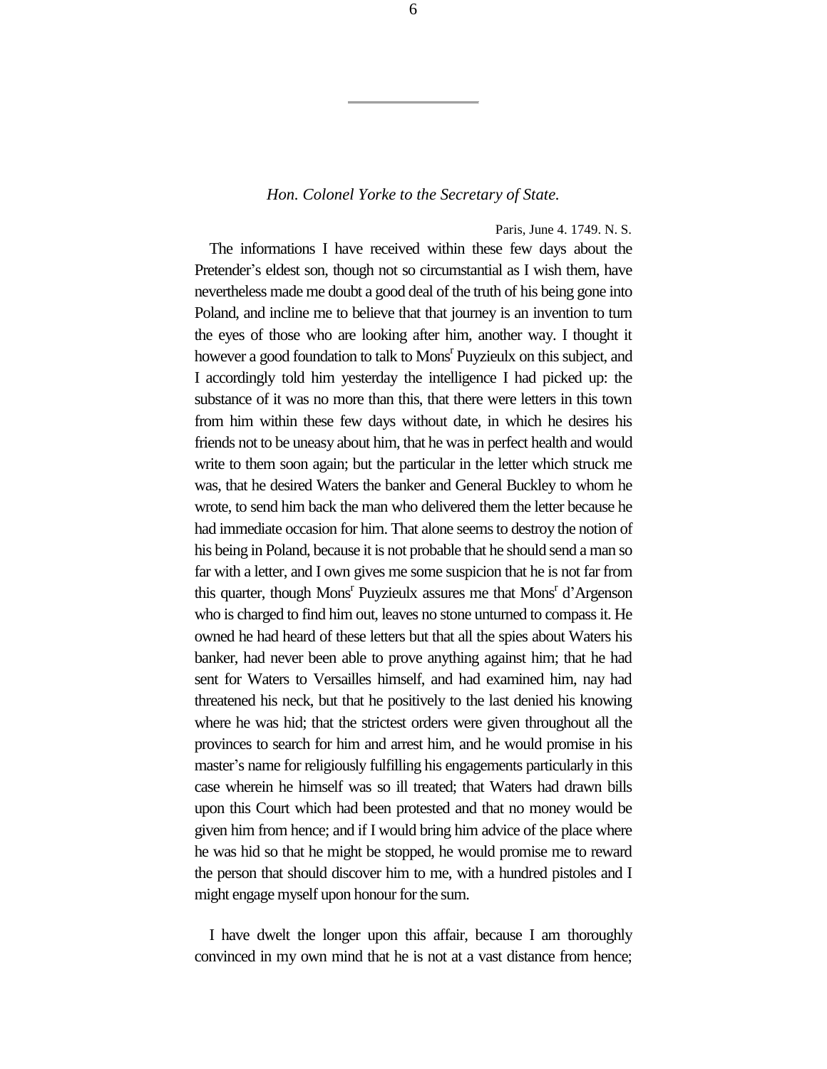#### *Hon. Colonel Yorke to the Secretary of State.*

#### Paris, June 4. 1749. N. S.

The informations I have received within these few days about the Pretender's eldest son, though not so circumstantial as I wish them, have nevertheless made me doubt a good deal of the truth of his being gone into Poland, and incline me to believe that that journey is an invention to turn the eyes of those who are looking after him, another way. I thought it however a good foundation to talk to Mons<sup>r</sup> Puyzieulx on this subject, and I accordingly told him yesterday the intelligence I had picked up: the substance of it was no more than this, that there were letters in this town from him within these few days without date, in which he desires his friends not to be uneasy about him, that he was in perfect health and would write to them soon again; but the particular in the letter which struck me was, that he desired Waters the banker and General Buckley to whom he wrote, to send him back the man who delivered them the letter because he had immediate occasion for him. That alone seems to destroy the notion of his being in Poland, because it is not probable that he should send a man so far with a letter, and I own gives me some suspicion that he is not far from this quarter, though Mons<sup>r</sup> Puyzieulx assures me that Mons<sup>r</sup> d'Argenson who is charged to find him out, leaves no stone unturned to compass it. He owned he had heard of these letters but that all the spies about Waters his banker, had never been able to prove anything against him; that he had sent for Waters to Versailles himself, and had examined him, nay had threatened his neck, but that he positively to the last denied his knowing where he was hid; that the strictest orders were given throughout all the provinces to search for him and arrest him, and he would promise in his master's name for religiously fulfilling his engagements particularly in this case wherein he himself was so ill treated; that Waters had drawn bills upon this Court which had been protested and that no money would be given him from hence; and if I would bring him advice of the place where he was hid so that he might be stopped, he would promise me to reward the person that should discover him to me, with a hundred pistoles and I might engage myself upon honour for the sum.

I have dwelt the longer upon this affair, because I am thoroughly convinced in my own mind that he is not at a vast distance from hence;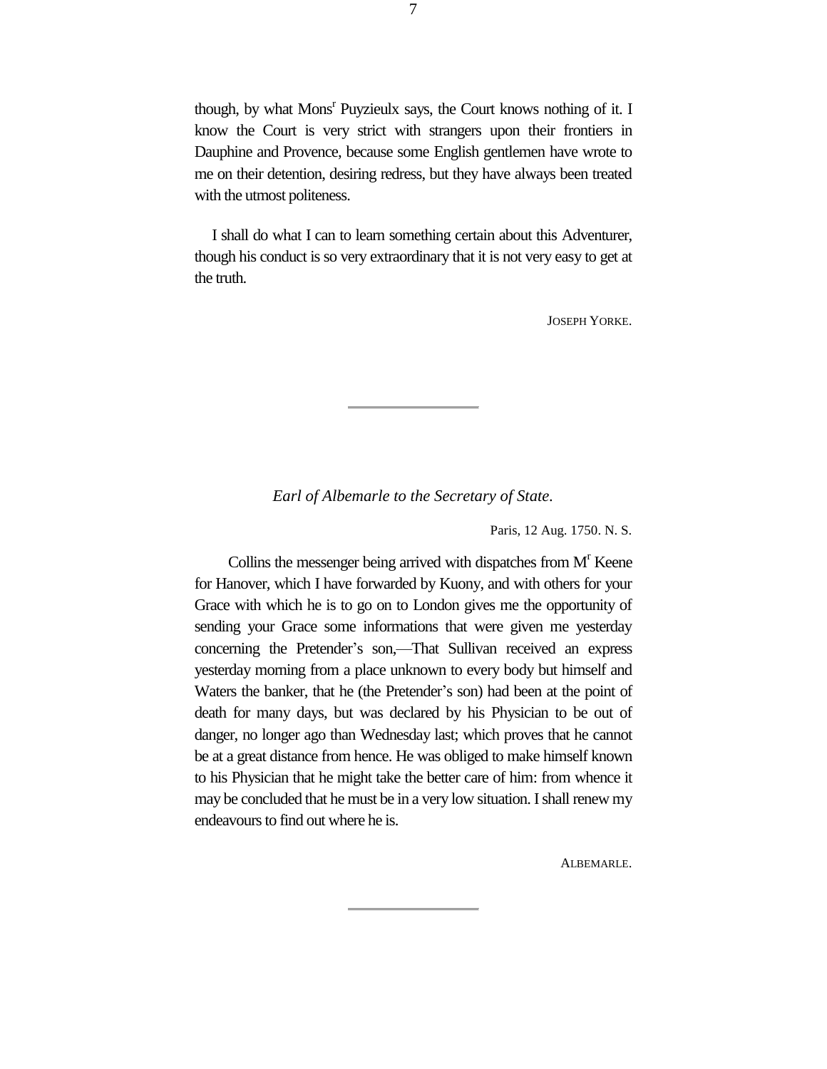though, by what Mons<sup>r</sup> Puyzieulx says, the Court knows nothing of it. I know the Court is very strict with strangers upon their frontiers in Dauphine and Provence, because some English gentlemen have wrote to me on their detention, desiring redress, but they have always been treated with the utmost politeness.

I shall do what I can to learn something certain about this Adventurer, though his conduct is so very extraordinary that it is not very easy to get at the truth.

JOSEPH YORKE.

*Earl of Albemarle to the Secretary of State.*

Paris, 12 Aug. 1750. N. S.

Collins the messenger being arrived with dispatches from  $M<sup>r</sup>$  Keene for Hanover, which I have forwarded by Kuony, and with others for your Grace with which he is to go on to London gives me the opportunity of sending your Grace some informations that were given me yesterday concerning the Pretender's son,—That Sullivan received an express yesterday morning from a place unknown to every body but himself and Waters the banker, that he (the Pretender's son) had been at the point of death for many days, but was declared by his Physician to be out of danger, no longer ago than Wednesday last; which proves that he cannot be at a great distance from hence. He was obliged to make himself known to his Physician that he might take the better care of him: from whence it may be concluded that he must be in a very low situation. I shall renew my endeavours to find out where he is.

ALBEMARLE.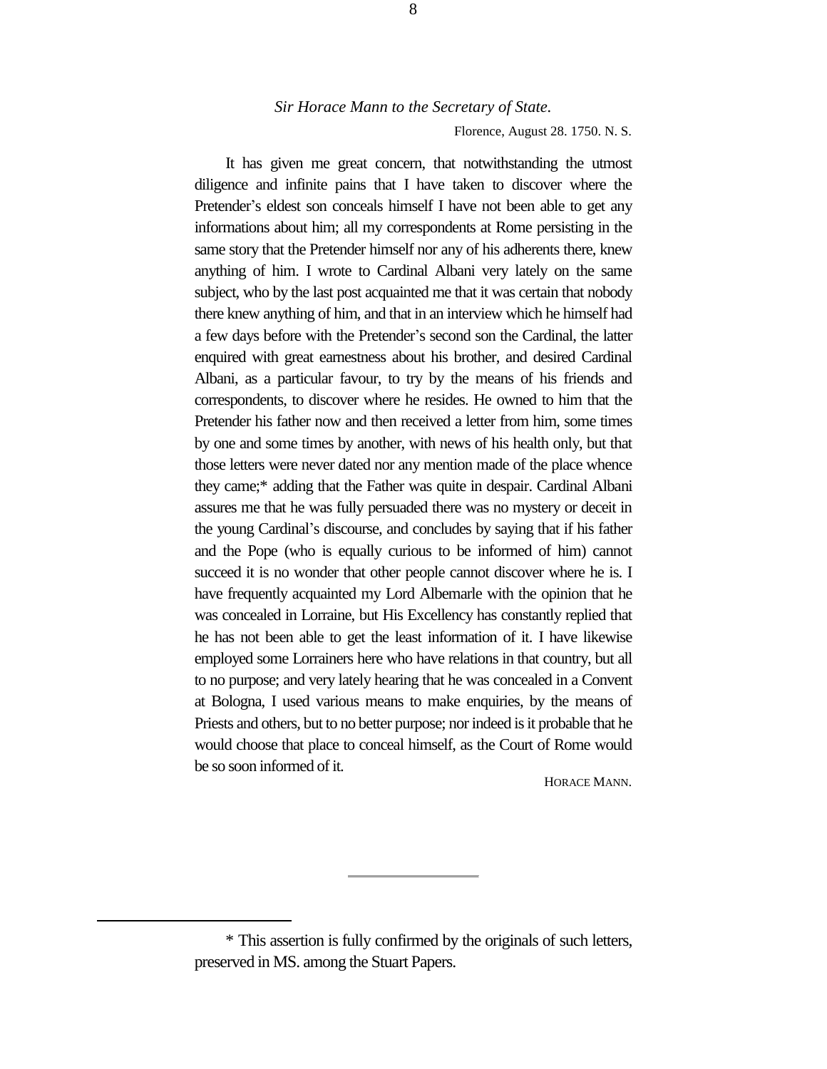Florence, August 28. 1750. N. S.

It has given me great concern, that notwithstanding the utmost diligence and infinite pains that I have taken to discover where the Pretender's eldest son conceals himself I have not been able to get any informations about him; all my correspondents at Rome persisting in the same story that the Pretender himself nor any of his adherents there, knew anything of him. I wrote to Cardinal Albani very lately on the same subject, who by the last post acquainted me that it was certain that nobody there knew anything of him, and that in an interview which he himself had a few days before with the Pretender's second son the Cardinal, the latter enquired with great earnestness about his brother, and desired Cardinal Albani, as a particular favour, to try by the means of his friends and correspondents, to discover where he resides. He owned to him that the Pretender his father now and then received a letter from him, some times by one and some times by another, with news of his health only, but that those letters were never dated nor any mention made of the place whence they came;\* adding that the Father was quite in despair. Cardinal Albani assures me that he was fully persuaded there was no mystery or deceit in the young Cardinal's discourse, and concludes by saying that if his father and the Pope (who is equally curious to be informed of him) cannot succeed it is no wonder that other people cannot discover where he is. I have frequently acquainted my Lord Albemarle with the opinion that he was concealed in Lorraine, but His Excellency has constantly replied that he has not been able to get the least information of it. I have likewise employed some Lorrainers here who have relations in that country, but all to no purpose; and very lately hearing that he was concealed in a Convent at Bologna, I used various means to make enquiries, by the means of Priests and others, but to no better purpose; nor indeed is it probable that he would choose that place to conceal himself, as the Court of Rome would be so soon informed of it.

HORACE MANN.

<sup>\*</sup> This assertion is fully confirmed by the originals of such letters, preserved in MS. among the Stuart Papers.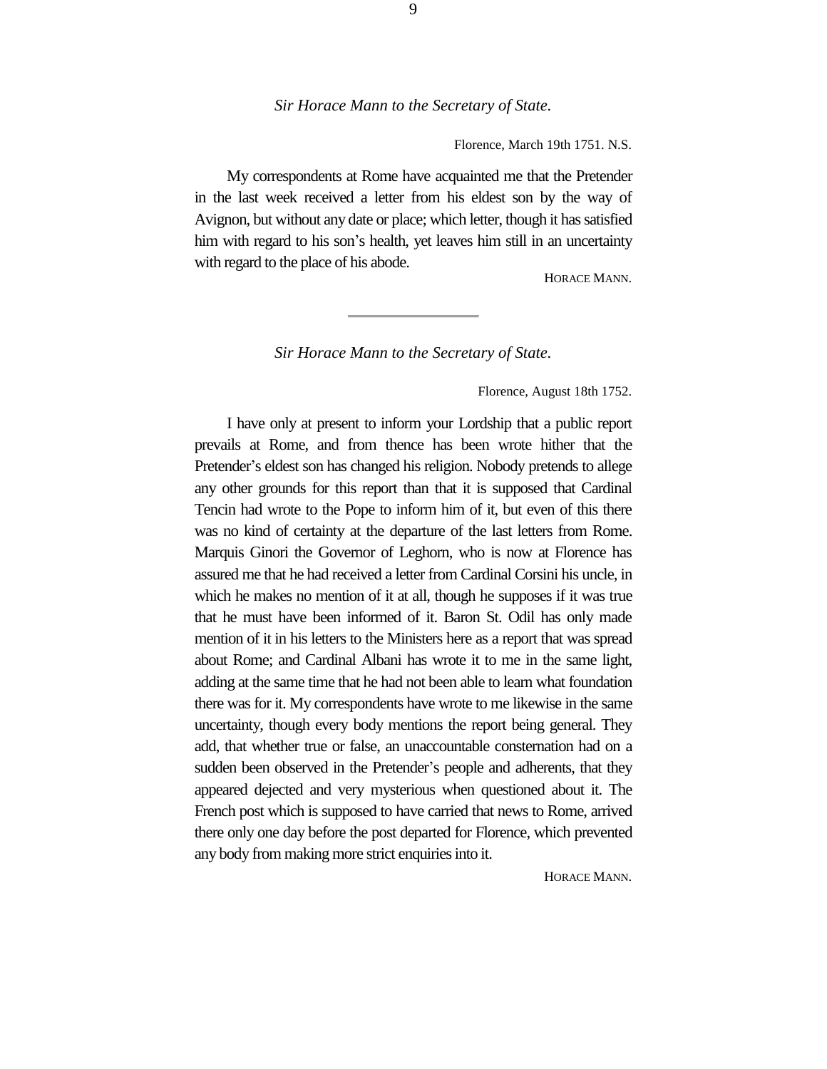Florence, March 19th 1751. N.S.

My correspondents at Rome have acquainted me that the Pretender in the last week received a letter from his eldest son by the way of Avignon, but without any date or place; which letter, though it has satisfied him with regard to his son's health, yet leaves him still in an uncertainty with regard to the place of his abode.

HORACE MANN.

*Sir Horace Mann to the Secretary of State.*

Florence, August 18th 1752.

I have only at present to inform your Lordship that a public report prevails at Rome, and from thence has been wrote hither that the Pretender's eldest son has changed his religion. Nobody pretends to allege any other grounds for this report than that it is supposed that Cardinal Tencin had wrote to the Pope to inform him of it, but even of this there was no kind of certainty at the departure of the last letters from Rome. Marquis Ginori the Governor of Leghorn, who is now at Florence has assured me that he had received a letter from Cardinal Corsini his uncle, in which he makes no mention of it at all, though he supposes if it was true that he must have been informed of it. Baron St. Odil has only made mention of it in his letters to the Ministers here as a report that was spread about Rome; and Cardinal Albani has wrote it to me in the same light, adding at the same time that he had not been able to learn what foundation there was for it. My correspondents have wrote to me likewise in the same uncertainty, though every body mentions the report being general. They add, that whether true or false, an unaccountable consternation had on a sudden been observed in the Pretender's people and adherents, that they appeared dejected and very mysterious when questioned about it. The French post which is supposed to have carried that news to Rome, arrived there only one day before the post departed for Florence, which prevented any body from making more strict enquiries into it.

HORACE MANN.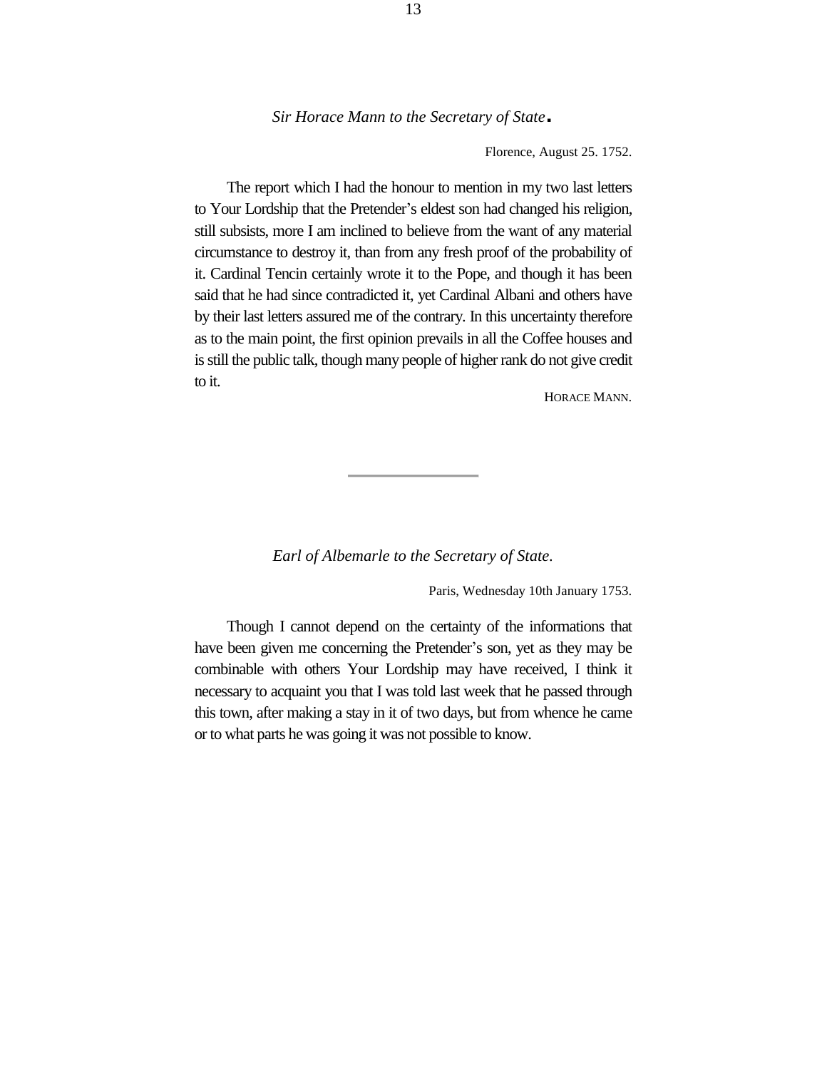Florence, August 25. 1752.

The report which I had the honour to mention in my two last letters to Your Lordship that the Pretender's eldest son had changed his religion, still subsists, more I am inclined to believe from the want of any material circumstance to destroy it, than from any fresh proof of the probability of it. Cardinal Tencin certainly wrote it to the Pope, and though it has been said that he had since contradicted it, yet Cardinal Albani and others have by their last letters assured me of the contrary. In this uncertainty therefore as to the main point, the first opinion prevails in all the Coffee houses and is still the public talk, though many people of higher rank do not give credit to it.

HORACE MANN.

#### *Earl of Albemarle to the Secretary of State.*

Paris, Wednesday 10th January 1753.

Though I cannot depend on the certainty of the informations that have been given me concerning the Pretender's son, yet as they may be combinable with others Your Lordship may have received, I think it necessary to acquaint you that I was told last week that he passed through this town, after making a stay in it of two days, but from whence he came or to what parts he was going it was not possible to know.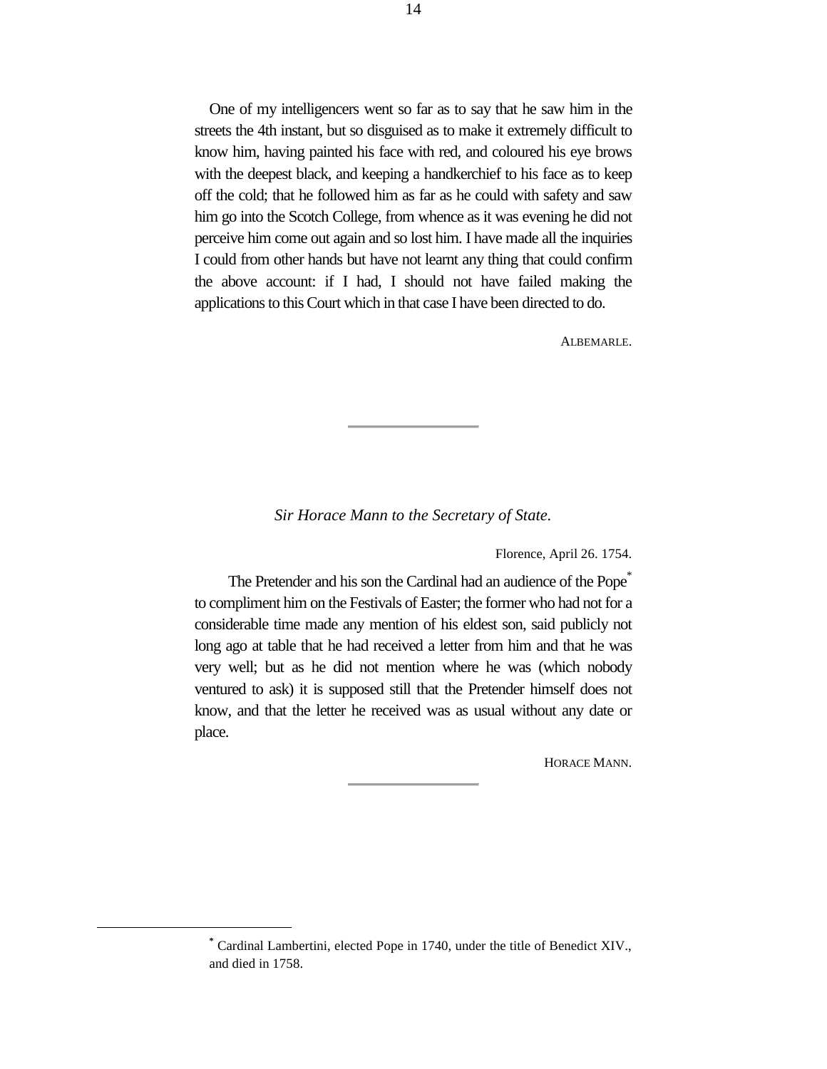One of my intelligencers went so far as to say that he saw him in the streets the 4th instant, but so disguised as to make it extremely difficult to know him, having painted his face with red, and coloured his eye brows with the deepest black, and keeping a handkerchief to his face as to keep off the cold; that he followed him as far as he could with safety and saw him go into the Scotch College, from whence as it was evening he did not perceive him come out again and so lost him. I have made all the inquiries I could from other hands but have not learnt any thing that could confirm the above account: if I had, I should not have failed making the applications to this Court which in that case I have been directed to do.

ALBEMARLE.

#### *Sir Horace Mann to the Secretary of State.*

Florence, April 26. 1754.

The Pretender and his son the Cardinal had an audience of the Pope<sup>\*</sup> to compliment him on the Festivals of Easter; the former who had not for a considerable time made any mention of his eldest son, said publicly not long ago at table that he had received a letter from him and that he was very well; but as he did not mention where he was (which nobody ventured to ask) it is supposed still that the Pretender himself does not know, and that the letter he received was as usual without any date or place.

HORACE MANN.

**<sup>\*</sup>** Cardinal Lambertini, elected Pope in 1740, under the title of Benedict XIV., and died in 1758.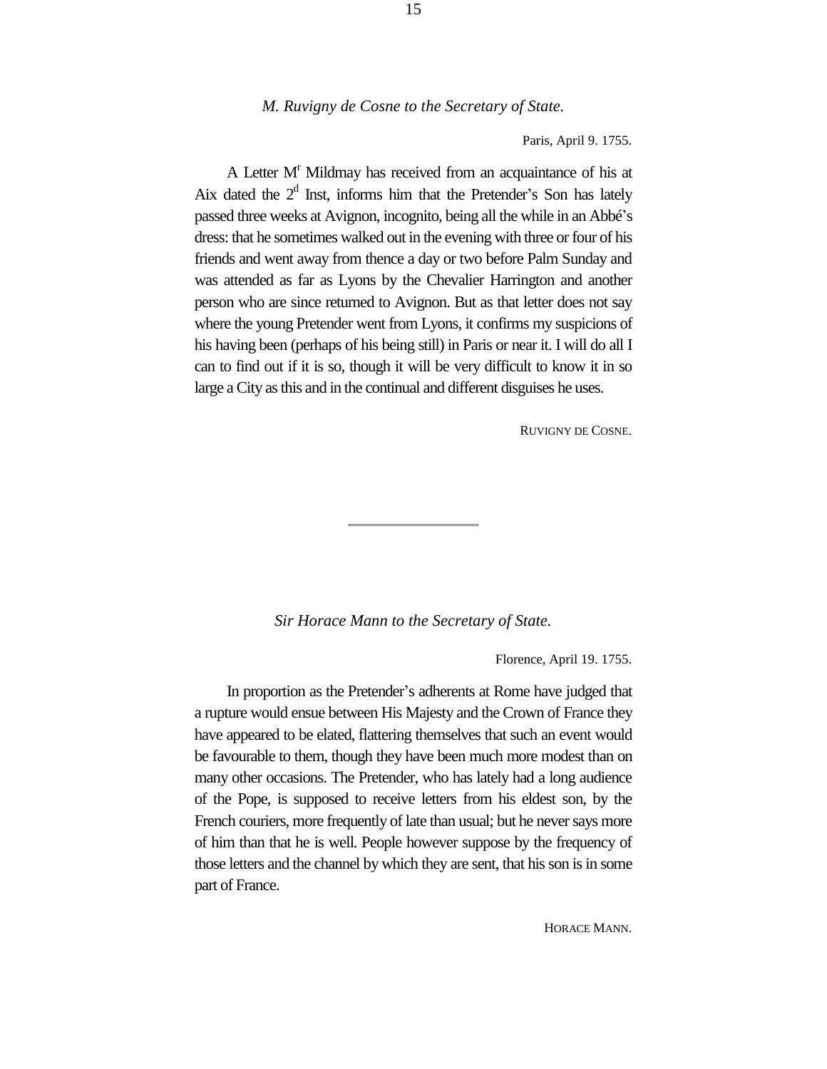#### *M. Ruvigny de Cosne to the Secretary of State.*

Paris, April 9. 1755.

A Letter M<sup>r</sup> Mildmay has received from an acquaintance of his at Aix dated the  $2<sup>d</sup>$  Inst, informs him that the Pretender's Son has lately passed three weeks at Avignon, incognito, being all the while in an Abbé's dress: that he sometimes walked out in the evening with three or four of his friends and went away from thence a day or two before Palm Sunday and was attended as far as Lyons by the Chevalier Harrington and another person who are since returned to Avignon. But as that letter does not say where the young Pretender went from Lyons, it confirms my suspicions of his having been (perhaps of his being still) in Paris or near it. I will do all I can to find out if it is so, though it will be very difficult to know it in so large a City as this and in the continual and different disguises he uses.

RUVIGNY DE COSNE.

*Sir Horace Mann to the Secretary of State.*

Florence, April 19. 1755.

In proportion as the Pretender's adherents at Rome have judged that a rupture would ensue between His Majesty and the Crown of France they have appeared to be elated, flattering themselves that such an event would be favourable to them, though they have been much more modest than on many other occasions. The Pretender, who has lately had a long audience of the Pope, is supposed to receive letters from his eldest son, by the French couriers, more frequently of late than usual; but he never says more of him than that he is well. People however suppose by the frequency of those letters and the channel by which they are sent, that his son is in some part of France.

HORACE MANN.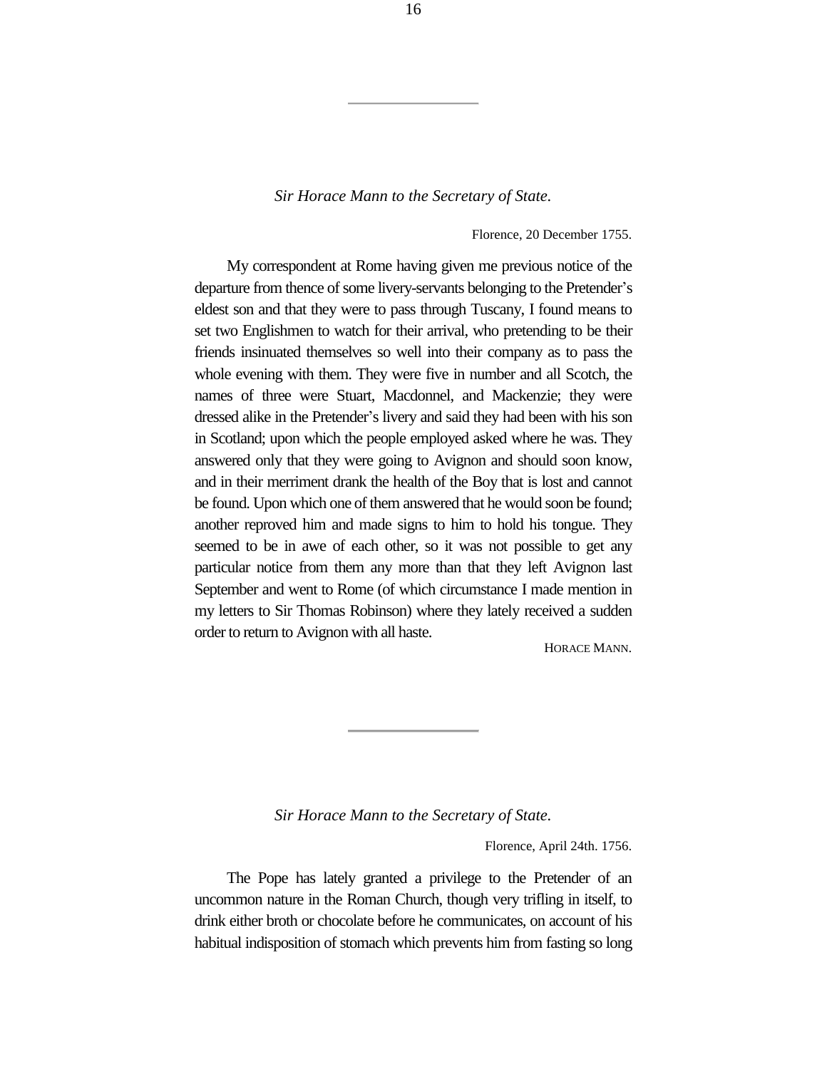Florence, 20 December 1755.

My correspondent at Rome having given me previous notice of the departure from thence of some livery-servants belonging to the Pretender's eldest son and that they were to pass through Tuscany, I found means to set two Englishmen to watch for their arrival, who pretending to be their friends insinuated themselves so well into their company as to pass the whole evening with them. They were five in number and all Scotch, the names of three were Stuart, Macdonnel, and Mackenzie; they were dressed alike in the Pretender's livery and said they had been with his son in Scotland; upon which the people employed asked where he was. They answered only that they were going to Avignon and should soon know, and in their merriment drank the health of the Boy that is lost and cannot be found. Upon which one of them answered that he would soon be found; another reproved him and made signs to him to hold his tongue. They seemed to be in awe of each other, so it was not possible to get any particular notice from them any more than that they left Avignon last September and went to Rome (of which circumstance I made mention in my letters to Sir Thomas Robinson) where they lately received a sudden order to return to Avignon with all haste.

HORACE MANN.

#### *Sir Horace Mann to the Secretary of State.*

Florence, April 24th. 1756.

The Pope has lately granted a privilege to the Pretender of an uncommon nature in the Roman Church, though very trifling in itself, to drink either broth or chocolate before he communicates, on account of his habitual indisposition of stomach which prevents him from fasting so long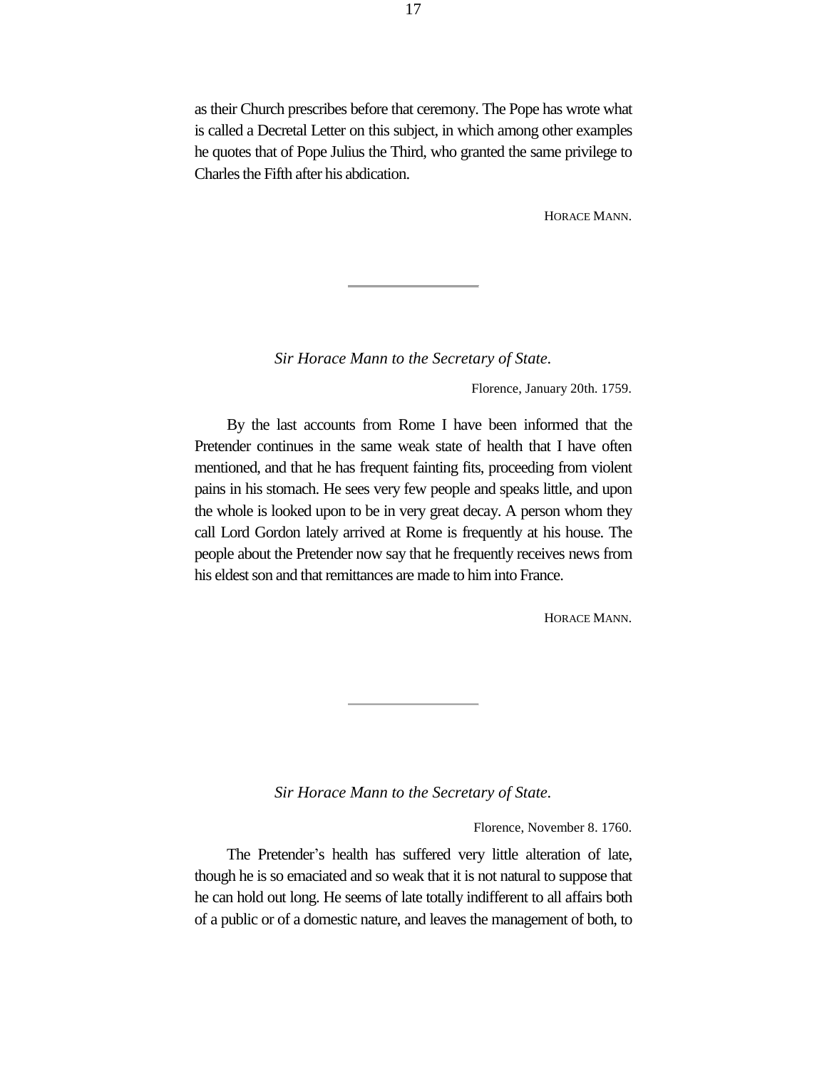as their Church prescribes before that ceremony. The Pope has wrote what is called a Decretal Letter on this subject, in which among other examples he quotes that of Pope Julius the Third, who granted the same privilege to Charles the Fifth after his abdication.

HORACE MANN.

*Sir Horace Mann to the Secretary of State.*

Florence, January 20th. 1759.

By the last accounts from Rome I have been informed that the Pretender continues in the same weak state of health that I have often mentioned, and that he has frequent fainting fits, proceeding from violent pains in his stomach. He sees very few people and speaks little, and upon the whole is looked upon to be in very great decay. A person whom they call Lord Gordon lately arrived at Rome is frequently at his house. The people about the Pretender now say that he frequently receives news from his eldest son and that remittances are made to him into France.

HORACE MANN.

*Sir Horace Mann to the Secretary of State.*

Florence, November 8. 1760.

The Pretender's health has suffered very little alteration of late, though he is so emaciated and so weak that it is not natural to suppose that he can hold out long. He seems of late totally indifferent to all affairs both of a public or of a domestic nature, and leaves the management of both, to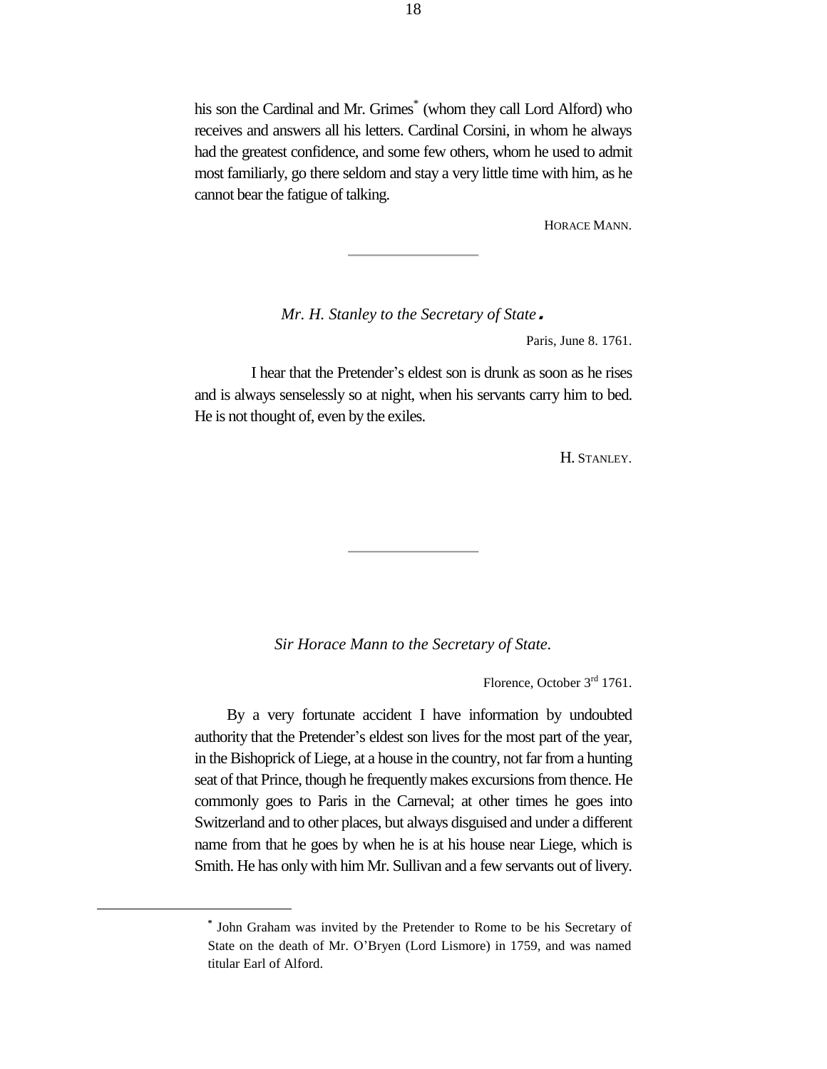his son the Cardinal and Mr. Grimes<sup>\*</sup> (whom they call Lord Alford) who receives and answers all his letters. Cardinal Corsini, in whom he always had the greatest confidence, and some few others, whom he used to admit most familiarly, go there seldom and stay a very little time with him, as he cannot bear the fatigue of talking.

HORACE MANN.

*Mr. H. Stanley to the Secretary of State*.

Paris, June 8. 1761.

I hear that the Pretender's eldest son is drunk as soon as he rises and is always senselessly so at night, when his servants carry him to bed. He is not thought of, even by the exiles.

H. STANLEY.

*Sir Horace Mann to the Secretary of State.*

Florence, October 3<sup>rd</sup> 1761.

By a very fortunate accident I have information by undoubted authority that the Pretender's eldest son lives for the most part of the year, in the Bishoprick of Liege, at a house in the country, not far from a hunting seat of that Prince, though he frequently makes excursions from thence. He commonly goes to Paris in the Carneval; at other times he goes into Switzerland and to other places, but always disguised and under a different name from that he goes by when he is at his house near Liege, which is Smith. He has only with him Mr. Sullivan and a few servants out of livery.

**<sup>\*</sup>** John Graham was invited by the Pretender to Rome to be his Secretary of State on the death of Mr. O'Bryen (Lord Lismore) in 1759, and was named titular Earl of Alford.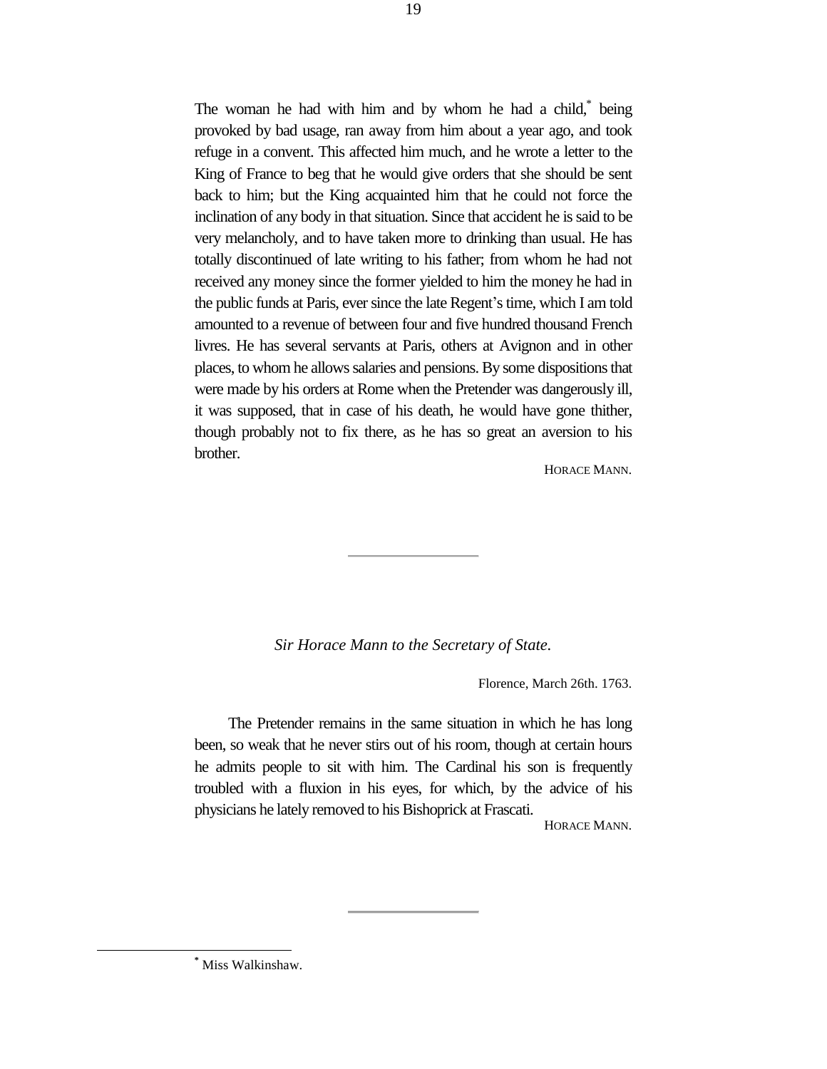The woman he had with him and by whom he had a child,<sup>\*</sup> being provoked by bad usage, ran away from him about a year ago, and took refuge in a convent. This affected him much, and he wrote a letter to the King of France to beg that he would give orders that she should be sent back to him; but the King acquainted him that he could not force the inclination of any body in that situation. Since that accident he is said to be very melancholy, and to have taken more to drinking than usual. He has totally discontinued of late writing to his father; from whom he had not received any money since the former yielded to him the money he had in the public funds at Paris, ever since the late Regent's time, which I am told amounted to a revenue of between four and five hundred thousand French livres. He has several servants at Paris, others at Avignon and in other places, to whom he allows salaries and pensions. By some dispositions that were made by his orders at Rome when the Pretender was dangerously ill, it was supposed, that in case of his death, he would have gone thither, though probably not to fix there, as he has so great an aversion to his brother.

HORACE MANN.

#### *Sir Horace Mann to the Secretary of State.*

Florence, March 26th. 1763.

The Pretender remains in the same situation in which he has long been, so weak that he never stirs out of his room, though at certain hours he admits people to sit with him. The Cardinal his son is frequently troubled with a fluxion in his eyes, for which, by the advice of his physicians he lately removed to his Bishoprick at Frascati.

HORACE MANN.

**<sup>\*</sup>** Miss Walkinshaw.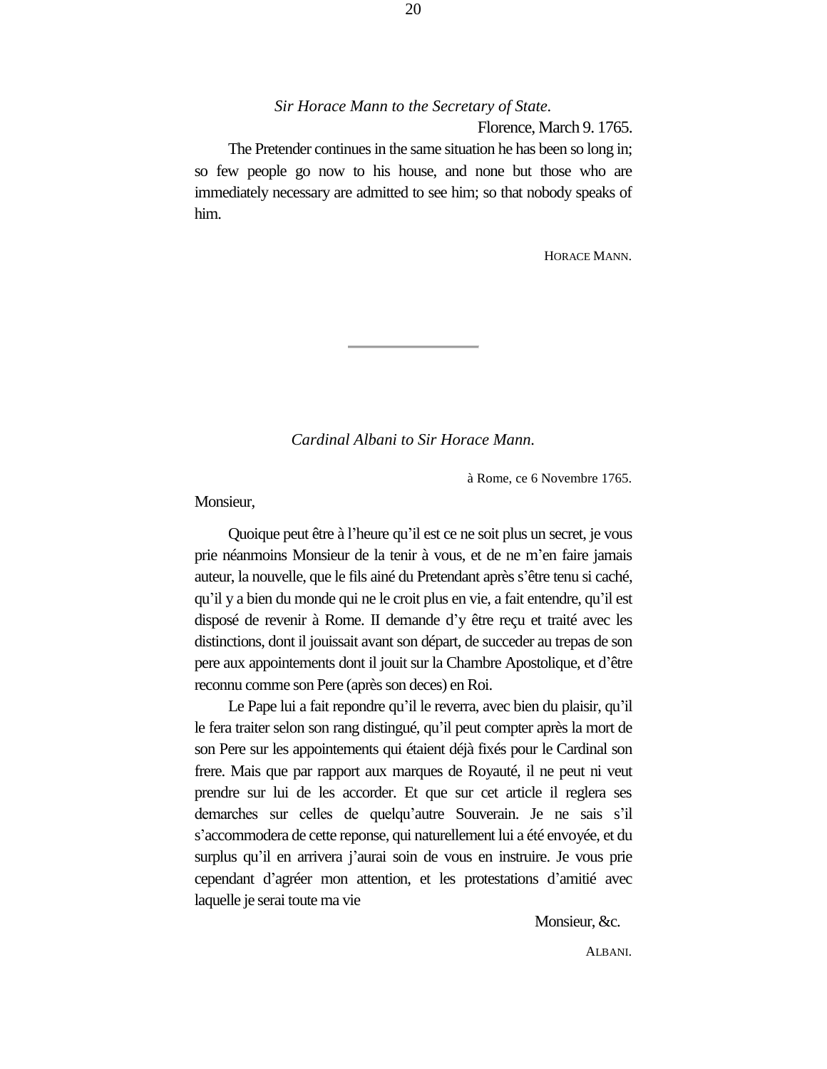Florence, March 9. 1765.

The Pretender continues in the same situation he has been so long in; so few people go now to his house, and none but those who are immediately necessary are admitted to see him; so that nobody speaks of him.

HORACE MANN.

*Cardinal Albani to Sir Horace Mann.*

à Rome, ce 6 Novembre 1765.

Monsieur,

Quoique peut être à l'heure qu'il est ce ne soit plus un secret, je vous prie néanmoins Monsieur de la tenir à vous, et de ne m'en faire jamais auteur, la nouvelle, que le fils ainé du Pretendant après s'être tenu si caché, qu'il y a bien du monde qui ne le croit plus en vie, a fait entendre, qu'il est disposé de revenir à Rome. II demande d'y être reçu et traité avec les distinctions, dont il jouissait avant son départ, de succeder au trepas de son pere aux appointements dont il jouit sur la Chambre Apostolique, et d'être reconnu comme son Pere (après son deces) en Roi.

Le Pape lui a fait repondre qu'il le reverra, avec bien du plaisir, qu'il le fera traiter selon son rang distingué, qu'il peut compter après la mort de son Pere sur les appointements qui étaient déjà fixés pour le Cardinal son frere. Mais que par rapport aux marques de Royauté, il ne peut ni veut prendre sur lui de les accorder. Et que sur cet article il reglera ses demarches sur celles de quelqu'autre Souverain. Je ne sais s'il s'accommodera de cette reponse, qui naturellement lui a été envoyée, et du surplus qu'il en arrivera j'aurai soin de vous en instruire. Je vous prie cependant d'agréer mon attention, et les protestations d'amitié avec laquelle je serai toute ma vie

Monsieur, &c.

ALBANI.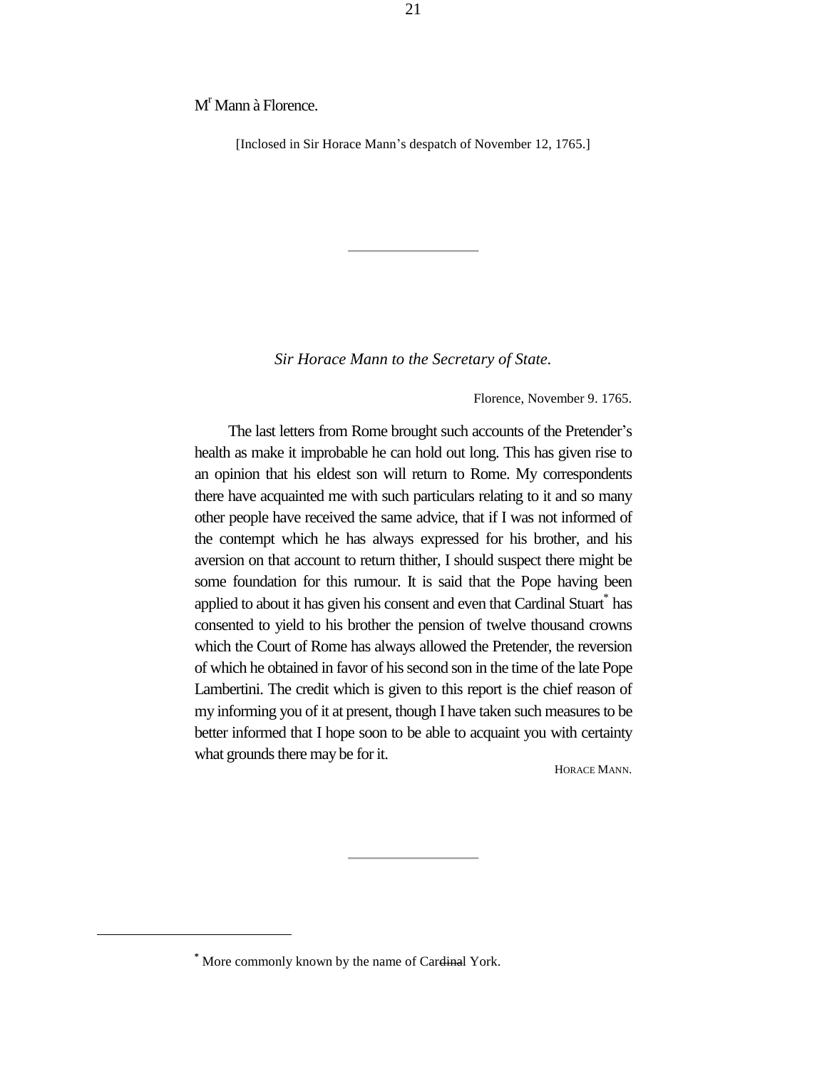M<sup>r</sup> Mann à Florence.

[Inclosed in Sir Horace Mann's despatch of November 12, 1765.]

*Sir Horace Mann to the Secretary of State.*

Florence, November 9. 1765.

The last letters from Rome brought such accounts of the Pretender's health as make it improbable he can hold out long. This has given rise to an opinion that his eldest son will return to Rome. My correspondents there have acquainted me with such particulars relating to it and so many other people have received the same advice, that if I was not informed of the contempt which he has always expressed for his brother, and his aversion on that account to return thither, I should suspect there might be some foundation for this rumour. It is said that the Pope having been applied to about it has given his consent and even that Cardinal Stuart $^*$  has consented to yield to his brother the pension of twelve thousand crowns which the Court of Rome has always allowed the Pretender, the reversion of which he obtained in favor of his second son in the time of the late Pope Lambertini. The credit which is given to this report is the chief reason of my informing you of it at present, though I have taken such measures to be better informed that I hope soon to be able to acquaint you with certainty what grounds there may be for it.

HORACE MANN.

L,

**<sup>\*</sup>** More commonly known by the name of Cardinal York.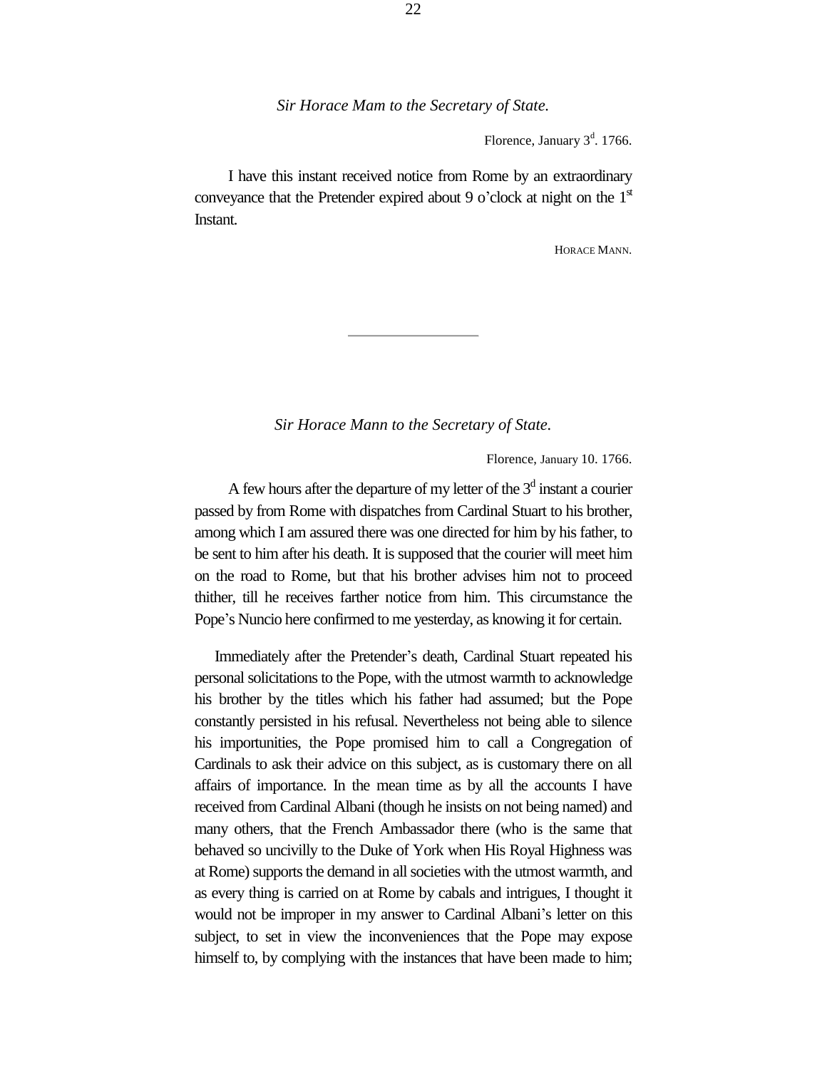Florence, January  $3<sup>d</sup>$ . 1766.

I have this instant received notice from Rome by an extraordinary conveyance that the Pretender expired about 9 o'clock at night on the  $1<sup>{st}</sup>$ Instant.

HORACE MANN.

#### *Sir Horace Mann to the Secretary of State.*

Florence, January 10. 1766.

A few hours after the departure of my letter of the  $3<sup>d</sup>$  instant a courier passed by from Rome with dispatches from Cardinal Stuart to his brother, among which I am assured there was one directed for him by his father, to be sent to him after his death. It is supposed that the courier will meet him on the road to Rome, but that his brother advises him not to proceed thither, till he receives farther notice from him. This circumstance the Pope's Nuncio here confirmed to me yesterday, as knowing it for certain.

Immediately after the Pretender's death, Cardinal Stuart repeated his personal solicitations to the Pope, with the utmost warmth to acknowledge his brother by the titles which his father had assumed; but the Pope constantly persisted in his refusal. Nevertheless not being able to silence his importunities, the Pope promised him to call a Congregation of Cardinals to ask their advice on this subject, as is customary there on all affairs of importance. In the mean time as by all the accounts I have received from Cardinal Albani (though he insists on not being named) and many others, that the French Ambassador there (who is the same that behaved so uncivilly to the Duke of York when His Royal Highness was at Rome) supports the demand in all societies with the utmost warmth, and as every thing is carried on at Rome by cabals and intrigues, I thought it would not be improper in my answer to Cardinal Albani's letter on this subject, to set in view the inconveniences that the Pope may expose himself to, by complying with the instances that have been made to him;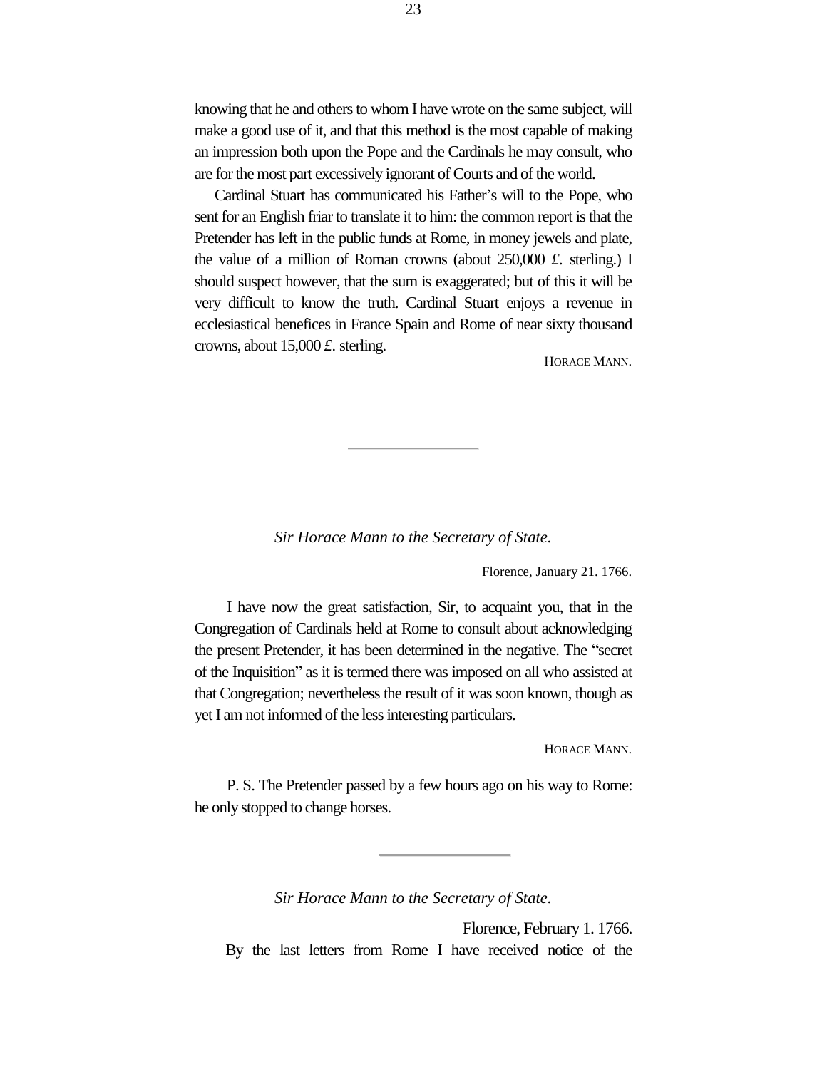knowing that he and others to whom I have wrote on the same subject, will make a good use of it, and that this method is the most capable of making an impression both upon the Pope and the Cardinals he may consult, who are for the most part excessively ignorant of Courts and of the world.

Cardinal Stuart has communicated his Father's will to the Pope, who sent for an English friar to translate it to him: the common report is that the Pretender has left in the public funds at Rome, in money jewels and plate, the value of a million of Roman crowns (about 250,000 *£.* sterling.) I should suspect however, that the sum is exaggerated; but of this it will be very difficult to know the truth. Cardinal Stuart enjoys a revenue in ecclesiastical benefices in France Spain and Rome of near sixty thousand crowns, about 15,000 *£.* sterling.

HORACE MANN.

*Sir Horace Mann to the Secretary of State.*

Florence, January 21. 1766.

I have now the great satisfaction, Sir, to acquaint you, that in the Congregation of Cardinals held at Rome to consult about acknowledging the present Pretender, it has been determined in the negative. The "secret of the Inquisition" as it is termed there was imposed on all who assisted at that Congregation; nevertheless the result of it was soon known, though as yet I am not informed of the less interesting particulars.

HORACE MANN.

P. S. The Pretender passed by a few hours ago on his way to Rome: he only stopped to change horses.

*Sir Horace Mann to the Secretary of State.*

Florence, February 1. 1766. By the last letters from Rome I have received notice of the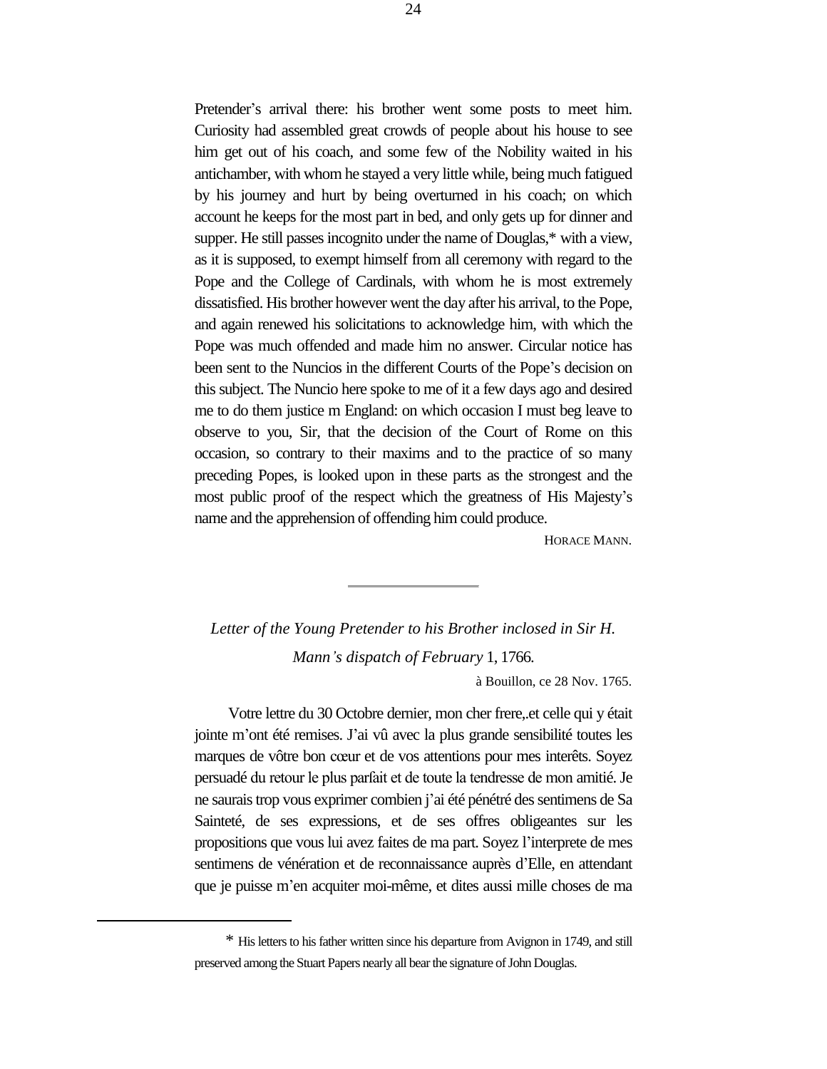Pretender's arrival there: his brother went some posts to meet him. Curiosity had assembled great crowds of people about his house to see him get out of his coach, and some few of the Nobility waited in his antichamber, with whom he stayed a very little while, being much fatigued by his journey and hurt by being overturned in his coach; on which account he keeps for the most part in bed, and only gets up for dinner and supper. He still passes incognito under the name of Douglas,\* with a view, as it is supposed, to exempt himself from all ceremony with regard to the Pope and the College of Cardinals, with whom he is most extremely dissatisfied. His brother however went the day after his arrival, to the Pope, and again renewed his solicitations to acknowledge him, with which the Pope was much offended and made him no answer. Circular notice has been sent to the Nuncios in the different Courts of the Pope's decision on this subject. The Nuncio here spoke to me of it a few days ago and desired me to do them justice m England: on which occasion I must beg leave to observe to you, Sir, that the decision of the Court of Rome on this occasion, so contrary to their maxims and to the practice of so many preceding Popes, is looked upon in these parts as the strongest and the most public proof of the respect which the greatness of His Majesty's name and the apprehension of offending him could produce.

HORACE MANN.

*Letter of the Young Pretender to his Brother inclosed in Sir H. Mann's dispatch of February* 1, 1766.

à Bouillon, ce 28 Nov. 1765.

Votre lettre du 30 Octobre dernier, mon cher frere,.et celle qui y était jointe m'ont été remises. J'ai vû avec la plus grande sensibilité toutes les marques de vôtre bon cœur et de vos attentions pour mes interêts. Soyez persuadé du retour le plus parſait et de toute la tendresse de mon amitié. Je ne saurais trop vous exprimer combien j'ai été pénétré des sentimens de Sa Sainteté, de ses expressions, et de ses offres obligeantes sur les propositions que vous lui avez faites de ma part. Soyez l'interprete de mes sentimens de vénération et de reconnaissance auprès d'Elle, en attendant que je puisse m'en acquiter moi-même, et dites aussi mille choses de ma

<sup>\*</sup> His letters to his father written since his departure from Avignon in 1749, and still preserved among the Stuart Papers nearly all bear the signature of John Douglas.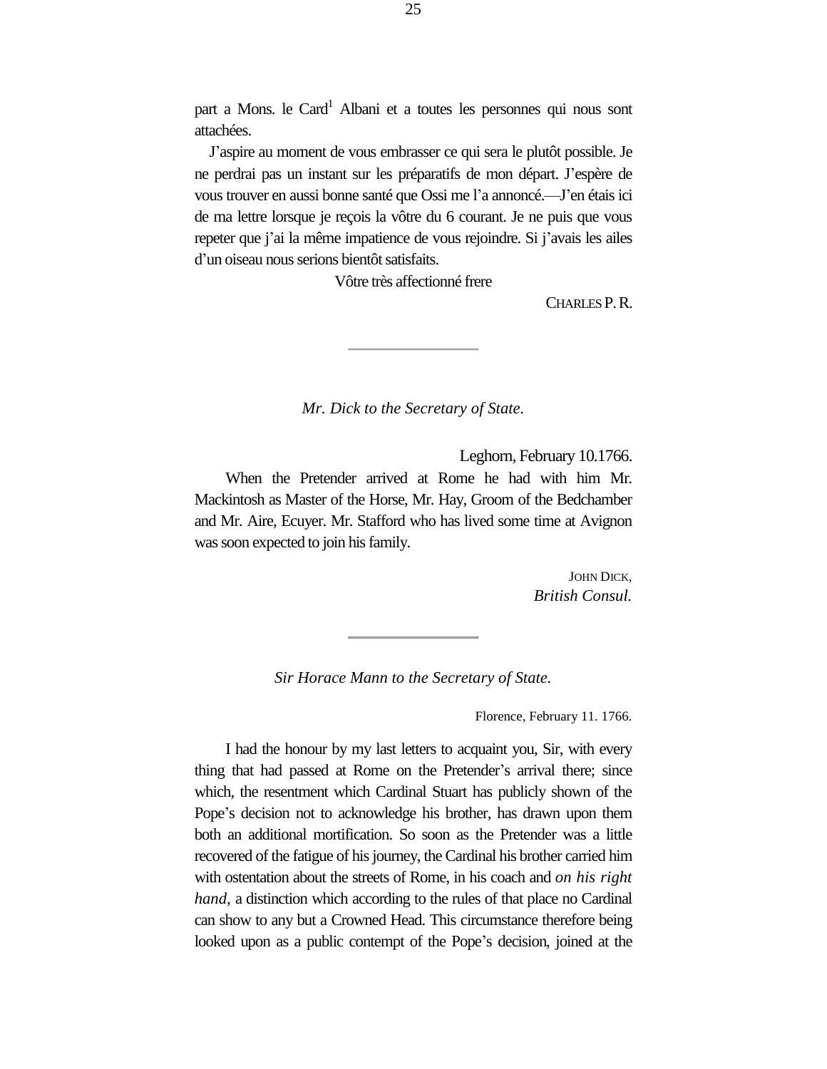part a Mons. le Card<sup>1</sup> Albani et a toutes les personnes qui nous sont attachées.

J'aspire au moment de vous embrasser ce qui sera le plutôt possible. Je ne perdrai pas un instant sur les préparatifs de mon départ. J'espère de vous trouver en aussi bonne santé que Ossi me l'a annoncé.—J'en étaisici de ma lettre lorsque je reçois la vôtre du 6 courant. Je ne puis que vous repeter que j'ai la même impatience de vous rejoindre. Si j'avais les ailes d'un oiseau nous serions bientôt satisfaits.

Vôtre très affectionné frere

CHARLES P.R.

*Mr. Dick to the Secretary of State.*

Leghorn, February 10.1766.

When the Pretender arrived at Rome he had with him Mr. Mackintosh as Master of the Horse, Mr. Hay, Groom of the Bedchamber and Mr. Aire, Ecuyer. Mr. Stafford who has lived some time at Avignon was soon expected to join his family.

> JOHN DICK, *British Consul.*

*Sir Horace Mann to the Secretary of State.*

Florence, February 11. 1766.

I had the honour by my last letters to acquaint you, Sir, with every thing that had passed at Rome on the Pretender's arrival there; since which, the resentment which Cardinal Stuart has publicly shown of the Pope's decision not to acknowledge his brother, has drawn upon them both an additional mortification. So soon as the Pretender was a little recovered of the fatigue of his journey, the Cardinal his brother carried him with ostentation about the streets of Rome, in his coach and *on his right hand,* a distinction which according to the rules of that place no Cardinal can show to any but a Crowned Head. This circumstance therefore being looked upon as a public contempt of the Pope's decision, joined at the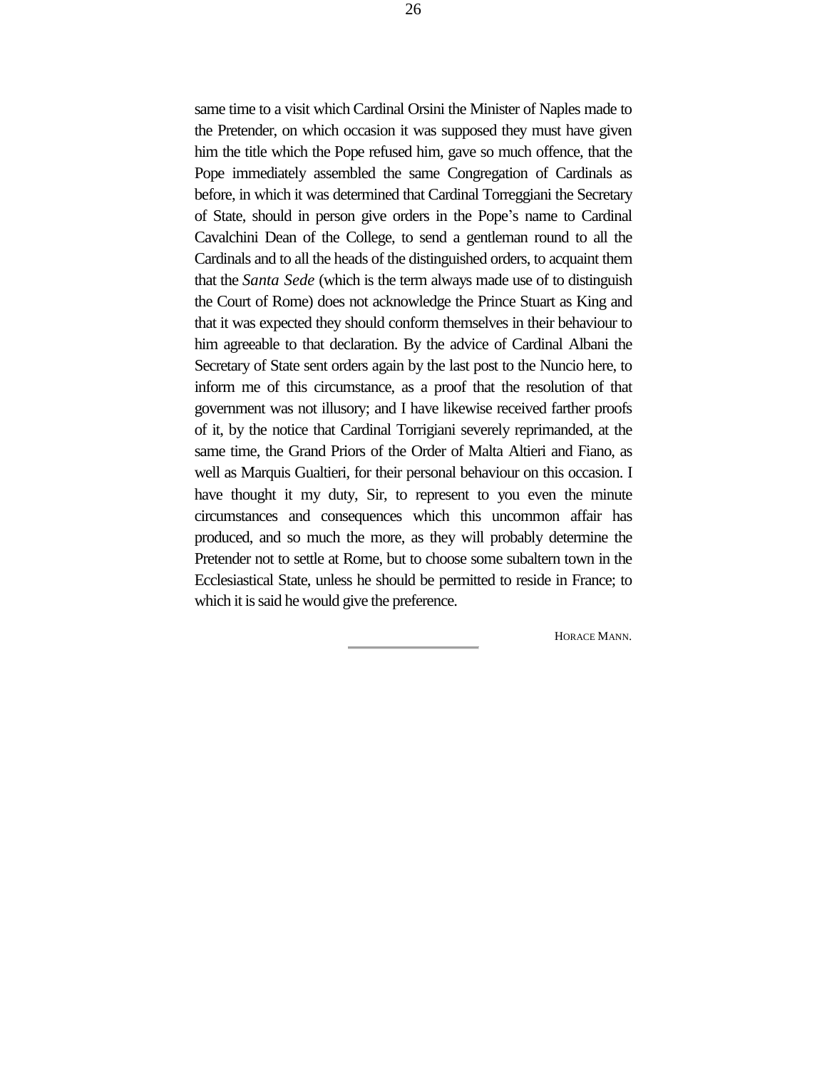same time to a visit which Cardinal Orsini the Minister of Naples made to the Pretender, on which occasion it was supposed they must have given him the title which the Pope refused him, gave so much offence, that the Pope immediately assembled the same Congregation of Cardinals as before, in which it was determined that Cardinal Torreggiani the Secretary of State, should in person give orders in the Pope's name to Cardinal Cavalchini Dean of the College, to send a gentleman round to all the Cardinals and to all the heads of the distinguished orders, to acquaint them that the *Santa Sede* (which is the term always made use of to distinguish the Court of Rome) does not acknowledge the Prince Stuart as King and that it was expected they should conform themselves in their behaviour to him agreeable to that declaration. By the advice of Cardinal Albani the Secretary of State sent orders again by the last post to the Nuncio here, to inform me of this circumstance, as a proof that the resolution of that government was not illusory; and I have likewise received farther proofs of it, by the notice that Cardinal Torrigiani severely reprimanded, at the same time, the Grand Priors of the Order of Malta Altieri and Fiano, as well as Marquis Gualtieri, for their personal behaviour on this occasion. I have thought it my duty, Sir, to represent to you even the minute circumstances and consequences which this uncommon affair has produced, and so much the more, as they will probably determine the Pretender not to settle at Rome, but to choose some subaltern town in the Ecclesiastical State, unless he should be permitted to reside in France; to which it is said he would give the preference.

HORACE MANN.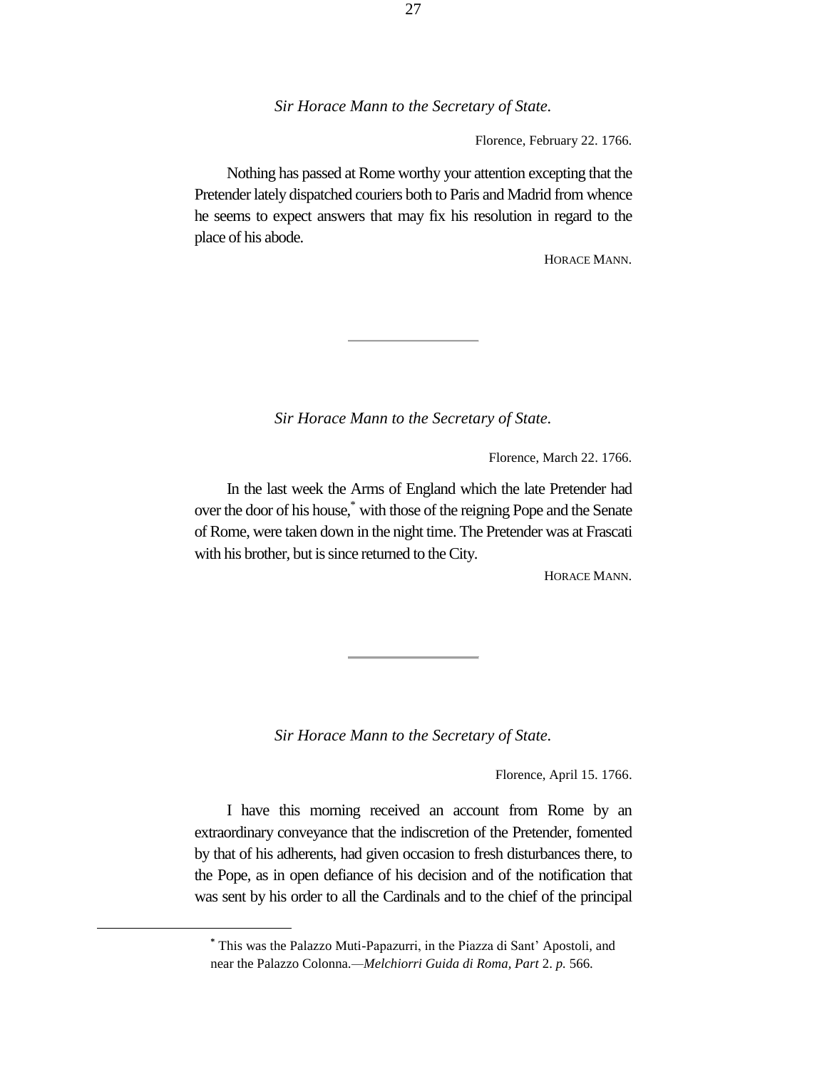Florence, February 22. 1766.

Nothing has passed at Rome worthy your attention excepting that the Pretender lately dispatched couriers both to Paris and Madrid from whence he seems to expect answers that may fix his resolution in regard to the place of his abode.

HORACE MANN.

*Sir Horace Mann to the Secretary of State.*

Florence, March 22. 1766.

In the last week the Arms of England which the late Pretender had over the door of his house,\* with those of the reigning Pope and the Senate of Rome, were taken down in the night time. The Pretender was at Frascati with his brother, but is since returned to the City.

HORACE MANN.

*Sir Horace Mann to the Secretary of State.*

Florence, April 15. 1766.

I have this morning received an account from Rome by an extraordinary conveyance that the indiscretion of the Pretender, fomented by that of his adherents, had given occasion to fresh disturbances there, to the Pope, as in open defiance of his decision and of the notification that was sent by his order to all the Cardinals and to the chief of the principal

**<sup>\*</sup>** This was the Palazzo Muti-Papazurri, in the Piazza di Sant' Apostoli, and near the Palazzo Colonna*.—Melchiorri Guida di Roma, Part* 2. *p.* 566.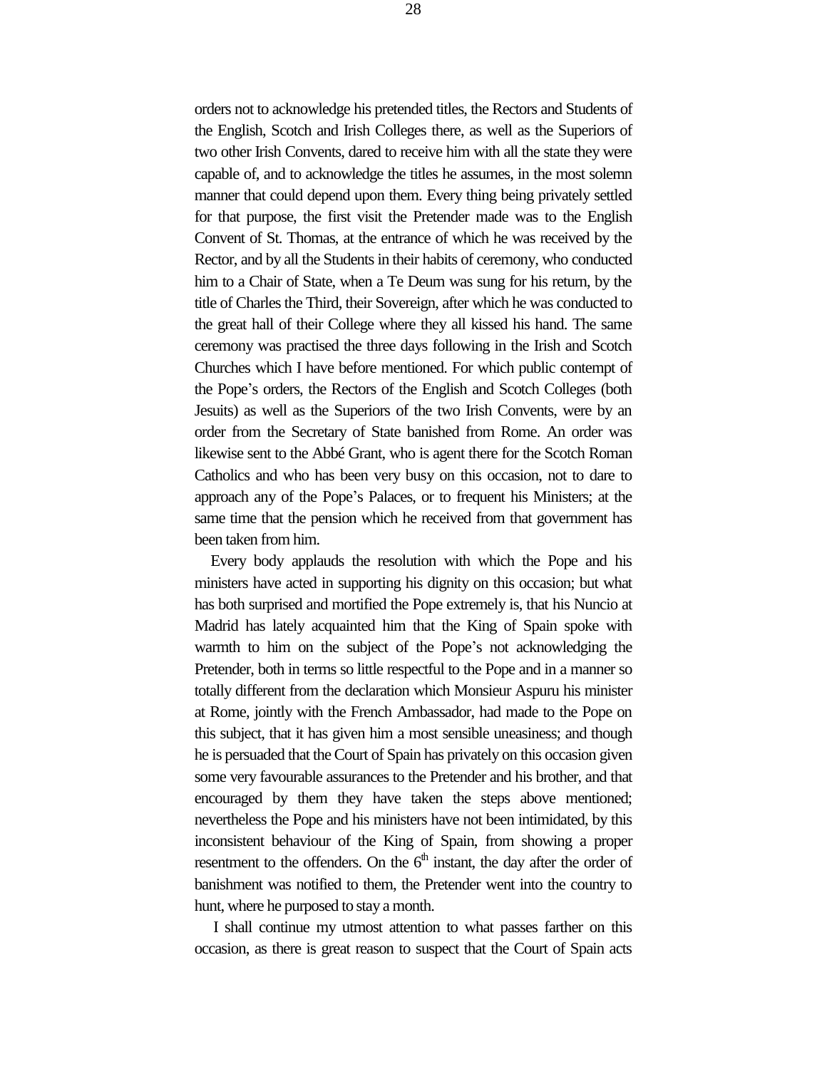orders not to acknowledge his pretended titles, the Rectors and Students of the English, Scotch and Irish Colleges there, as well as the Superiors of two other Irish Convents, dared to receive him with all the state they were capable of, and to acknowledge the titles he assumes, in the most solemn manner that could depend upon them. Every thing being privately settled for that purpose, the first visit the Pretender made was to the English Convent of St. Thomas, at the entrance of which he was received by the Rector, and by all the Students in their habits of ceremony, who conducted him to a Chair of State, when a Te Deum was sung for his return, by the title of Charles the Third, their Sovereign, after which he was conducted to the great hall of their College where they all kissed his hand. The same ceremony was practised the three days following in the Irish and Scotch Churches which I have before mentioned. For which public contempt of the Pope's orders, the Rectors of the English and Scotch Colleges (both Jesuits) as well as the Superiors of the two Irish Convents, were by an order from the Secretary of State banished from Rome. An order was likewise sent to the Abbé Grant, who is agent there for the Scotch Roman Catholics and who has been very busy on this occasion, not to dare to approach any of the Pope's Palaces, or to frequent his Ministers; at the same time that the pension which he received from that government has been taken from him.

Every body applauds the resolution with which the Pope and his ministers have acted in supporting his dignity on this occasion; but what has both surprised and mortified the Pope extremely is, that his Nuncio at Madrid has lately acquainted him that the King of Spain spoke with warmth to him on the subject of the Pope's not acknowledging the Pretender, both in terms so little respectful to the Pope and in a manner so totally different from the declaration which Monsieur Aspuru his minister at Rome, jointly with the French Ambassador, had made to the Pope on this subject, that it has given him a most sensible uneasiness; and though he is persuaded that the Court of Spain has privately on this occasion given some very favourable assurances to the Pretender and his brother, and that encouraged by them they have taken the steps above mentioned; nevertheless the Pope and his ministers have not been intimidated, by this inconsistent behaviour of the King of Spain, from showing a proper resentment to the offenders. On the  $6<sup>th</sup>$  instant, the day after the order of banishment was notified to them, the Pretender went into the country to hunt, where he purposed to stay a month.

I shall continue my utmost attention to what passes farther on this occasion, as there is great reason to suspect that the Court of Spain acts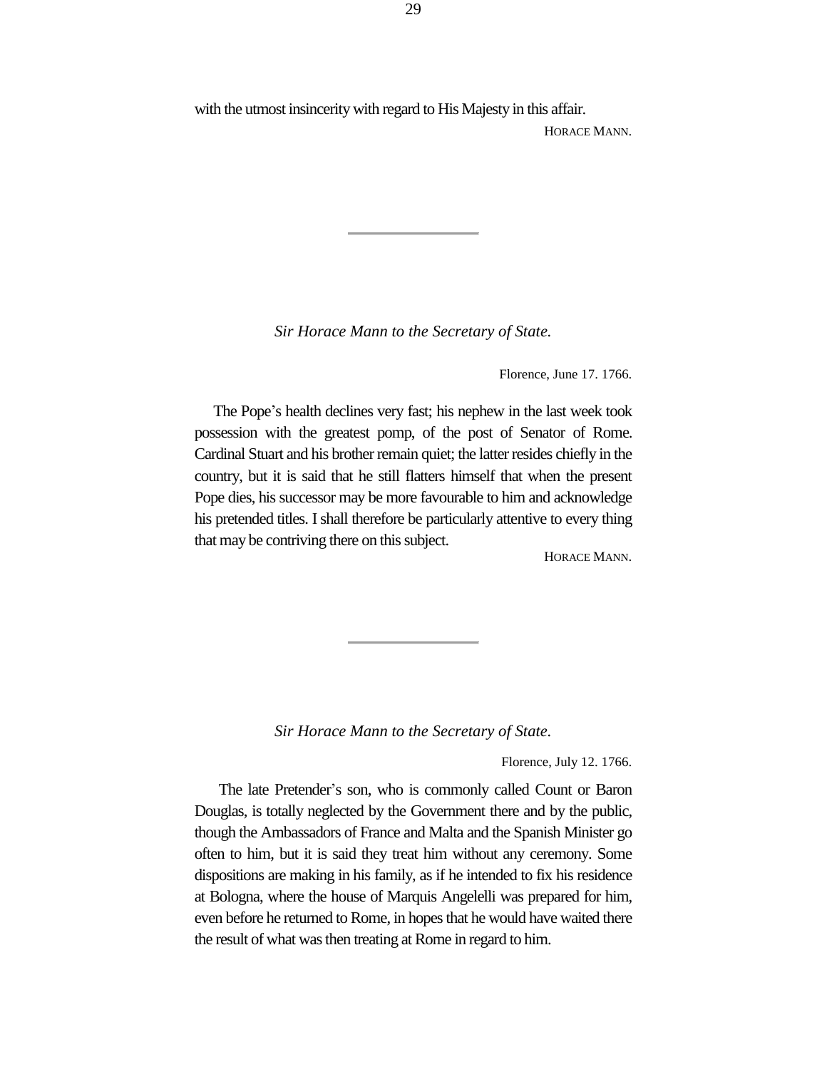with the utmost insincerity with regard to His Majesty in this affair.

HORACE MANN.

*Sir Horace Mann to the Secretary of State.*

Florence, June 17. 1766.

The Pope's health declines very fast; his nephew in the last week took possession with the greatest pomp, of the post of Senator of Rome. Cardinal Stuart and his brother remain quiet; the latter resides chiefly in the country, but it is said that he still flatters himself that when the present Pope dies, his successor may be more favourable to him and acknowledge his pretended titles. I shall therefore be particularly attentive to every thing that may be contriving there on this subject.

HORACE MANN.

*Sir Horace Mann to the Secretary of State.*

Florence, July 12. 1766.

The late Pretender's son, who is commonly called Count or Baron Douglas, is totally neglected by the Government there and by the public, though the Ambassadors of France and Malta and the Spanish Minister go often to him, but it is said they treat him without any ceremony. Some dispositions are making in his family, as if he intended to fix his residence at Bologna, where the house of Marquis Angelelli was prepared for him, even before he returned to Rome, in hopes that he would have waited there the result of what was then treating at Rome in regard to him.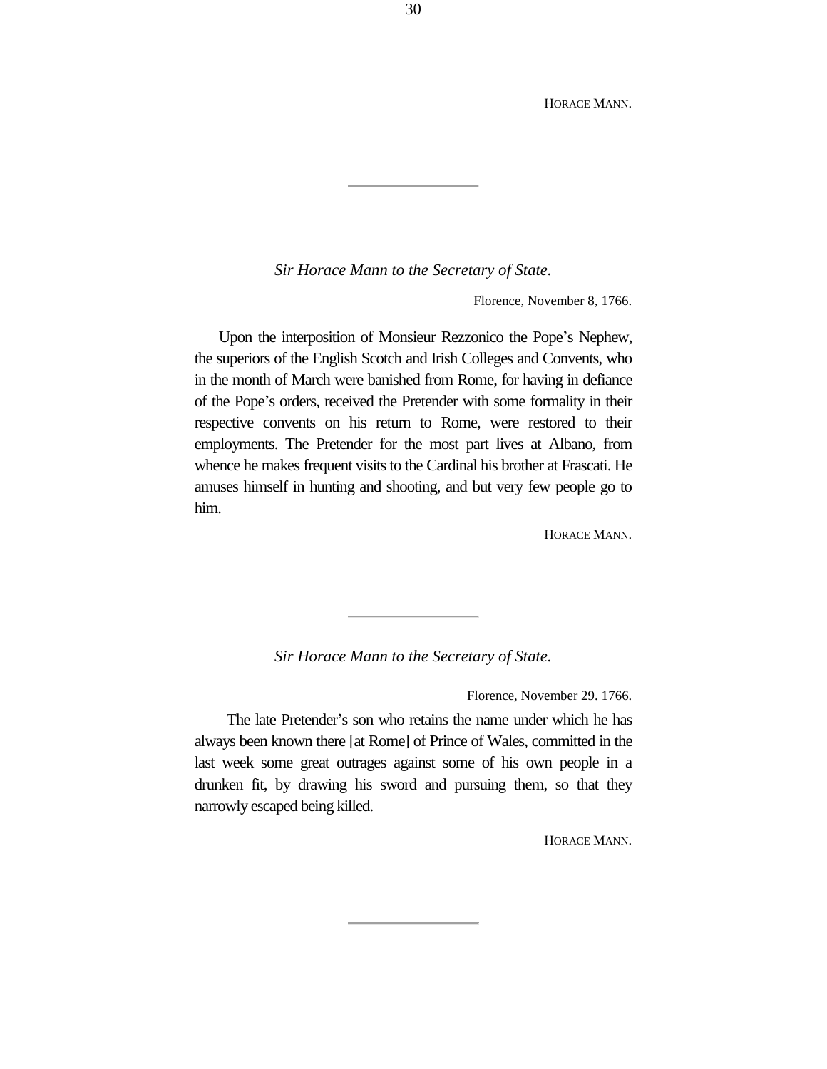HORACE MANN.

*Sir Horace Mann to the Secretary of State.*

Florence, November 8, 1766.

Upon the interposition of Monsieur Rezzonico the Pope's Nephew, the superiors of the English Scotch and Irish Colleges and Convents, who in the month of March were banished from Rome, for having in defiance of the Pope's orders, received the Pretender with some formality in their respective convents on his return to Rome, were restored to their employments. The Pretender for the most part lives at Albano, from whence he makes frequent visits to the Cardinal his brother at Frascati. He amuses himself in hunting and shooting, and but very few people go to him.

HORACE MANN.

*Sir Horace Mann to the Secretary of State.*

Florence, November 29. 1766.

The late Pretender's son who retains the name under which he has always been known there [at Rome] of Prince of Wales, committed in the last week some great outrages against some of his own people in a drunken fit, by drawing his sword and pursuing them, so that they narrowly escaped being killed.

HORACE MANN.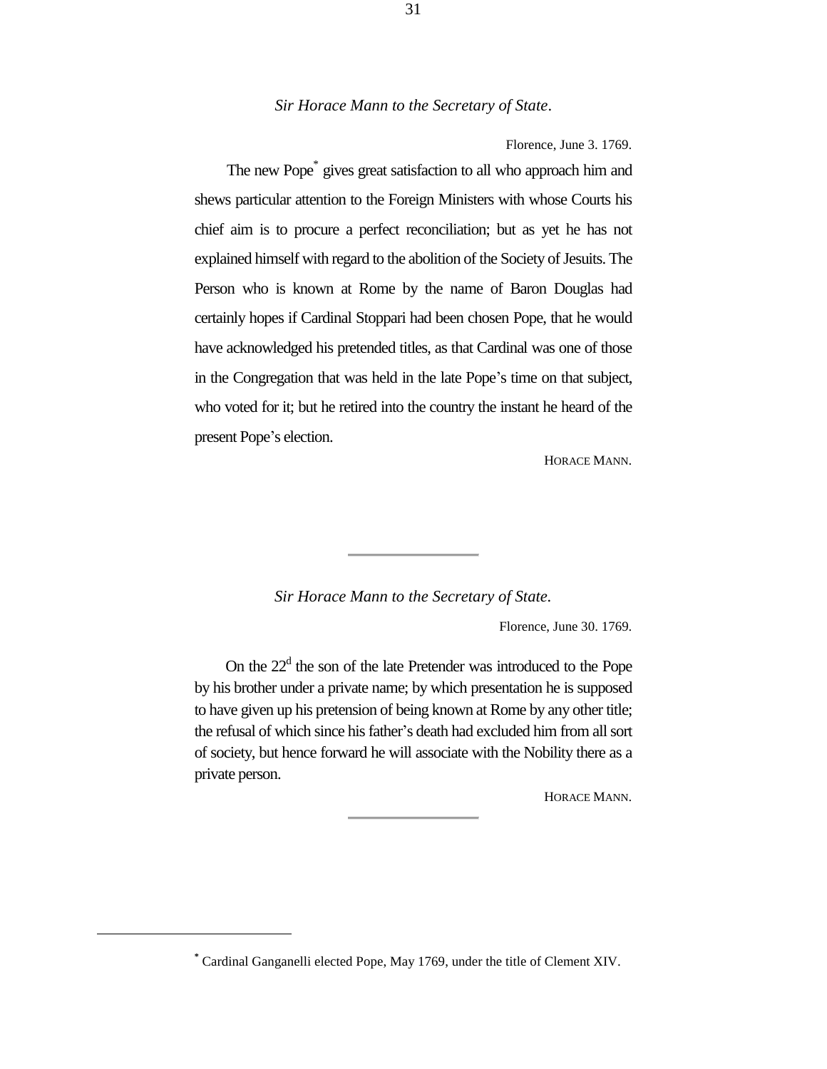Florence, June 3. 1769.

The new Pope<sup>\*</sup> gives great satisfaction to all who approach him and shews particular attention to the Foreign Ministers with whose Courts his chief aim is to procure a perfect reconciliation; but as yet he has not explained himself with regard to the abolition of the Society of Jesuits. The Person who is known at Rome by the name of Baron Douglas had certainly hopes if Cardinal Stoppari had been chosen Pope, that he would have acknowledged his pretended titles, as that Cardinal was one of those in the Congregation that was held in the late Pope's time on that subject, who voted for it; but he retired into the country the instant he heard of the present Pope's election.

HORACE MANN.

#### *Sir Horace Mann to the Secretary of State.*

Florence, June 30. 1769.

On the  $22<sup>d</sup>$  the son of the late Pretender was introduced to the Pope by his brother under a private name; by which presentation he is supposed to have given up his pretension of being known at Rome by any other title; the refusal of which since his father's death had excluded him from all sort of society, but hence forward he will associate with the Nobility there as a private person.

HORACE MANN.

**<sup>\*</sup>** Cardinal Ganganelli elected Pope, May 1769, under the title of Clement XIV.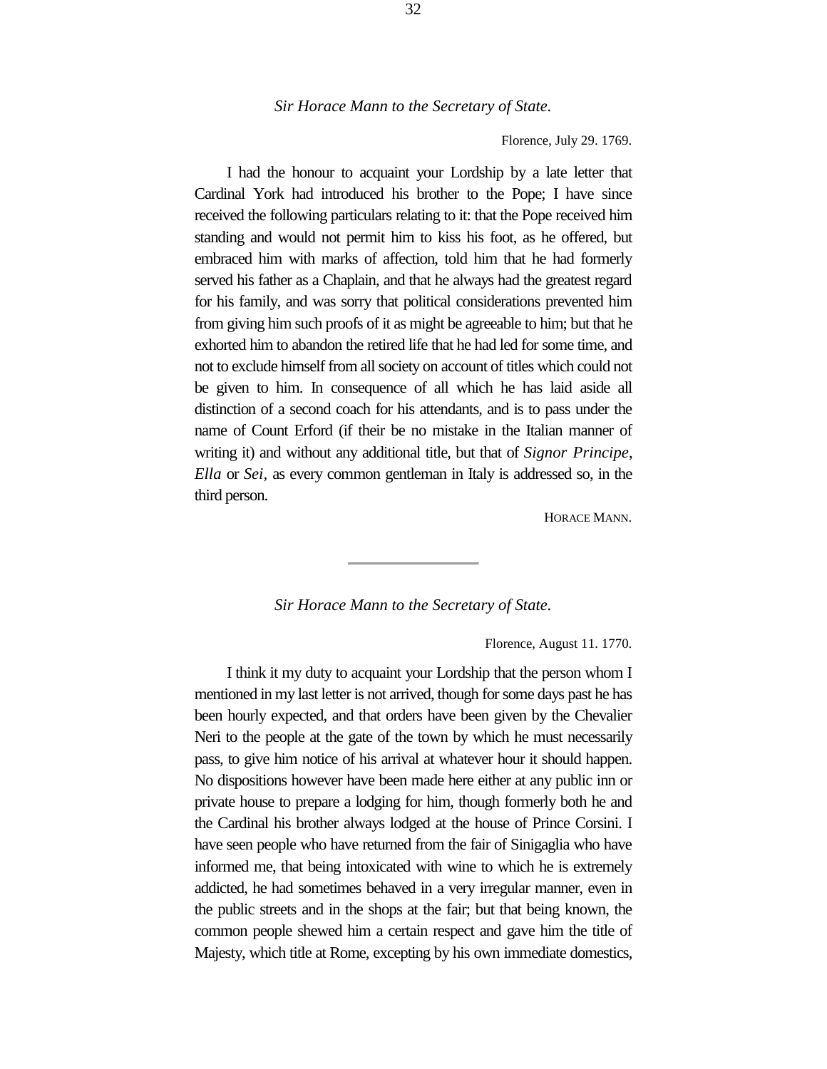Florence, July 29. 1769.

I had the honour to acquaint your Lordship by a late letter that Cardinal York had introduced his brother to the Pope; I have since received the following particulars relating to it: that the Pope received him standing and would not permit him to kiss his foot, as he offered, but embraced him with marks of affection, told him that he had formerly served his father as a Chaplain, and that he always had the greatest regard for his family, and was sorry that political considerations prevented him from giving him such proofs of it as might be agreeable to him; but that he exhorted him to abandon the retired life that he had led for some time, and not to exclude himself from all society on account of titles which could not be given to him. In consequence of all which he has laid aside all distinction of a second coach for his attendants, and is to pass under the name of Count Erford (if their be no mistake in the Italian manner of writing it) and without any additional title, but that of *Signor Principe*, *Ella* or *Sei,* as every common gentleman in Italy is addressed so, in the third person.

HORACE MANN.

#### *Sir Horace Mann to the Secretary of State.*

Florence, August 11. 1770.

I think it my duty to acquaint your Lordship that the person whom I mentioned in my last letter is not arrived, though for some days past he has been hourly expected, and that orders have been given by the Chevalier Neri to the people at the gate of the town by which he must necessarily pass, to give him notice of his arrival at whatever hour it should happen. No dispositions however have been made here either at any public inn or private house to prepare a lodging for him, though formerly both he and the Cardinal his brother always lodged at the house of Prince Corsini. I have seen people who have returned from the fair of Sinigaglia who have informed me, that being intoxicated with wine to which he is extremely addicted, he had sometimes behaved in a very irregular manner, even in the public streets and in the shops at the fair; but that being known, the common people shewed him a certain respect and gave him the title of Majesty, which title at Rome, excepting by his own immediate domestics,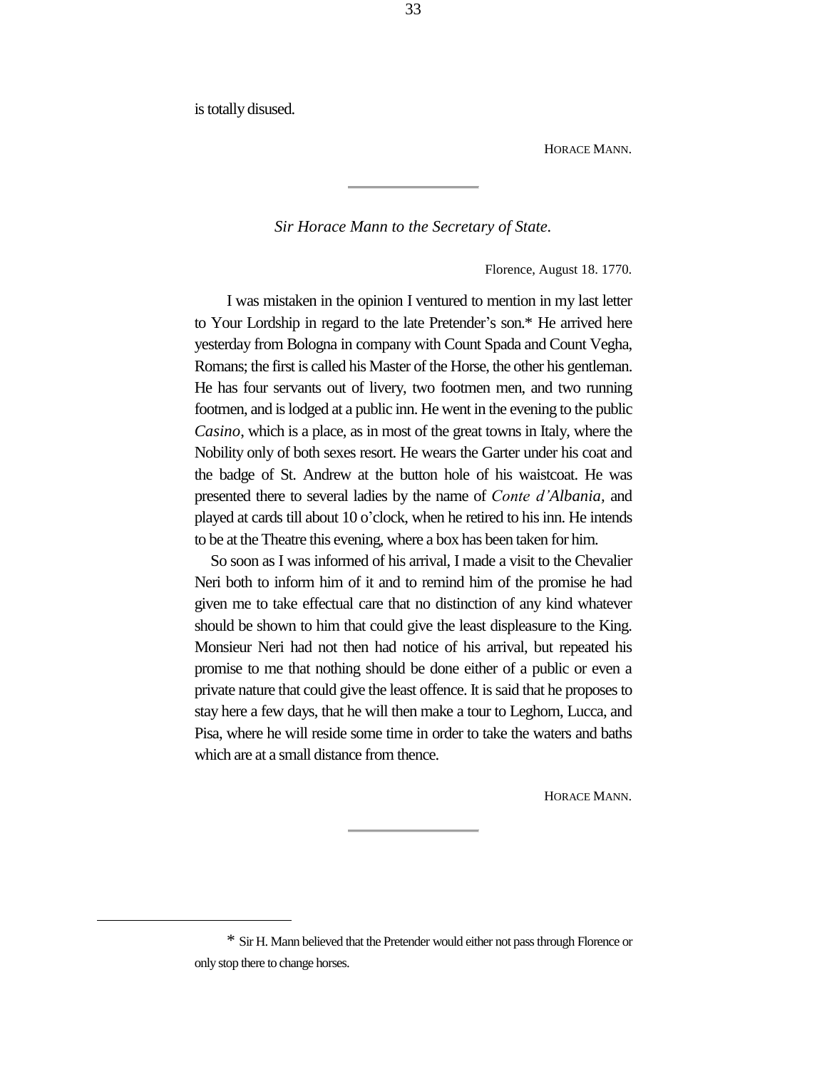is totally disused.

i<br>L

HORACE MANN.

*Sir Horace Mann to the Secretary of State.*

Florence, August 18. 1770.

I was mistaken in the opinion I ventured to mention in my last letter to Your Lordship in regard to the late Pretender's son.\* He arrived here yesterday from Bologna in company with Count Spada and Count Vegha, Romans; the first is called his Master of the Horse, the other his gentleman. He has four servants out of livery, two footmen men, and two running footmen, and is lodged at a public inn. He went in the evening to the public *Casino*, which is a place, as in most of the great towns in Italy, where the Nobility only of both sexes resort. He wears the Garter under his coat and the badge of St. Andrew at the button hole of his waistcoat. He was presented there to several ladies by the name of *Conte d'Albania,* and played at cards till about 10 o'clock, when he retired to his inn. He intends to be at the Theatre this evening, where a box has been taken for him.

So soon as I was informed of his arrival, I made a visit to the Chevalier Neri both to inform him of it and to remind him of the promise he had given me to take effectual care that no distinction of any kind whatever should be shown to him that could give the least displeasure to the King. Monsieur Neri had not then had notice of his arrival, but repeated his promise to me that nothing should be done either of a public or even a private nature that could give the least offence. It is said that he proposes to stay here a few days, that he will then make a tour to Leghorn, Lucca, and Pisa, where he will reside some time in order to take the waters and baths which are at a small distance from thence.

HORACE MANN.

33

<sup>\*</sup> Sir H. Mann believed that the Pretender would either not pass through Florence or only stop there to change horses.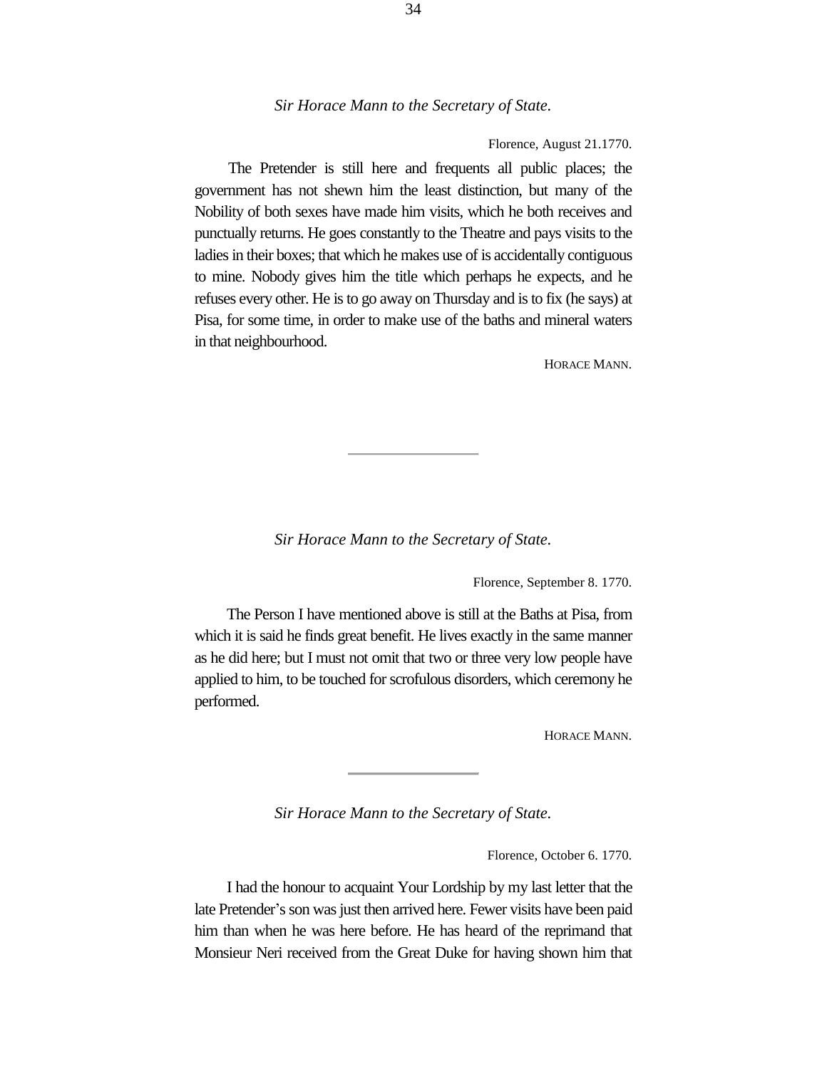Florence, August 21.1770.

The Pretender is still here and frequents all public places; the government has not shewn him the least distinction, but many of the Nobility of both sexes have made him visits, which he both receives and punctually returns. He goes constantly to the Theatre and pays visits to the ladies in their boxes; that which he makes use of is accidentally contiguous to mine. Nobody gives him the title which perhaps he expects, and he refuses every other. He is to go away on Thursday and is to fix (he says) at Pisa, for some time, in order to make use of the baths and mineral waters in that neighbourhood.

HORACE MANN.

*Sir Horace Mann to the Secretary of State.*

Florence, September 8. 1770.

The Person I have mentioned above is still at the Baths at Pisa, from which it is said he finds great benefit. He lives exactly in the same manner as he did here; but I must not omit that two or three very low people have applied to him, to be touched for scrofulous disorders, which ceremony he performed.

HORACE MANN.

*Sir Horace Mann to the Secretary of State.*

Florence, October 6. 1770.

I had the honour to acquaint Your Lordship by my last letter that the late Pretender's son was just then arrived here. Fewer visits have been paid him than when he was here before. He has heard of the reprimand that Monsieur Neri received from the Great Duke for having shown him that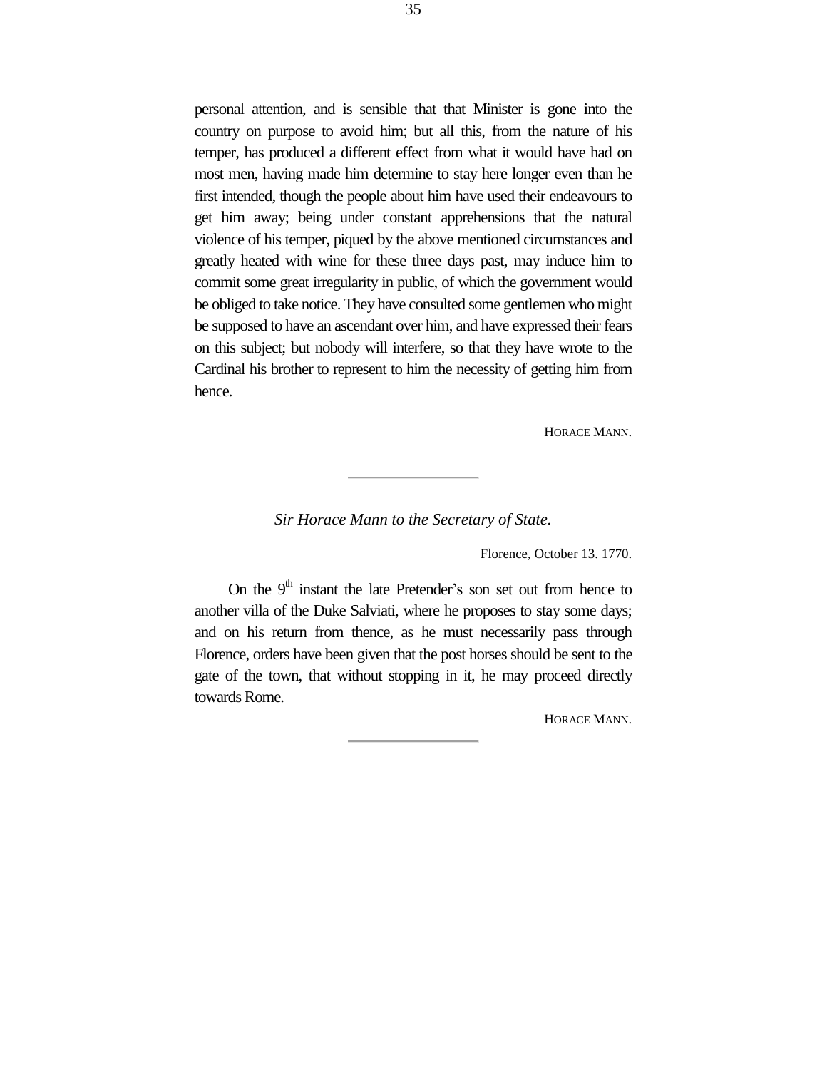personal attention, and is sensible that that Minister is gone into the country on purpose to avoid him; but all this, from the nature of his temper, has produced a different effect from what it would have had on most men, having made him determine to stay here longer even than he first intended, though the people about him have used their endeavours to get him away; being under constant apprehensions that the natural violence of his temper, piqued by the above mentioned circumstances and greatly heated with wine for these three days past, may induce him to commit some great irregularity in public, of which the government would be obliged to take notice. They have consulted some gentlemen who might be supposed to have an ascendant over him, and have expressed their fears on this subject; but nobody will interfere, so that they have wrote to the Cardinal his brother to represent to him the necessity of getting him from hence.

HORACE MANN.

*Sir Horace Mann to the Secretary of State.*

Florence, October 13. 1770.

On the  $9<sup>th</sup>$  instant the late Pretender's son set out from hence to another villa of the Duke Salviati, where he proposes to stay some days; and on his return from thence, as he must necessarily pass through Florence, orders have been given that the post horses should be sent to the gate of the town, that without stopping in it, he may proceed directly towards Rome.

HORACE MANN.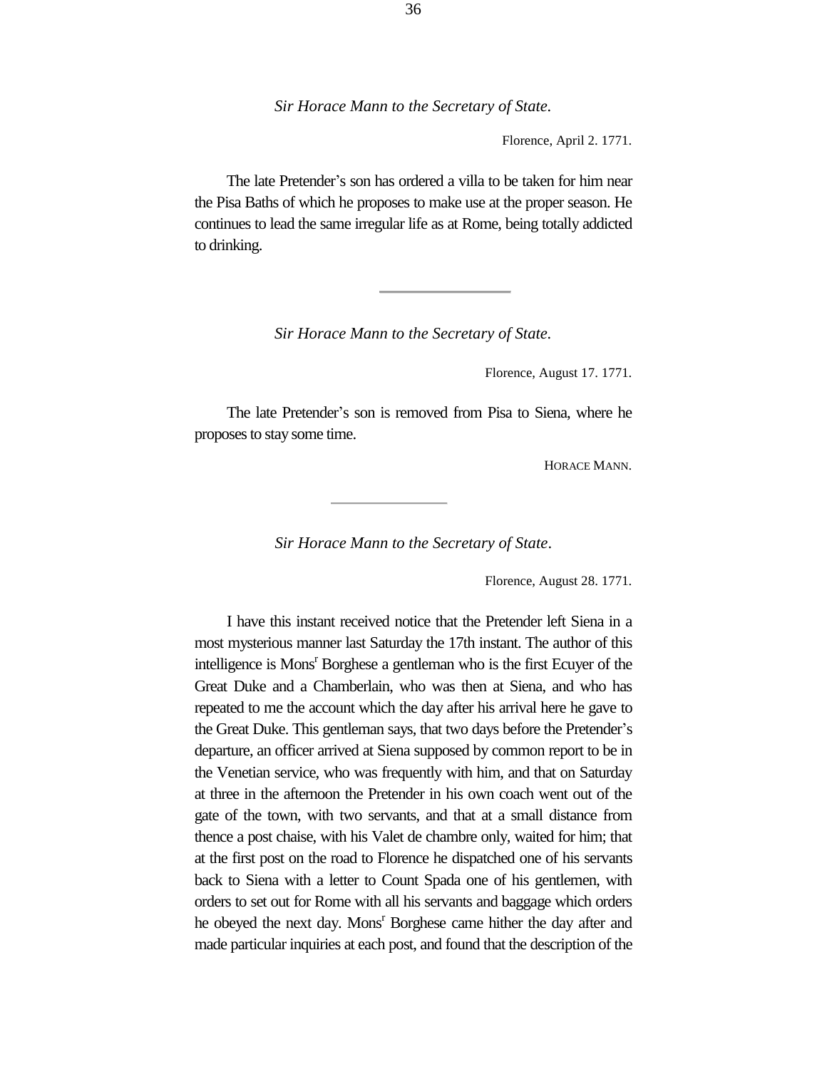Florence, April 2. 1771.

The late Pretender's son has ordered a villa to be taken for him near the Pisa Baths of which he proposes to make use at the proper season. He continues to lead the same irregular life as at Rome, being totally addicted to drinking.

*Sir Horace Mann to the Secretary of State.*

Florence, August 17. 1771.

The late Pretender's son is removed from Pisa to Siena, where he proposes to stay some time.

HORACE MANN.

*Sir Horace Mann to the Secretary of State*.

Florence, August 28. 1771.

I have this instant received notice that the Pretender left Siena in a most mysterious manner last Saturday the 17th instant. The author of this intelligence is Mons<sup>r</sup> Borghese a gentleman who is the first Ecuyer of the Great Duke and a Chamberlain, who was then at Siena, and who has repeated to me the account which the day after his arrival here he gave to the Great Duke. This gentleman says, that two days before the Pretender's departure, an officer arrived at Siena supposed by common report to be in the Venetian service, who was frequently with him, and that on Saturday at three in the afternoon the Pretender in his own coach went out of the gate of the town, with two servants, and that at a small distance from thence a post chaise, with his Valet de chambre only, waited for him; that at the first post on the road to Florence he dispatched one of his servants back to Siena with a letter to Count Spada one of his gentlemen, with orders to set out for Rome with all his servants and baggage which orders he obeyed the next day. Mons<sup>r</sup> Borghese came hither the day after and made particular inquiries at each post, and found that the description of the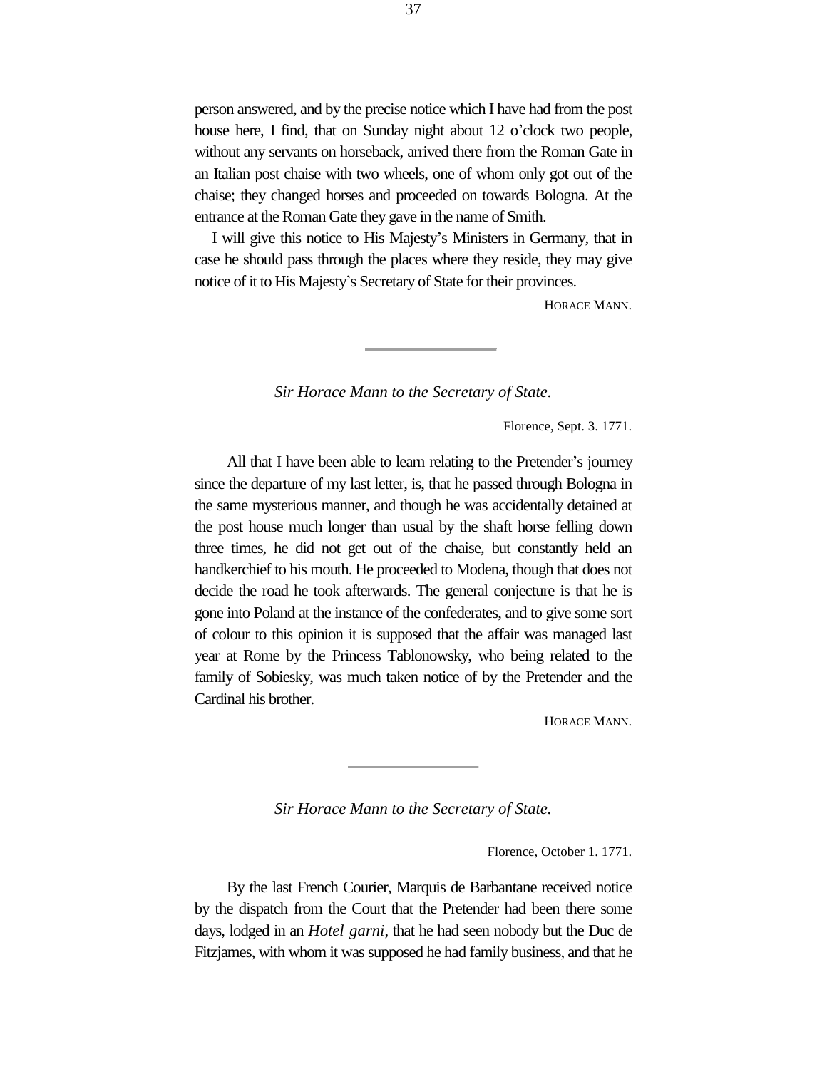person answered, and by the precise notice which I have had from the post house here, I find, that on Sunday night about 12 o'clock two people, without any servants on horseback, arrived there from the Roman Gate in an Italian post chaise with two wheels, one of whom only got out of the chaise; they changed horses and proceeded on towards Bologna. At the entrance at the Roman Gate they gave in the name of Smith.

I will give this notice to His Majesty's Ministers in Germany, that in case he should pass through the places where they reside, they may give notice of it to His Majesty's Secretary of State for their provinces.

HORACE MANN.

*Sir Horace Mann to the Secretary of State.*

Florence, Sept. 3. 1771.

All that I have been able to learn relating to the Pretender's journey since the departure of my last letter, is, that he passed through Bologna in the same mysterious manner, and though he was accidentally detained at the post house much longer than usual by the shaft horse felling down three times, he did not get out of the chaise, but constantly held an handkerchief to his mouth. He proceeded to Modena, though that does not decide the road he took afterwards. The general conjecture is that he is gone into Poland at the instance of the confederates, and to give some sort of colour to this opinion it is supposed that the affair was managed last year at Rome by the Princess Tablonowsky, who being related to the family of Sobiesky, was much taken notice of by the Pretender and the Cardinal his brother.

HORACE MANN.

*Sir Horace Mann to the Secretary of State.*

Florence, October 1. 1771.

By the last French Courier, Marquis de Barbantane received notice by the dispatch from the Court that the Pretender had been there some days, lodged in an *Hotel garni*, that he had seen nobody but the Duc de Fitzjames, with whom it was supposed he had family business, and that he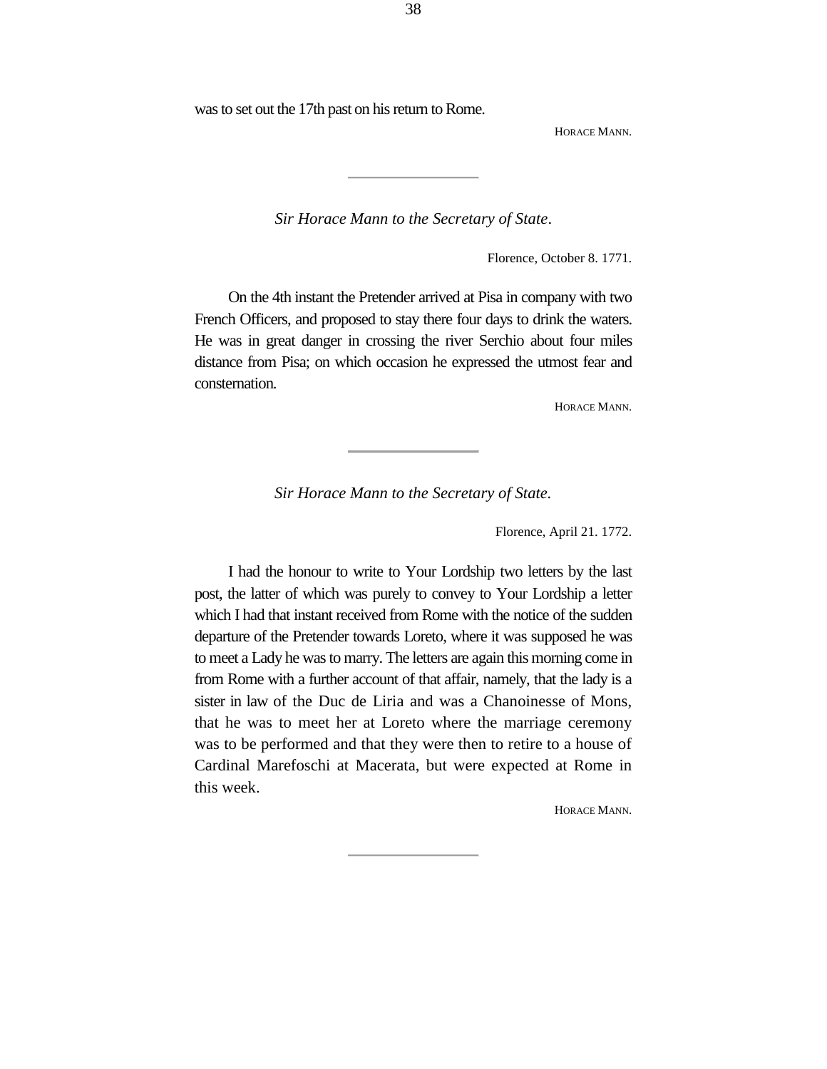was to set out the 17th past on his return to Rome.

HORACE MANN.

*Sir Horace Mann to the Secretary of State*.

Florence, October 8. 1771.

On the 4th instant the Pretender arrived at Pisa in company with two French Officers, and proposed to stay there four days to drink the waters. He was in great danger in crossing the river Serchio about four miles distance from Pisa; on which occasion he expressed the utmost fear and consternation.

HORACE MANN.

*Sir Horace Mann to the Secretary of State.*

Florence, April 21. 1772.

I had the honour to write to Your Lordship two letters by the last post, the latter of which was purely to convey to Your Lordship a letter which I had that instant received from Rome with the notice of the sudden departure of the Pretender towards Loreto, where it was supposed he was to meet a Lady he was to marry. The letters are again this morning come in from Rome with a further account of that affair, namely, that the lady is a sister in law of the Duc de Liria and was a Chanoinesse of Mons, that he was to meet her at Loreto where the marriage ceremony was to be performed and that they were then to retire to a house of Cardinal Marefoschi at Macerata, but were expected at Rome in this week.

HORACE MANN.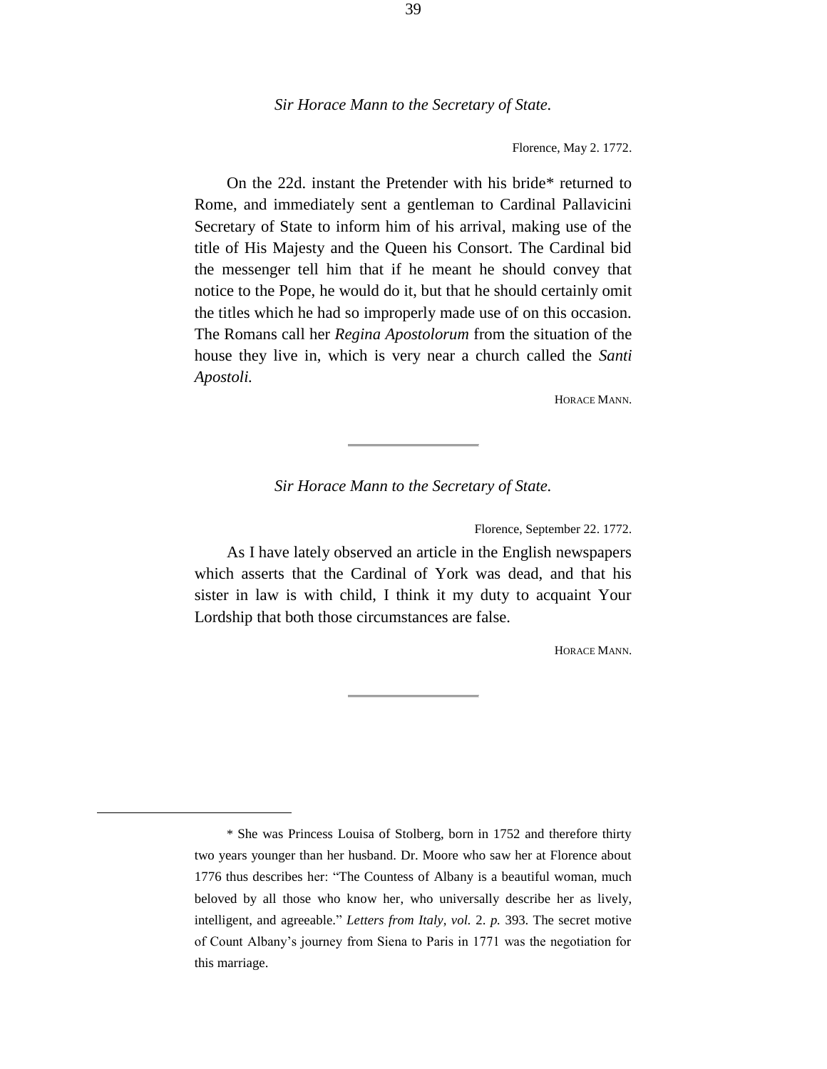Florence, May 2. 1772.

On the 22d. instant the Pretender with his bride\* returned to Rome, and immediately sent a gentleman to Cardinal Pallavicini Secretary of State to inform him of his arrival, making use of the title of His Majesty and the Queen his Consort. The Cardinal bid the messenger tell him that if he meant he should convey that notice to the Pope, he would do it, but that he should certainly omit the titles which he had so improperly made use of on this occasion. The Romans call her *Regina Apostolorum* from the situation of the house they live in, which is very near a church called the *Santi Apostoli.*

HORACE MANN.

## *Sir Horace Mann to the Secretary of State.*

Florence, September 22. 1772.

As I have lately observed an article in the English newspapers which asserts that the Cardinal of York was dead, and that his sister in law is with child, I think it my duty to acquaint Your Lordship that both those circumstances are false.

HORACE MANN.

÷.

<sup>\*</sup> She was Princess Louisa of Stolberg, born in 1752 and therefore thirty two years younger than her husband. Dr. Moore who saw her at Florence about 1776 thus describes her: "The Countess of Albany is a beautiful woman, much beloved by all those who know her, who universally describe her as lively, intelligent, and agreeable." *Letters from Italy, vol.* 2. *p.* 393. The secret motive of Count Albany's journey from Siena to Paris in 1771 was the negotiation for this marriage.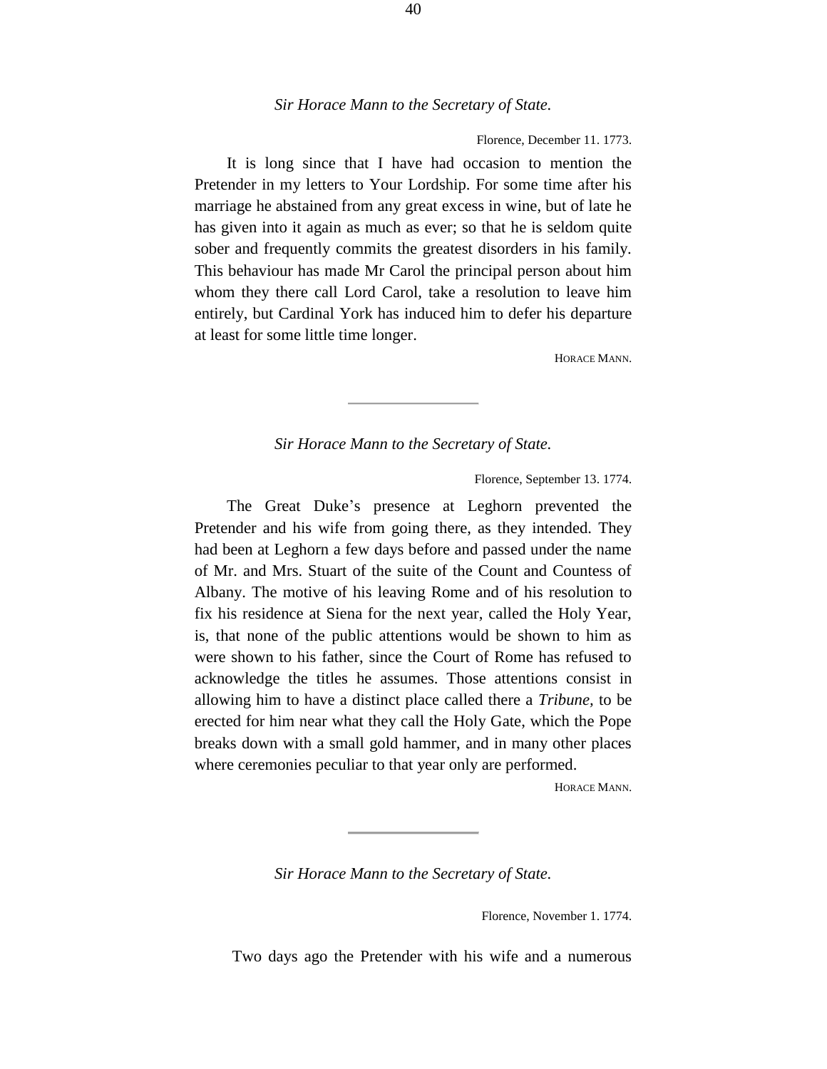Florence, December 11. 1773.

It is long since that I have had occasion to mention the Pretender in my letters to Your Lordship. For some time after his marriage he abstained from any great excess in wine, but of late he has given into it again as much as ever; so that he is seldom quite sober and frequently commits the greatest disorders in his family. This behaviour has made Mr Carol the principal person about him whom they there call Lord Carol, take a resolution to leave him entirely, but Cardinal York has induced him to defer his departure at least for some little time longer.

HORACE MANN.

*Sir Horace Mann to the Secretary of State.*

Florence, September 13. 1774.

The Great Duke's presence at Leghorn prevented the Pretender and his wife from going there, as they intended. They had been at Leghorn a few days before and passed under the name of Mr. and Mrs. Stuart of the suite of the Count and Countess of Albany. The motive of his leaving Rome and of his resolution to fix his residence at Siena for the next year, called the Holy Year, is, that none of the public attentions would be shown to him as were shown to his father, since the Court of Rome has refused to acknowledge the titles he assumes. Those attentions consist in allowing him to have a distinct place called there a *Tribune,* to be erected for him near what they call the Holy Gate, which the Pope breaks down with a small gold hammer, and in many other places where ceremonies peculiar to that year only are performed.

HORACE MANN.

*Sir Horace Mann to the Secretary of State.*

Florence, November 1. 1774.

Two days ago the Pretender with his wife and a numerous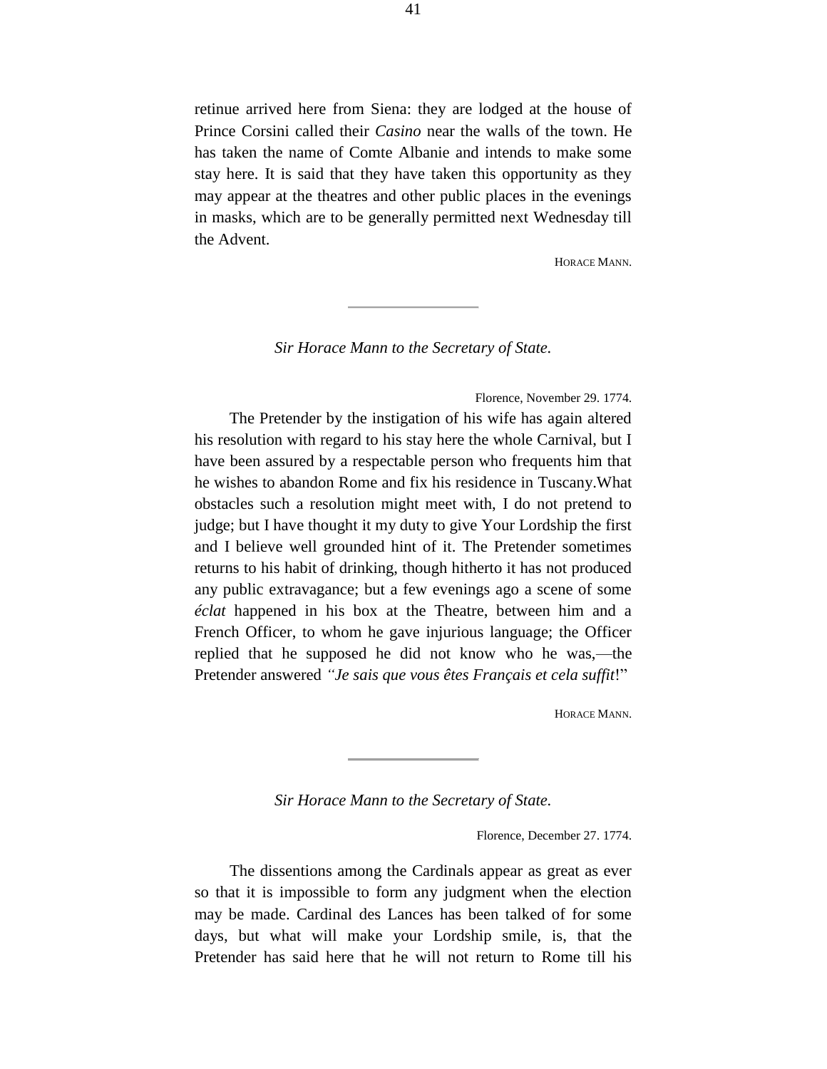retinue arrived here from Siena: they are lodged at the house of Prince Corsini called their *Casino* near the walls of the town. He has taken the name of Comte Albanie and intends to make some stay here. It is said that they have taken this opportunity as they may appear at the theatres and other public places in the evenings in masks, which are to be generally permitted next Wednesday till the Advent.

HORACE MANN.

*Sir Horace Mann to the Secretary of State.*

Florence, November 29. 1774.

The Pretender by the instigation of his wife has again altered his resolution with regard to his stay here the whole Carnival, but I have been assured by a respectable person who frequents him that he wishes to abandon Rome and fix his residence in Tuscany.What obstacles such a resolution might meet with, I do not pretend to judge; but I have thought it my duty to give Your Lordship the first and I believe well grounded hint of it. The Pretender sometimes returns to his habit of drinking, though hitherto it has not produced any public extravagance; but a few evenings ago a scene of some *éclat* happened in his box at the Theatre, between him and a French Officer, to whom he gave injurious language; the Officer replied that he supposed he did not know who he was,—the Pretender answered *"Je sais que vous êtes Français et cela suffit*!"

HORACE MANN.

*Sir Horace Mann to the Secretary of State.*

Florence, December 27. 1774.

The dissentions among the Cardinals appear as great as ever so that it is impossible to form any judgment when the election may be made. Cardinal des Lances has been talked of for some days, but what will make your Lordship smile, is, that the Pretender has said here that he will not return to Rome till his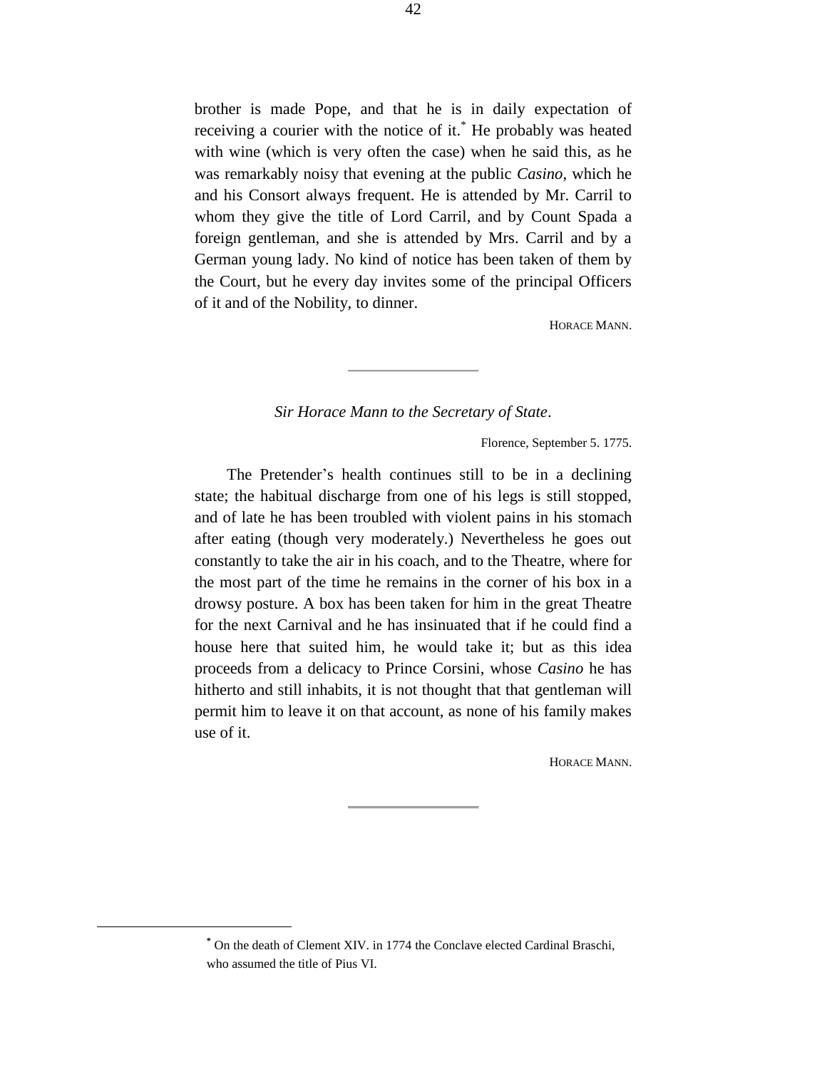brother is made Pope, and that he is in daily expectation of receiving a courier with the notice of it.<sup>\*</sup> He probably was heated with wine (which is very often the case) when he said this, as he was remarkably noisy that evening at the public *Casino*, which he and his Consort always frequent. He is attended by Mr. Carril to whom they give the title of Lord Carril, and by Count Spada a foreign gentleman, and she is attended by Mrs. Carril and by a German young lady. No kind of notice has been taken of them by the Court, but he every day invites some of the principal Officers of it and of the Nobility, to dinner.

HORACE MANN.

# *Sir Horace Mann to the Secretary of State*.

Florence, September 5. 1775.

The Pretender's health continues still to be in a declining state; the habitual discharge from one of his legs is still stopped, and of late he has been troubled with violent pains in his stomach after eating (though very moderately.) Nevertheless he goes out constantly to take the air in his coach, and to the Theatre, where for the most part of the time he remains in the corner of his box in a drowsy posture. A box has been taken for him in the great Theatre for the next Carnival and he has insinuated that if he could find a house here that suited him, he would take it; but as this idea proceeds from a delicacy to Prince Corsini, whose *Casino* he has hitherto and still inhabits, it is not thought that that gentleman will permit him to leave it on that account, as none of his family makes use of it.

HORACE MANN.

÷.

**<sup>\*</sup>** On the death of Clement XIV. in 1774 the Conclave elected Cardinal Braschi, who assumed the title of Pius VI.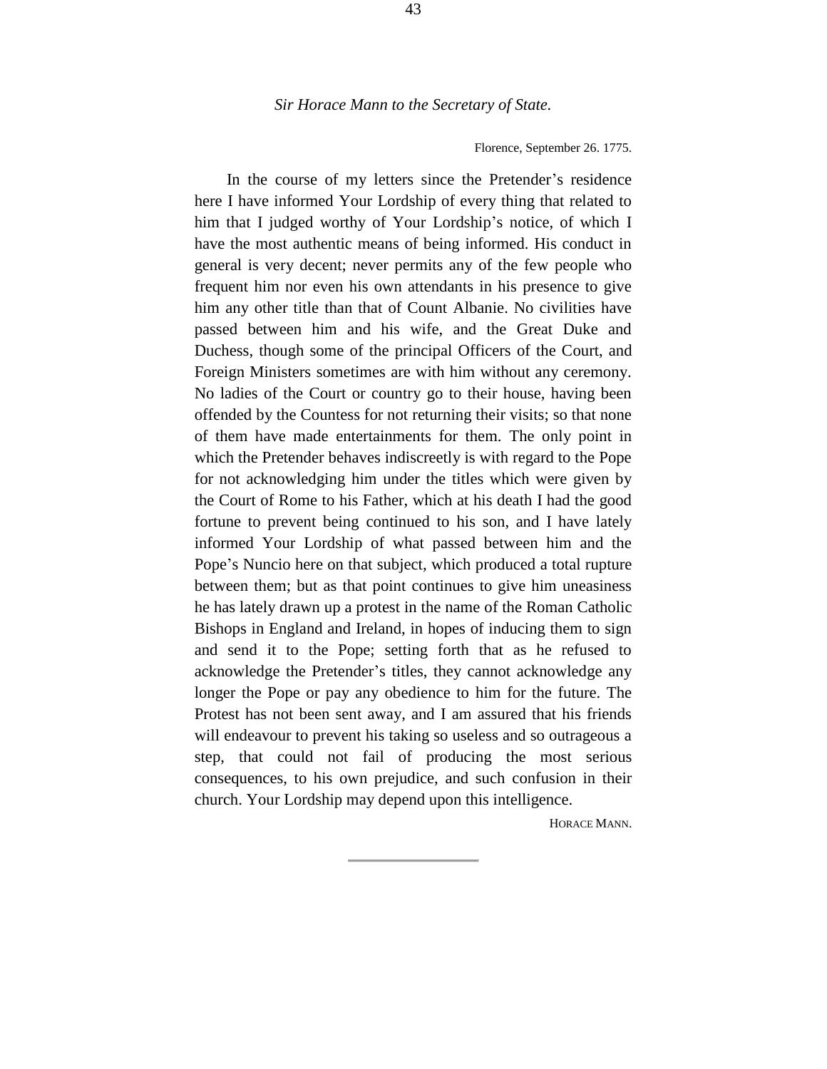#### Florence, September 26. 1775.

In the course of my letters since the Pretender's residence here I have informed Your Lordship of every thing that related to him that I judged worthy of Your Lordship's notice, of which I have the most authentic means of being informed. His conduct in general is very decent; never permits any of the few people who frequent him nor even his own attendants in his presence to give him any other title than that of Count Albanie. No civilities have passed between him and his wife, and the Great Duke and Duchess, though some of the principal Officers of the Court, and Foreign Ministers sometimes are with him without any ceremony. No ladies of the Court or country go to their house, having been offended by the Countess for not returning their visits; so that none of them have made entertainments for them. The only point in which the Pretender behaves indiscreetly is with regard to the Pope for not acknowledging him under the titles which were given by the Court of Rome to his Father, which at his death I had the good fortune to prevent being continued to his son, and I have lately informed Your Lordship of what passed between him and the Pope's Nuncio here on that subject, which produced a total rupture between them; but as that point continues to give him uneasiness he has lately drawn up a protest in the name of the Roman Catholic Bishops in England and Ireland, in hopes of inducing them to sign and send it to the Pope; setting forth that as he refused to acknowledge the Pretender's titles, they cannot acknowledge any longer the Pope or pay any obedience to him for the future. The Protest has not been sent away, and I am assured that his friends will endeavour to prevent his taking so useless and so outrageous a step, that could not fail of producing the most serious consequences, to his own prejudice, and such confusion in their church. Your Lordship may depend upon this intelligence.

HORACE MANN.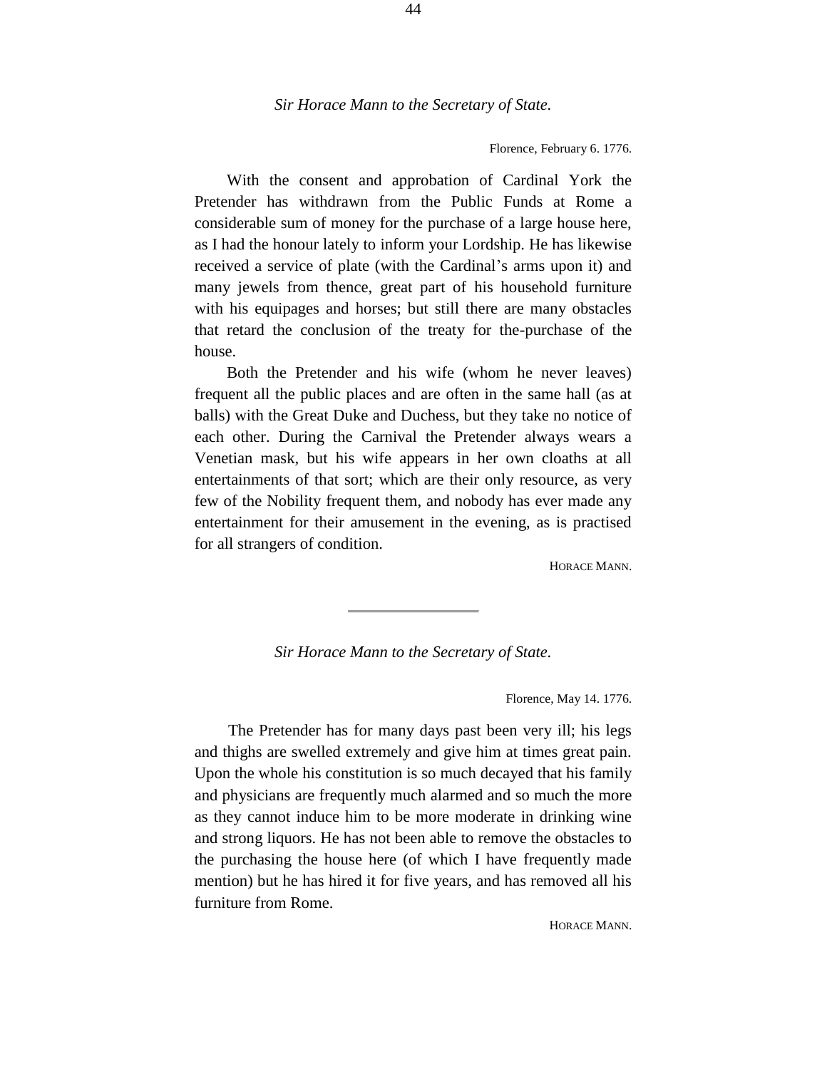#### Florence, February 6. 1776.

With the consent and approbation of Cardinal York the Pretender has withdrawn from the Public Funds at Rome a considerable sum of money for the purchase of a large house here, as I had the honour lately to inform your Lordship. He has likewise received a service of plate (with the Cardinal's arms upon it) and many jewels from thence, great part of his household furniture with his equipages and horses; but still there are many obstacles that retard the conclusion of the treaty for the-purchase of the house.

Both the Pretender and his wife (whom he never leaves) frequent all the public places and are often in the same hall (as at balls) with the Great Duke and Duchess, but they take no notice of each other. During the Carnival the Pretender always wears a Venetian mask, but his wife appears in her own cloaths at all entertainments of that sort; which are their only resource, as very few of the Nobility frequent them, and nobody has ever made any entertainment for their amusement in the evening, as is practised for all strangers of condition.

HORACE MANN.

### *Sir Horace Mann to the Secretary of State.*

Florence, May 14. 1776.

The Pretender has for many days past been very ill; his legs and thighs are swelled extremely and give him at times great pain. Upon the whole his constitution is so much decayed that his family and physicians are frequently much alarmed and so much the more as they cannot induce him to be more moderate in drinking wine and strong liquors. He has not been able to remove the obstacles to the purchasing the house here (of which I have frequently made mention) but he has hired it for five years, and has removed all his furniture from Rome.

HORACE MANN.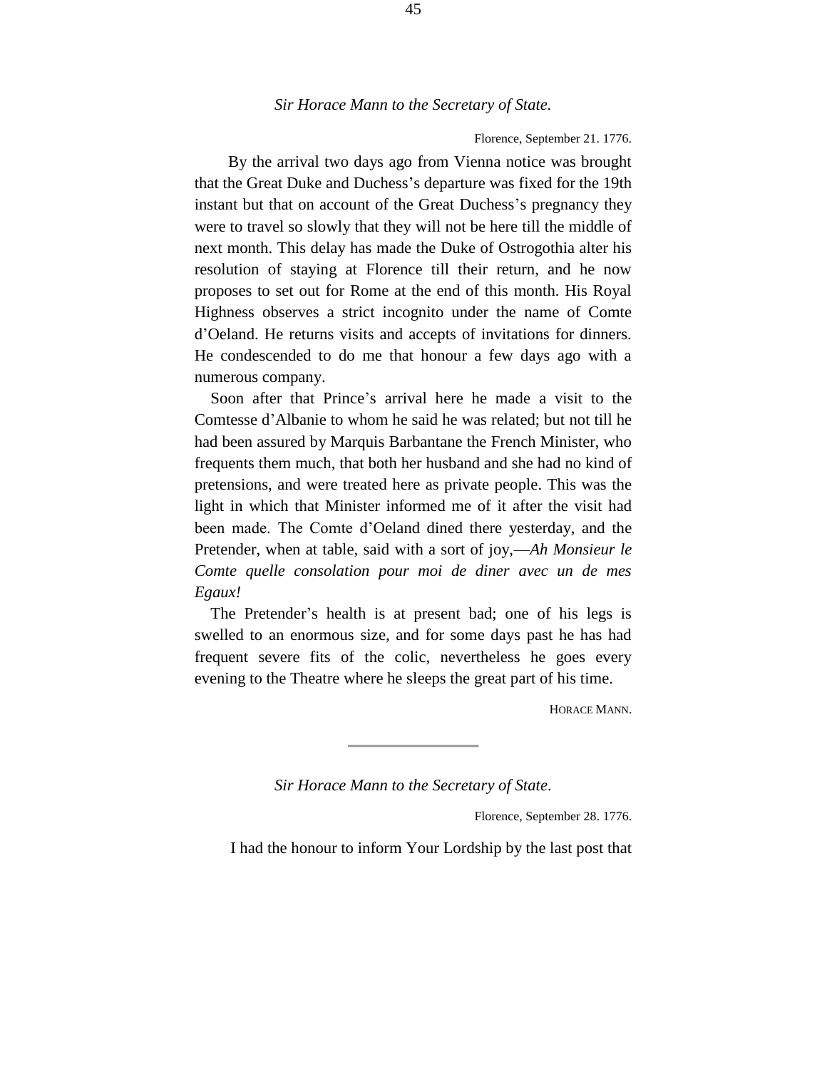#### Florence, September 21. 1776.

By the arrival two days ago from Vienna notice was brought that the Great Duke and Duchess's departure was fixed for the 19th instant but that on account of the Great Duchess's pregnancy they were to travel so slowly that they will not be here till the middle of next month. This delay has made the Duke of Ostrogothia alter his resolution of staying at Florence till their return, and he now proposes to set out for Rome at the end of this month. His Royal Highness observes a strict incognito under the name of Comte d'Oeland. He returns visits and accepts of invitations for dinners. He condescended to do me that honour a few days ago with a numerous company.

Soon after that Prince's arrival here he made a visit to the Comtesse d'Albanie to whom he said he was related; but not till he had been assured by Marquis Barbantane the French Minister, who frequents them much, that both her husband and she had no kind of pretensions, and were treated here as private people. This was the light in which that Minister informed me of it after the visit had been made. The Comte d'Oeland dined there yesterday, and the Pretender, when at table, said with a sort of joy,—*Ah Monsieur le Comte quelle consolation pour moi de diner avec un de mes Egaux!*

The Pretender's health is at present bad; one of his legs is swelled to an enormous size, and for some days past he has had frequent severe fits of the colic, nevertheless he goes every evening to the Theatre where he sleeps the great part of his time.

HORACE MANN.

*Sir Horace Mann to the Secretary of State*.

Florence, September 28. 1776.

I had the honour to inform Your Lordship by the last post that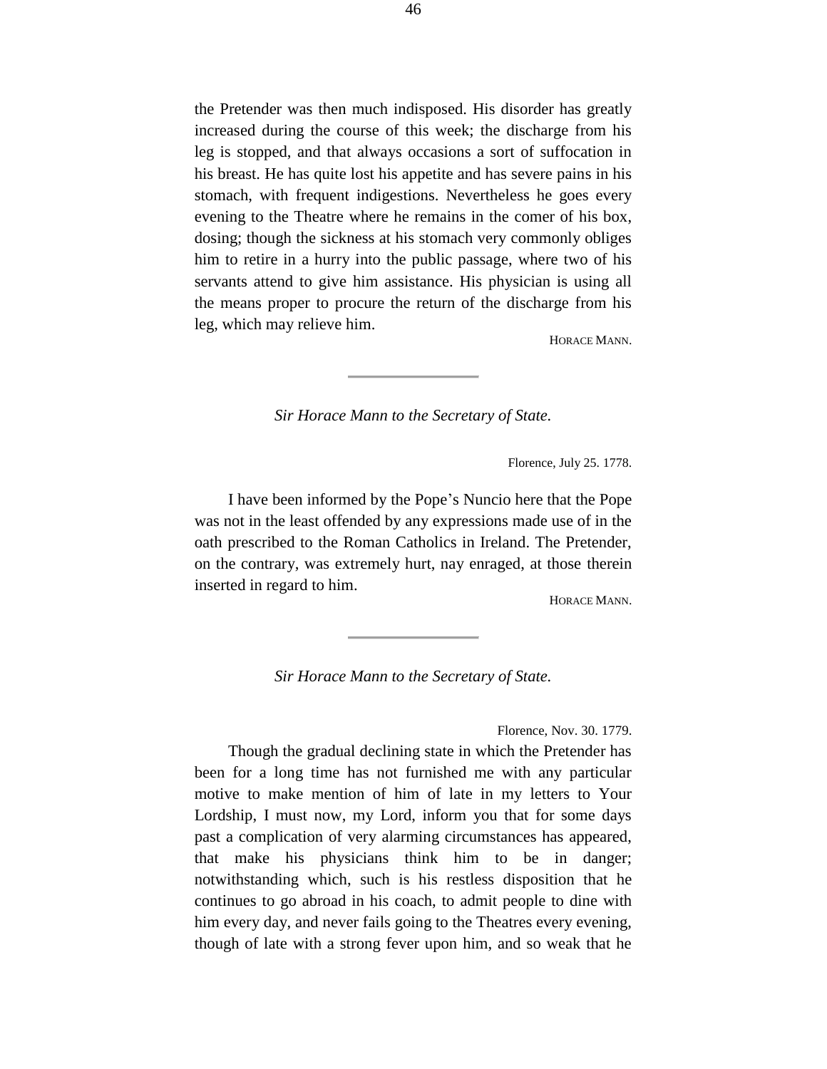the Pretender was then much indisposed. His disorder has greatly increased during the course of this week; the discharge from his leg is stopped, and that always occasions a sort of suffocation in his breast. He has quite lost his appetite and has severe pains in his stomach, with frequent indigestions. Nevertheless he goes every evening to the Theatre where he remains in the comer of his box, dosing; though the sickness at his stomach very commonly obliges him to retire in a hurry into the public passage, where two of his servants attend to give him assistance. His physician is using all the means proper to procure the return of the discharge from his leg, which may relieve him.

HORACE MANN.

*Sir Horace Mann to the Secretary of State.*

Florence, July 25. 1778.

I have been informed by the Pope's Nuncio here that the Pope was not in the least offended by any expressions made use of in the oath prescribed to the Roman Catholics in Ireland. The Pretender, on the contrary, was extremely hurt, nay enraged, at those therein inserted in regard to him.

HORACE MANN.

*Sir Horace Mann to the Secretary of State.*

Florence, Nov. 30. 1779.

Though the gradual declining state in which the Pretender has been for a long time has not furnished me with any particular motive to make mention of him of late in my letters to Your Lordship, I must now, my Lord, inform you that for some days past a complication of very alarming circumstances has appeared, that make his physicians think him to be in danger; notwithstanding which, such is his restless disposition that he continues to go abroad in his coach, to admit people to dine with him every day, and never fails going to the Theatres every evening, though of late with a strong fever upon him, and so weak that he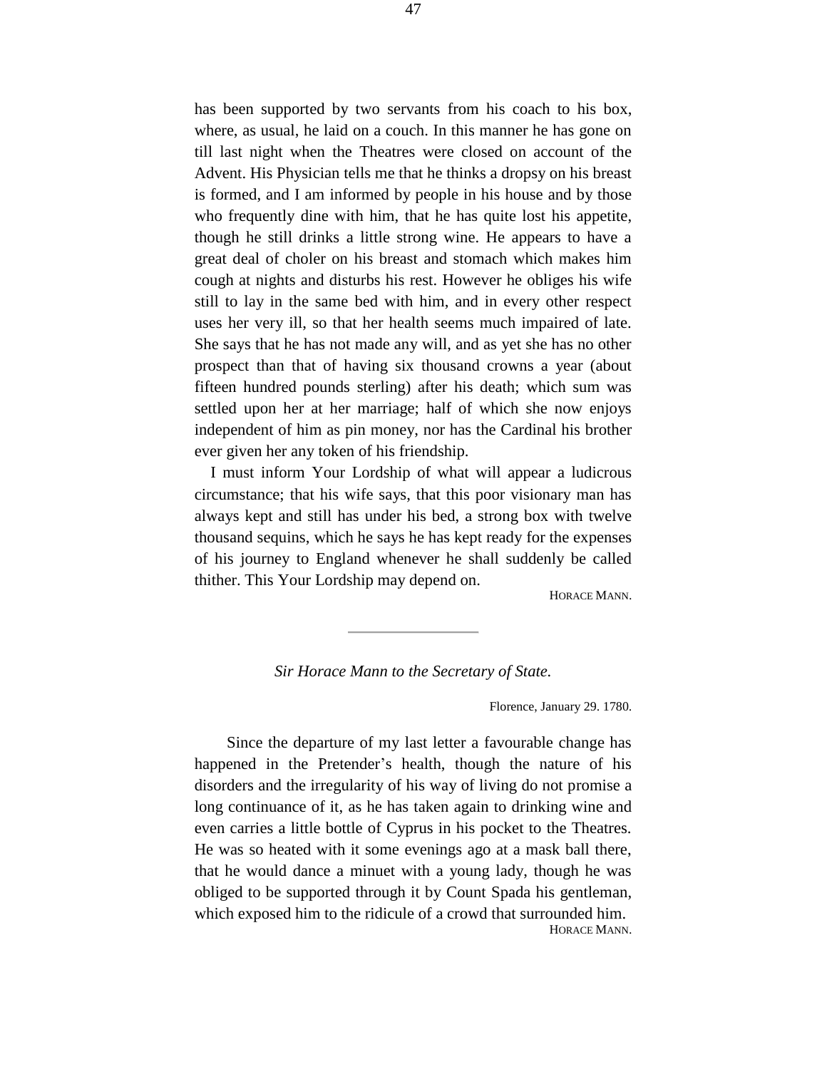has been supported by two servants from his coach to his box, where, as usual, he laid on a couch. In this manner he has gone on till last night when the Theatres were closed on account of the Advent. His Physician tells me that he thinks a dropsy on his breast is formed, and I am informed by people in his house and by those who frequently dine with him, that he has quite lost his appetite, though he still drinks a little strong wine. He appears to have a great deal of choler on his breast and stomach which makes him cough at nights and disturbs his rest. However he obliges his wife still to lay in the same bed with him, and in every other respect uses her very ill, so that her health seems much impaired of late. She says that he has not made any will, and as yet she has no other prospect than that of having six thousand crowns a year (about fifteen hundred pounds sterling) after his death; which sum was settled upon her at her marriage; half of which she now enjoys independent of him as pin money, nor has the Cardinal his brother ever given her any token of his friendship.

I must inform Your Lordship of what will appear a ludicrous circumstance; that his wife says, that this poor visionary man has always kept and still has under his bed, a strong box with twelve thousand sequins, which he says he has kept ready for the expenses of his journey to England whenever he shall suddenly be called thither. This Your Lordship may depend on.

HORACE MANN.

*Sir Horace Mann to the Secretary of State.*

Florence, January 29. 1780.

Since the departure of my last letter a favourable change has happened in the Pretender's health, though the nature of his disorders and the irregularity of his way of living do not promise a long continuance of it, as he has taken again to drinking wine and even carries a little bottle of Cyprus in his pocket to the Theatres. He was so heated with it some evenings ago at a mask ball there, that he would dance a minuet with a young lady, though he was obliged to be supported through it by Count Spada his gentleman, which exposed him to the ridicule of a crowd that surrounded him. HORACE MANN.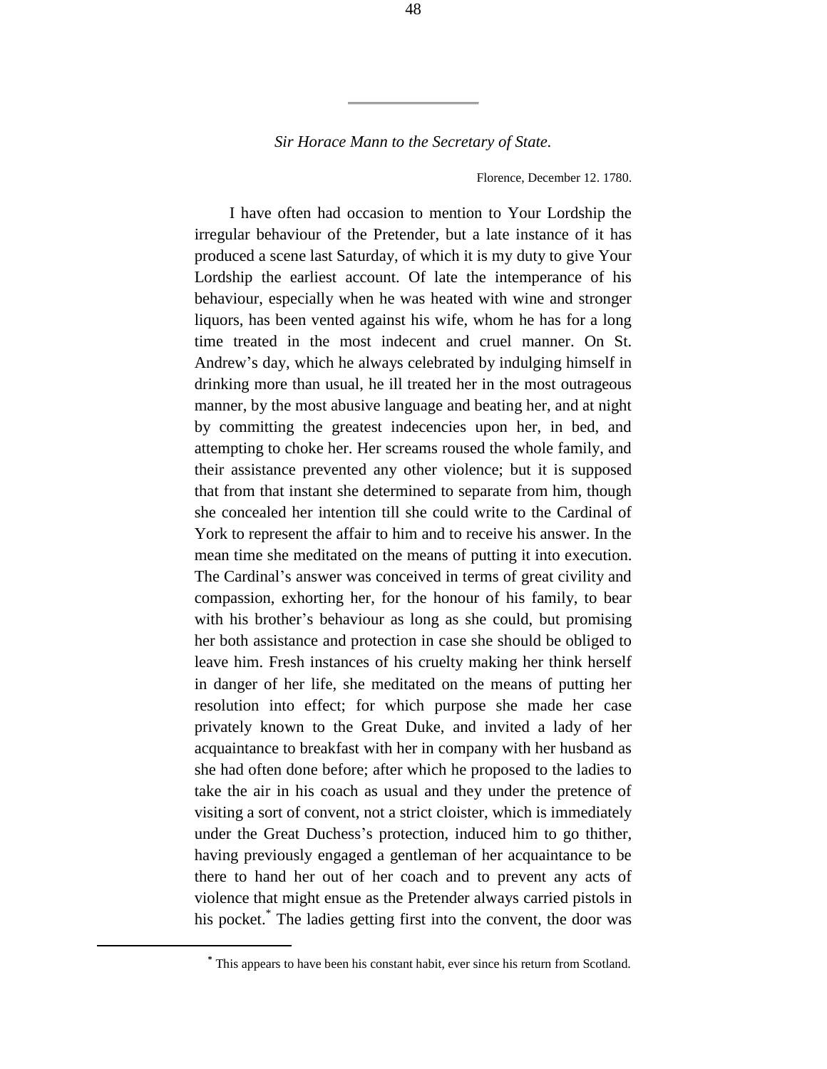Florence, December 12. 1780.

I have often had occasion to mention to Your Lordship the irregular behaviour of the Pretender, but a late instance of it has produced a scene last Saturday, of which it is my duty to give Your Lordship the earliest account. Of late the intemperance of his behaviour, especially when he was heated with wine and stronger liquors, has been vented against his wife, whom he has for a long time treated in the most indecent and cruel manner. On St. Andrew's day, which he always celebrated by indulging himself in drinking more than usual, he ill treated her in the most outrageous manner, by the most abusive language and beating her, and at night by committing the greatest indecencies upon her, in bed, and attempting to choke her. Her screams roused the whole family, and their assistance prevented any other violence; but it is supposed that from that instant she determined to separate from him, though she concealed her intention till she could write to the Cardinal of York to represent the affair to him and to receive his answer. In the mean time she meditated on the means of putting it into execution. The Cardinal's answer was conceived in terms of great civility and compassion, exhorting her, for the honour of his family, to bear with his brother's behaviour as long as she could, but promising her both assistance and protection in case she should be obliged to leave him. Fresh instances of his cruelty making her think herself in danger of her life, she meditated on the means of putting her resolution into effect; for which purpose she made her case privately known to the Great Duke, and invited a lady of her acquaintance to breakfast with her in company with her husband as she had often done before; after which he proposed to the ladies to take the air in his coach as usual and they under the pretence of visiting a sort of convent, not a strict cloister, which is immediately under the Great Duchess's protection, induced him to go thither, having previously engaged a gentleman of her acquaintance to be there to hand her out of her coach and to prevent any acts of violence that might ensue as the Pretender always carried pistols in his pocket.\* The ladies getting first into the convent, the door was

÷.

**<sup>\*</sup>** This appears to have been his constant habit, ever since his return from Scotland.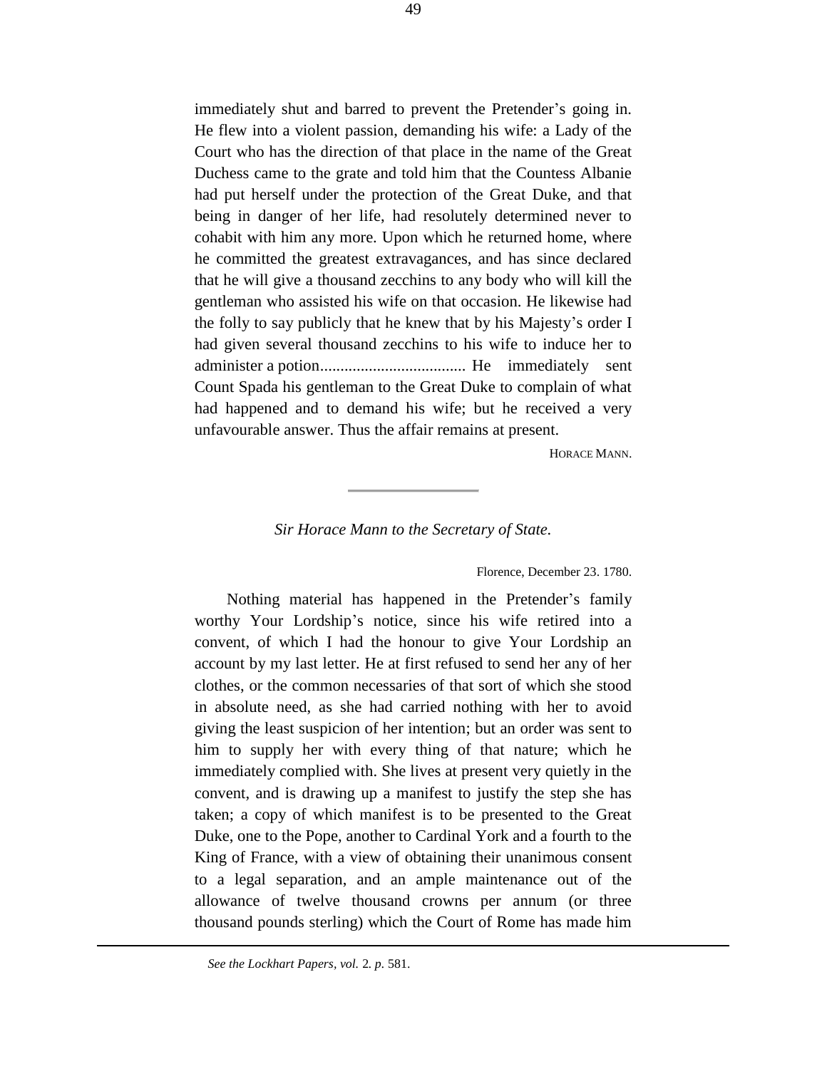immediately shut and barred to prevent the Pretender's going in. He flew into a violent passion, demanding his wife: a Lady of the Court who has the direction of that place in the name of the Great Duchess came to the grate and told him that the Countess Albanie had put herself under the protection of the Great Duke, and that being in danger of her life, had resolutely determined never to cohabit with him any more. Upon which he returned home, where he committed the greatest extravagances, and has since declared that he will give a thousand zecchins to any body who will kill the gentleman who assisted his wife on that occasion. He likewise had the folly to say publicly that he knew that by his Majesty's order I had given several thousand zecchins to his wife to induce her to administer a potion.................................... He immediately sent Count Spada his gentleman to the Great Duke to complain of what had happened and to demand his wife; but he received a very unfavourable answer. Thus the affair remains at present.

HORACE MANN.

#### *Sir Horace Mann to the Secretary of State.*

#### Florence, December 23. 1780.

Nothing material has happened in the Pretender's family worthy Your Lordship's notice, since his wife retired into a convent, of which I had the honour to give Your Lordship an account by my last letter. He at first refused to send her any of her clothes, or the common necessaries of that sort of which she stood in absolute need, as she had carried nothing with her to avoid giving the least suspicion of her intention; but an order was sent to him to supply her with every thing of that nature; which he immediately complied with. She lives at present very quietly in the convent, and is drawing up a manifest to justify the step she has taken; a copy of which manifest is to be presented to the Great Duke, one to the Pope, another to Cardinal York and a fourth to the King of France, with a view of obtaining their unanimous consent to a legal separation, and an ample maintenance out of the allowance of twelve thousand crowns per annum (or three thousand pounds sterling) which the Court of Rome has made him

÷.

*See the Lockhart Papers, vol.* 2*. p.* 581.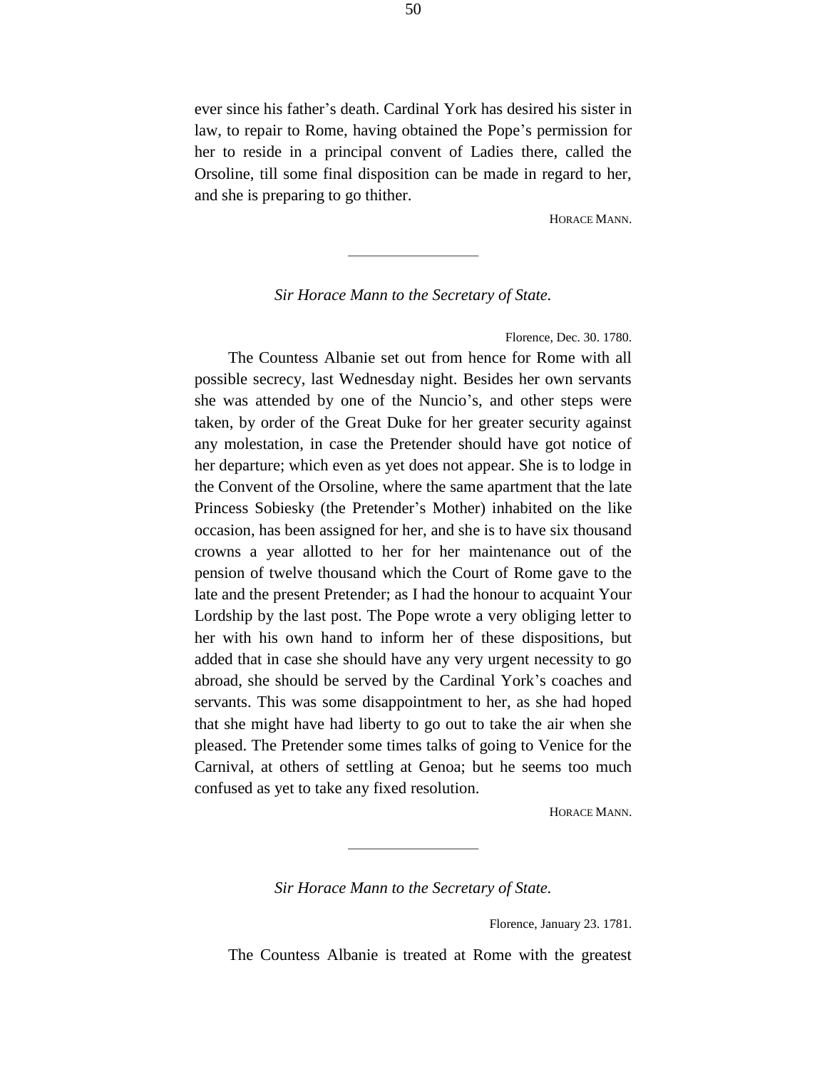ever since his father's death. Cardinal York has desired his sister in law, to repair to Rome, having obtained the Pope's permission for her to reside in a principal convent of Ladies there, called the Orsoline, till some final disposition can be made in regard to her, and she is preparing to go thither.

HORACE MANN.

## *Sir Horace Mann to the Secretary of State.*

Florence, Dec. 30. 1780.

The Countess Albanie set out from hence for Rome with all possible secrecy, last Wednesday night. Besides her own servants she was attended by one of the Nuncio's, and other steps were taken, by order of the Great Duke for her greater security against any molestation, in case the Pretender should have got notice of her departure; which even as yet does not appear. She is to lodge in the Convent of the Orsoline, where the same apartment that the late Princess Sobiesky (the Pretender's Mother) inhabited on the like occasion, has been assigned for her, and she is to have six thousand crowns a year allotted to her for her maintenance out of the pension of twelve thousand which the Court of Rome gave to the late and the present Pretender; as I had the honour to acquaint Your Lordship by the last post. The Pope wrote a very obliging letter to her with his own hand to inform her of these dispositions, but added that in case she should have any very urgent necessity to go abroad, she should be served by the Cardinal York's coaches and servants. This was some disappointment to her, as she had hoped that she might have had liberty to go out to take the air when she pleased. The Pretender some times talks of going to Venice for the Carnival, at others of settling at Genoa; but he seems too much confused as yet to take any fixed resolution.

HORACE MANN.

*Sir Horace Mann to the Secretary of State.*

Florence, January 23. 1781.

The Countess Albanie is treated at Rome with the greatest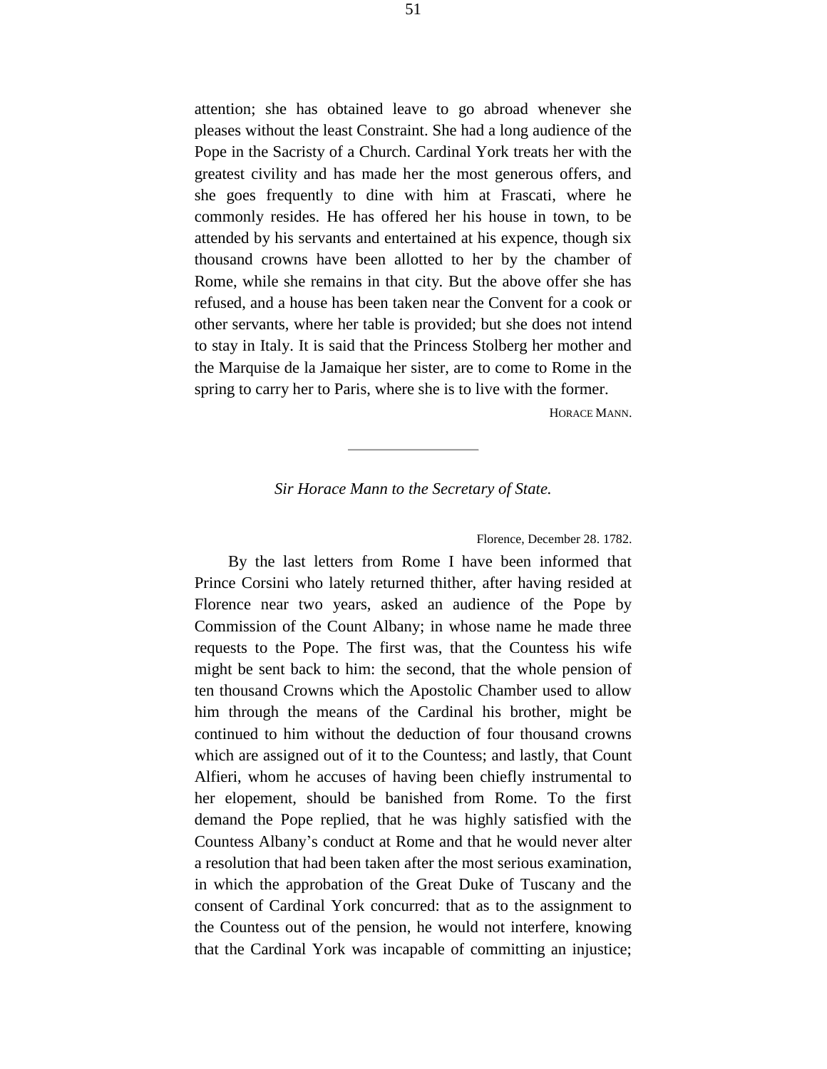attention; she has obtained leave to go abroad whenever she pleases without the least Constraint. She had a long audience of the Pope in the Sacristy of a Church. Cardinal York treats her with the greatest civility and has made her the most generous offers, and she goes frequently to dine with him at Frascati, where he commonly resides. He has offered her his house in town, to be attended by his servants and entertained at his expence, though six thousand crowns have been allotted to her by the chamber of Rome, while she remains in that city. But the above offer she has refused, and a house has been taken near the Convent for a cook or other servants, where her table is provided; but she does not intend to stay in Italy. It is said that the Princess Stolberg her mother and the Marquise de la Jamaique her sister, are to come to Rome in the spring to carry her to Paris, where she is to live with the former.

HORACE MANN.

## *Sir Horace Mann to the Secretary of State.*

Florence, December 28. 1782.

By the last letters from Rome I have been informed that Prince Corsini who lately returned thither, after having resided at Florence near two years, asked an audience of the Pope by Commission of the Count Albany; in whose name he made three requests to the Pope. The first was, that the Countess his wife might be sent back to him: the second, that the whole pension of ten thousand Crowns which the Apostolic Chamber used to allow him through the means of the Cardinal his brother, might be continued to him without the deduction of four thousand crowns which are assigned out of it to the Countess; and lastly, that Count Alfieri, whom he accuses of having been chiefly instrumental to her elopement, should be banished from Rome. To the first demand the Pope replied, that he was highly satisfied with the Countess Albany's conduct at Rome and that he would never alter a resolution that had been taken after the most serious examination, in which the approbation of the Great Duke of Tuscany and the consent of Cardinal York concurred: that as to the assignment to the Countess out of the pension, he would not interfere, knowing that the Cardinal York was incapable of committing an injustice;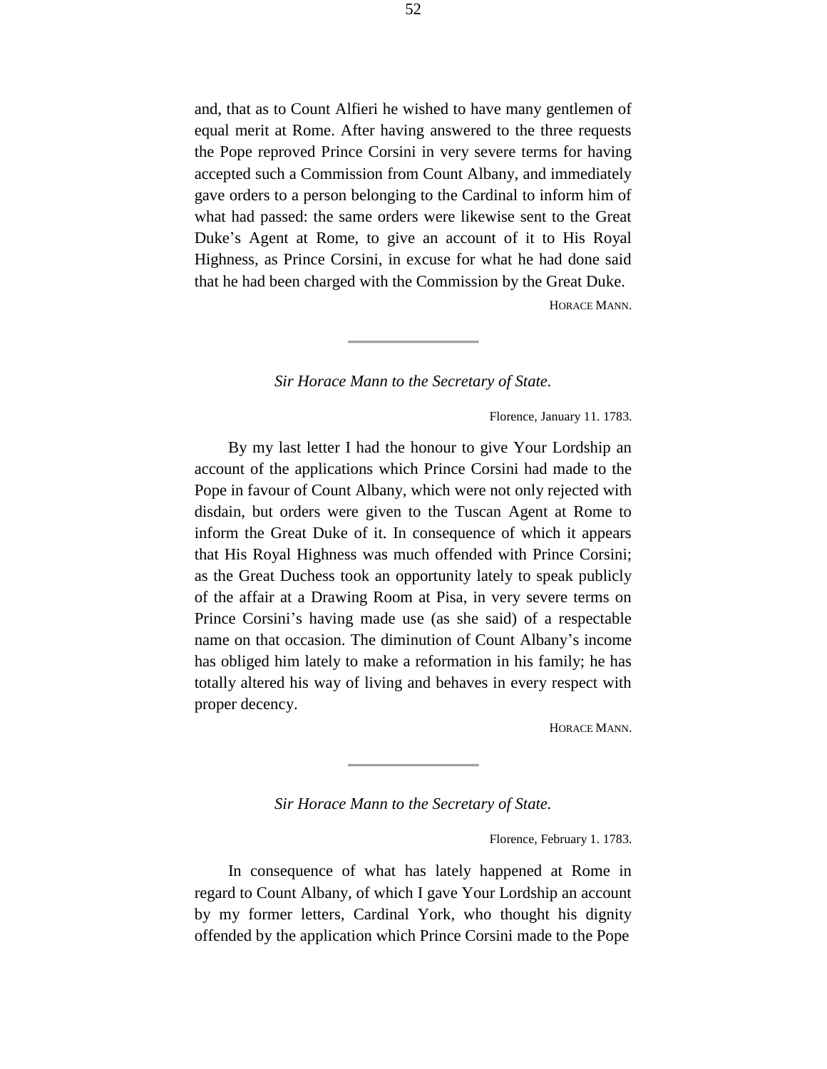and, that as to Count Alfieri he wished to have many gentlemen of equal merit at Rome. After having answered to the three requests the Pope reproved Prince Corsini in very severe terms for having accepted such a Commission from Count Albany, and immediately gave orders to a person belonging to the Cardinal to inform him of what had passed: the same orders were likewise sent to the Great Duke's Agent at Rome, to give an account of it to His Royal Highness, as Prince Corsini, in excuse for what he had done said that he had been charged with the Commission by the Great Duke.

HORACE MANN.

#### *Sir Horace Mann to the Secretary of State.*

Florence, January 11. 1783.

By my last letter I had the honour to give Your Lordship an account of the applications which Prince Corsini had made to the Pope in favour of Count Albany, which were not only rejected with disdain, but orders were given to the Tuscan Agent at Rome to inform the Great Duke of it. In consequence of which it appears that His Royal Highness was much offended with Prince Corsini; as the Great Duchess took an opportunity lately to speak publicly of the affair at a Drawing Room at Pisa, in very severe terms on Prince Corsini's having made use (as she said) of a respectable name on that occasion. The diminution of Count Albany's income has obliged him lately to make a reformation in his family; he has totally altered his way of living and behaves in every respect with proper decency.

HORACE MANN.

*Sir Horace Mann to the Secretary of State.*

Florence, February 1. 1783.

In consequence of what has lately happened at Rome in regard to Count Albany, of which I gave Your Lordship an account by my former letters, Cardinal York, who thought his dignity offended by the application which Prince Corsini made to the Pope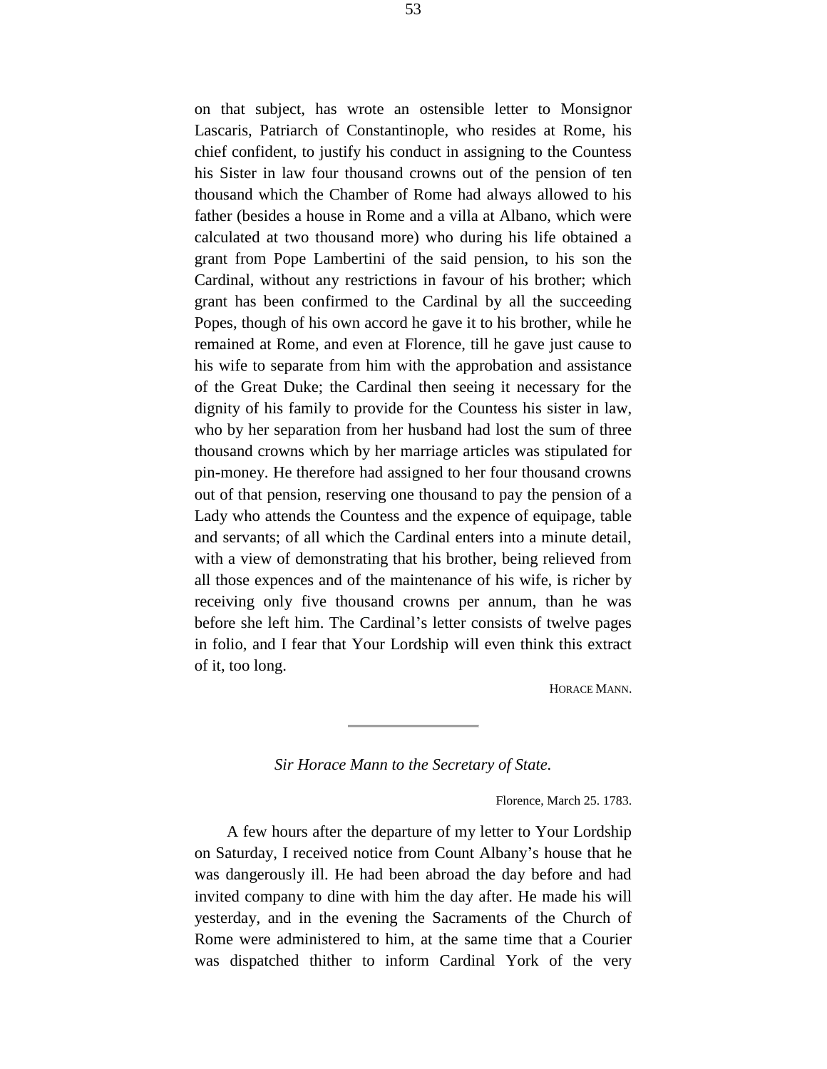on that subject, has wrote an ostensible letter to Monsignor Lascaris, Patriarch of Constantinople, who resides at Rome, his chief confident, to justify his conduct in assigning to the Countess his Sister in law four thousand crowns out of the pension of ten thousand which the Chamber of Rome had always allowed to his father (besides a house in Rome and a villa at Albano, which were calculated at two thousand more) who during his life obtained a grant from Pope Lambertini of the said pension, to his son the Cardinal, without any restrictions in favour of his brother; which grant has been confirmed to the Cardinal by all the succeeding Popes, though of his own accord he gave it to his brother, while he remained at Rome, and even at Florence, till he gave just cause to his wife to separate from him with the approbation and assistance of the Great Duke; the Cardinal then seeing it necessary for the dignity of his family to provide for the Countess his sister in law, who by her separation from her husband had lost the sum of three thousand crowns which by her marriage articles was stipulated for pin-money. He therefore had assigned to her four thousand crowns out of that pension, reserving one thousand to pay the pension of a Lady who attends the Countess and the expence of equipage, table and servants; of all which the Cardinal enters into a minute detail, with a view of demonstrating that his brother, being relieved from all those expences and of the maintenance of his wife, is richer by receiving only five thousand crowns per annum, than he was before she left him. The Cardinal's letter consists of twelve pages in folio, and I fear that Your Lordship will even think this extract of it, too long.

HORACE MANN.

*Sir Horace Mann to the Secretary of State.*

Florence, March 25. 1783.

A few hours after the departure of my letter to Your Lordship on Saturday, I received notice from Count Albany's house that he was dangerously ill. He had been abroad the day before and had invited company to dine with him the day after. He made his will yesterday, and in the evening the Sacraments of the Church of Rome were administered to him, at the same time that a Courier was dispatched thither to inform Cardinal York of the very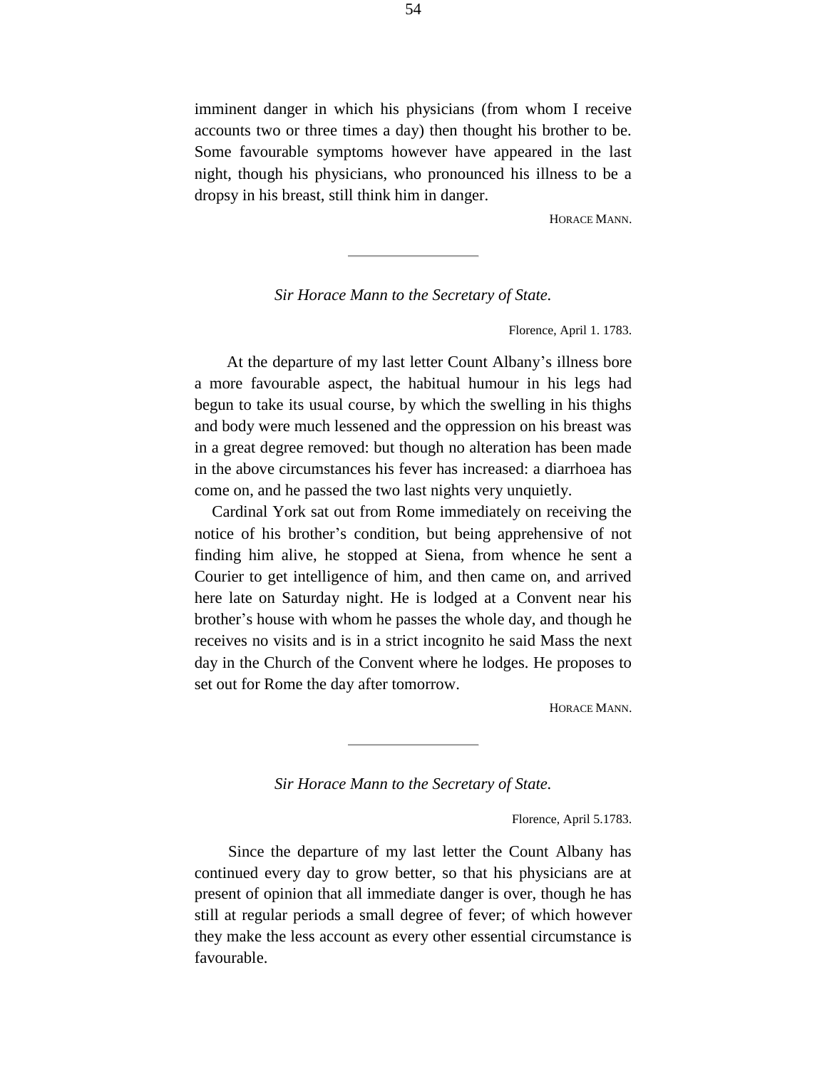imminent danger in which his physicians (from whom I receive accounts two or three times a day) then thought his brother to be. Some favourable symptoms however have appeared in the last night, though his physicians, who pronounced his illness to be a dropsy in his breast, still think him in danger.

HORACE MANN.

### *Sir Horace Mann to the Secretary of State.*

Florence, April 1. 1783.

At the departure of my last letter Count Albany's illness bore a more favourable aspect, the habitual humour in his legs had begun to take its usual course, by which the swelling in his thighs and body were much lessened and the oppression on his breast was in a great degree removed: but though no alteration has been made in the above circumstances his fever has increased: a diarrhoea has come on, and he passed the two last nights very unquietly.

Cardinal York sat out from Rome immediately on receiving the notice of his brother's condition, but being apprehensive of not finding him alive, he stopped at Siena, from whence he sent a Courier to get intelligence of him, and then came on, and arrived here late on Saturday night. He is lodged at a Convent near his brother's house with whom he passes the whole day, and though he receives no visits and is in a strict incognito he said Mass the next day in the Church of the Convent where he lodges. He proposes to set out for Rome the day after tomorrow.

HORACE MANN.

*Sir Horace Mann to the Secretary of State.*

Florence, April 5.1783.

Since the departure of my last letter the Count Albany has continued every day to grow better, so that his physicians are at present of opinion that all immediate danger is over, though he has still at regular periods a small degree of fever; of which however they make the less account as every other essential circumstance is favourable.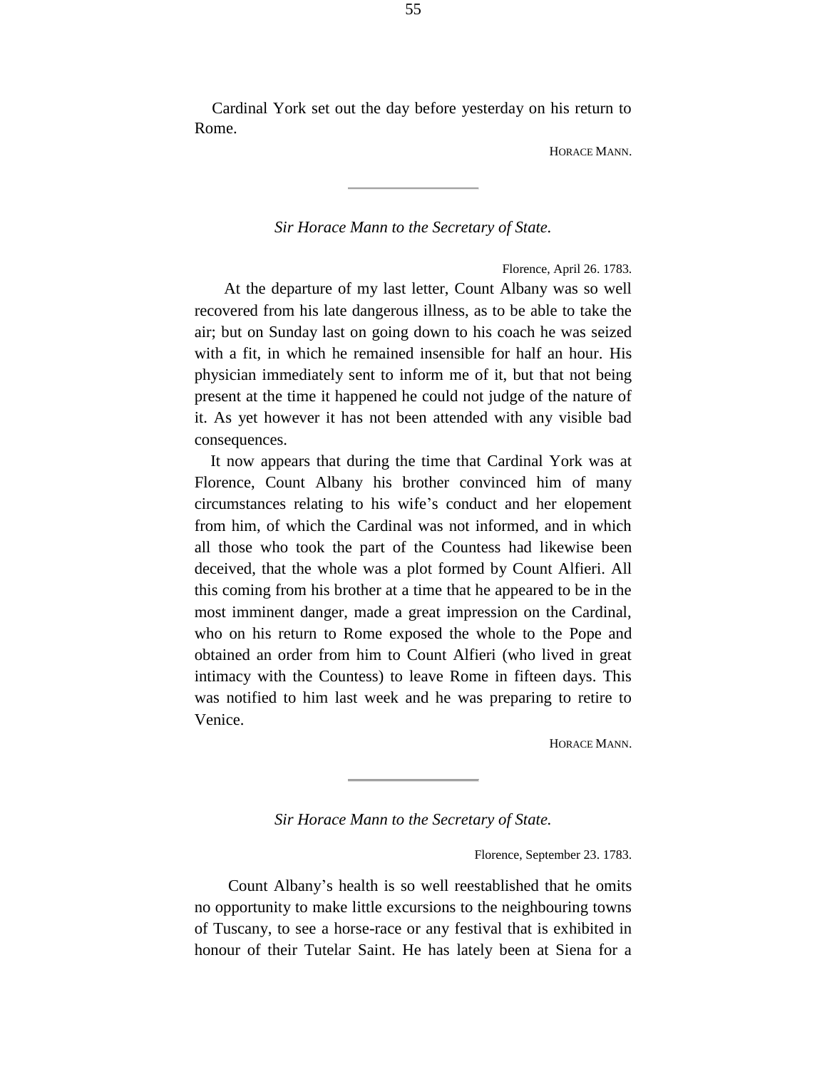Cardinal York set out the day before yesterday on his return to Rome.

HORACE MANN.

## *Sir Horace Mann to the Secretary of State.*

Florence, April 26. 1783.

At the departure of my last letter, Count Albany was so well recovered from his late dangerous illness, as to be able to take the air; but on Sunday last on going down to his coach he was seized with a fit, in which he remained insensible for half an hour. His physician immediately sent to inform me of it, but that not being present at the time it happened he could not judge of the nature of it. As yet however it has not been attended with any visible bad consequences.

It now appears that during the time that Cardinal York was at Florence, Count Albany his brother convinced him of many circumstances relating to his wife's conduct and her elopement from him, of which the Cardinal was not informed, and in which all those who took the part of the Countess had likewise been deceived, that the whole was a plot formed by Count Alfieri. All this coming from his brother at a time that he appeared to be in the most imminent danger, made a great impression on the Cardinal, who on his return to Rome exposed the whole to the Pope and obtained an order from him to Count Alfieri (who lived in great intimacy with the Countess) to leave Rome in fifteen days. This was notified to him last week and he was preparing to retire to Venice.

HORACE MANN.

## *Sir Horace Mann to the Secretary of State.*

Florence, September 23. 1783.

Count Albany's health is so well reestablished that he omits no opportunity to make little excursions to the neighbouring towns of Tuscany, to see a horse-race or any festival that is exhibited in honour of their Tutelar Saint. He has lately been at Siena for a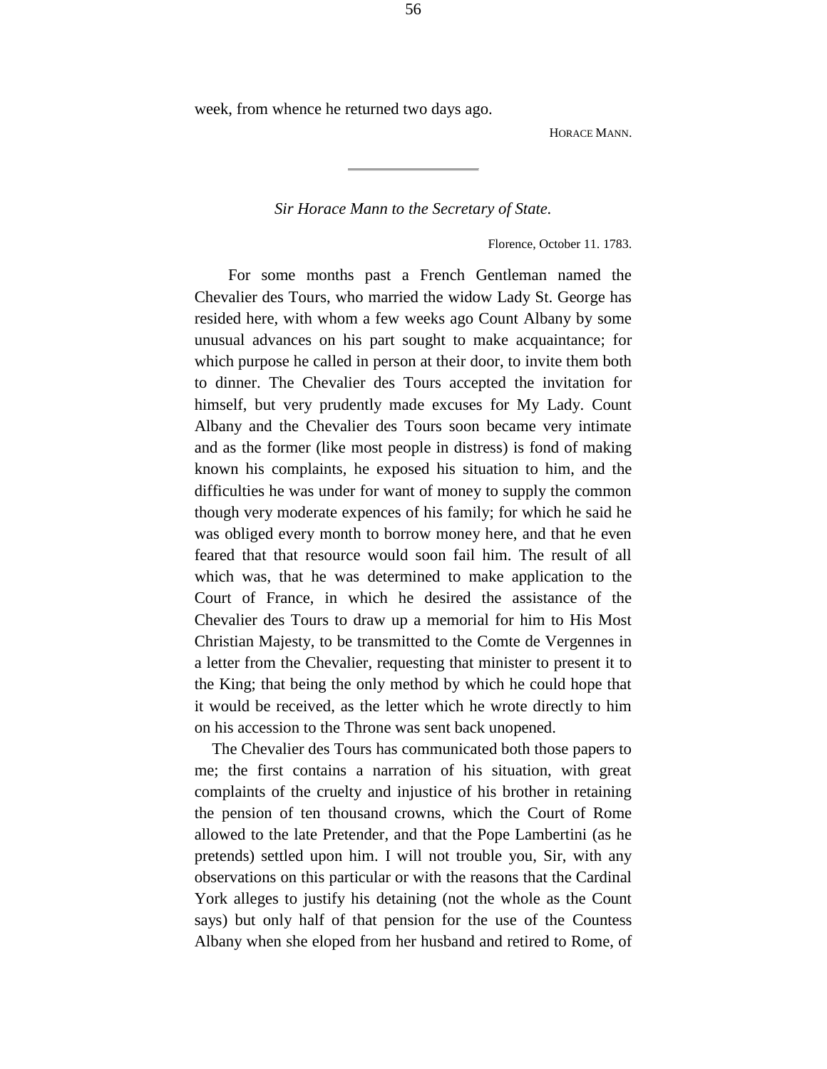week, from whence he returned two days ago.

HORACE MANN.

*Sir Horace Mann to the Secretary of State.*

Florence, October 11. 1783.

For some months past a French Gentleman named the Chevalier des Tours, who married the widow Lady St. George has resided here, with whom a few weeks ago Count Albany by some unusual advances on his part sought to make acquaintance; for which purpose he called in person at their door, to invite them both to dinner. The Chevalier des Tours accepted the invitation for himself, but very prudently made excuses for My Lady. Count Albany and the Chevalier des Tours soon became very intimate and as the former (like most people in distress) is fond of making known his complaints, he exposed his situation to him, and the difficulties he was under for want of money to supply the common though very moderate expences of his family; for which he said he was obliged every month to borrow money here, and that he even feared that that resource would soon fail him. The result of all which was, that he was determined to make application to the Court of France, in which he desired the assistance of the Chevalier des Tours to draw up a memorial for him to His Most Christian Majesty, to be transmitted to the Comte de Vergennes in a letter from the Chevalier, requesting that minister to present it to the King; that being the only method by which he could hope that it would be received, as the letter which he wrote directly to him on his accession to the Throne was sent back unopened.

The Chevalier des Tours has communicated both those papers to me; the first contains a narration of his situation, with great complaints of the cruelty and injustice of his brother in retaining the pension of ten thousand crowns, which the Court of Rome allowed to the late Pretender, and that the Pope Lambertini (as he pretends) settled upon him. I will not trouble you, Sir, with any observations on this particular or with the reasons that the Cardinal York alleges to justify his detaining (not the whole as the Count says) but only half of that pension for the use of the Countess Albany when she eloped from her husband and retired to Rome, of

56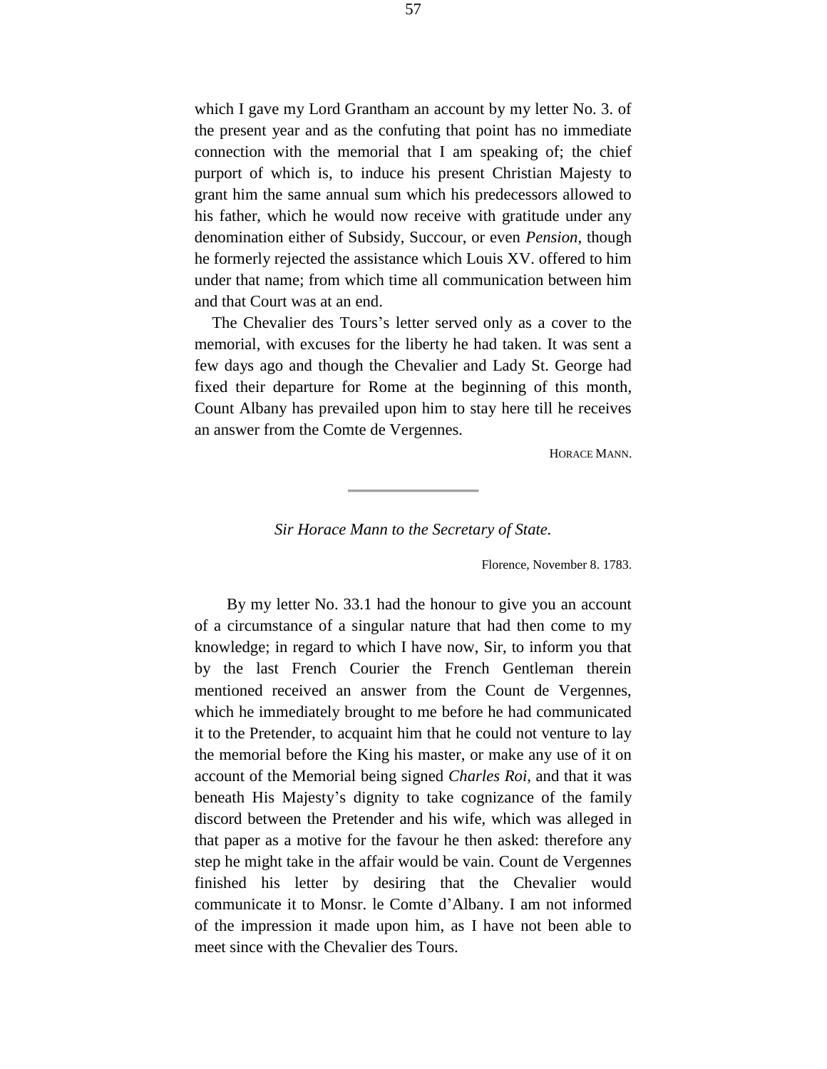which I gave my Lord Grantham an account by my letter No. 3. of the present year and as the confuting that point has no immediate connection with the memorial that I am speaking of; the chief purport of which is, to induce his present Christian Majesty to grant him the same annual sum which his predecessors allowed to his father, which he would now receive with gratitude under any denomination either of Subsidy, Succour, or even *Pension*, though he formerly rejected the assistance which Louis XV. offered to him under that name; from which time all communication between him and that Court was at an end.

The Chevalier des Tours's letter served only as a cover to the memorial, with excuses for the liberty he had taken. It was sent a few days ago and though the Chevalier and Lady St. George had fixed their departure for Rome at the beginning of this month, Count Albany has prevailed upon him to stay here till he receives an answer from the Comte de Vergennes.

HORACE MANN.

#### *Sir Horace Mann to the Secretary of State.*

Florence, November 8. 1783.

By my letter No. 33.1 had the honour to give you an account of a circumstance of a singular nature that had then come to my knowledge; in regard to which I have now, Sir, to inform you that by the last French Courier the French Gentleman therein mentioned received an answer from the Count de Vergennes, which he immediately brought to me before he had communicated it to the Pretender, to acquaint him that he could not venture to lay the memorial before the King his master, or make any use of it on account of the Memorial being signed *Charles Roi,* and that it was beneath His Majesty's dignity to take cognizance of the family discord between the Pretender and his wife, which was alleged in that paper as a motive for the favour he then asked: therefore any step he might take in the affair would be vain. Count de Vergennes finished his letter by desiring that the Chevalier would communicate it to Monsr. le Comte d'Albany. I am not informed of the impression it made upon him, as I have not been able to meet since with the Chevalier des Tours.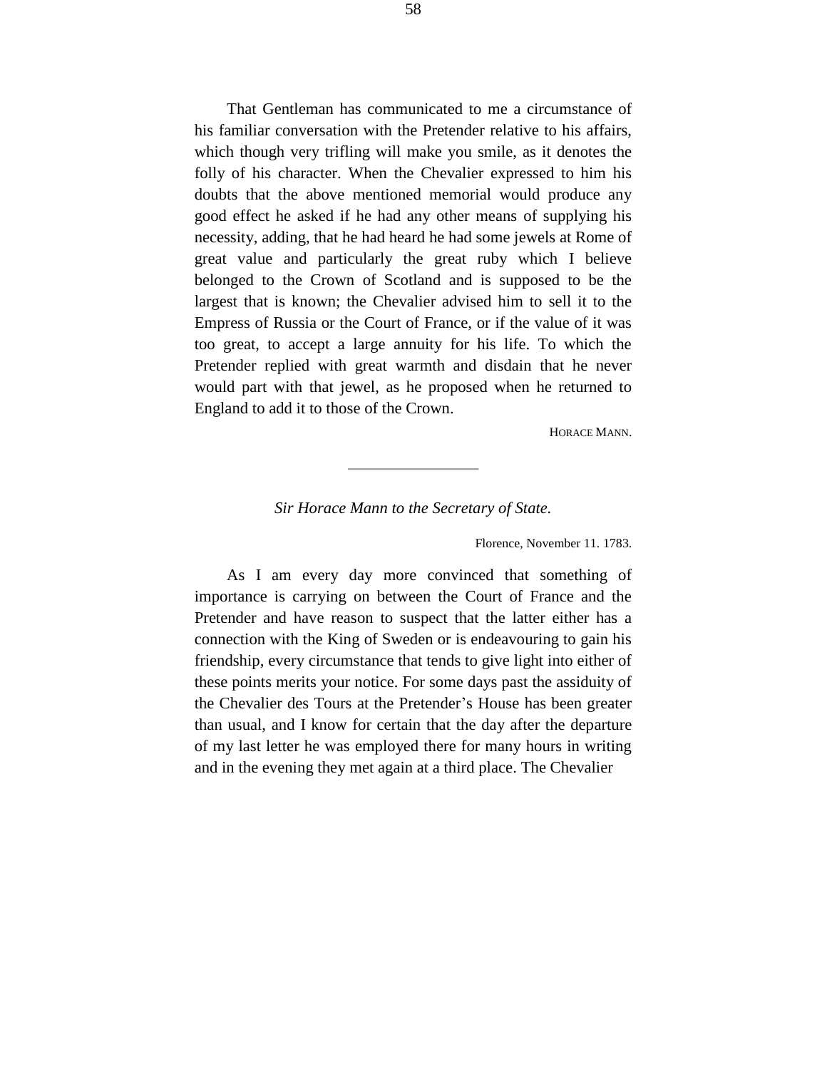That Gentleman has communicated to me a circumstance of his familiar conversation with the Pretender relative to his affairs, which though very trifling will make you smile, as it denotes the folly of his character. When the Chevalier expressed to him his doubts that the above mentioned memorial would produce any good effect he asked if he had any other means of supplying his necessity, adding, that he had heard he had some jewels at Rome of great value and particularly the great ruby which I believe belonged to the Crown of Scotland and is supposed to be the largest that is known; the Chevalier advised him to sell it to the Empress of Russia or the Court of France, or if the value of it was too great, to accept a large annuity for his life. To which the Pretender replied with great warmth and disdain that he never would part with that jewel, as he proposed when he returned to England to add it to those of the Crown.

HORACE MANN.

## *Sir Horace Mann to the Secretary of State.*

Florence, November 11. 1783.

As I am every day more convinced that something of importance is carrying on between the Court of France and the Pretender and have reason to suspect that the latter either has a connection with the King of Sweden or is endeavouring to gain his friendship, every circumstance that tends to give light into either of these points merits your notice. For some days past the assiduity of the Chevalier des Tours at the Pretender's House has been greater than usual, and I know for certain that the day after the departure of my last letter he was employed there for many hours in writing and in the evening they met again at a third place. The Chevalier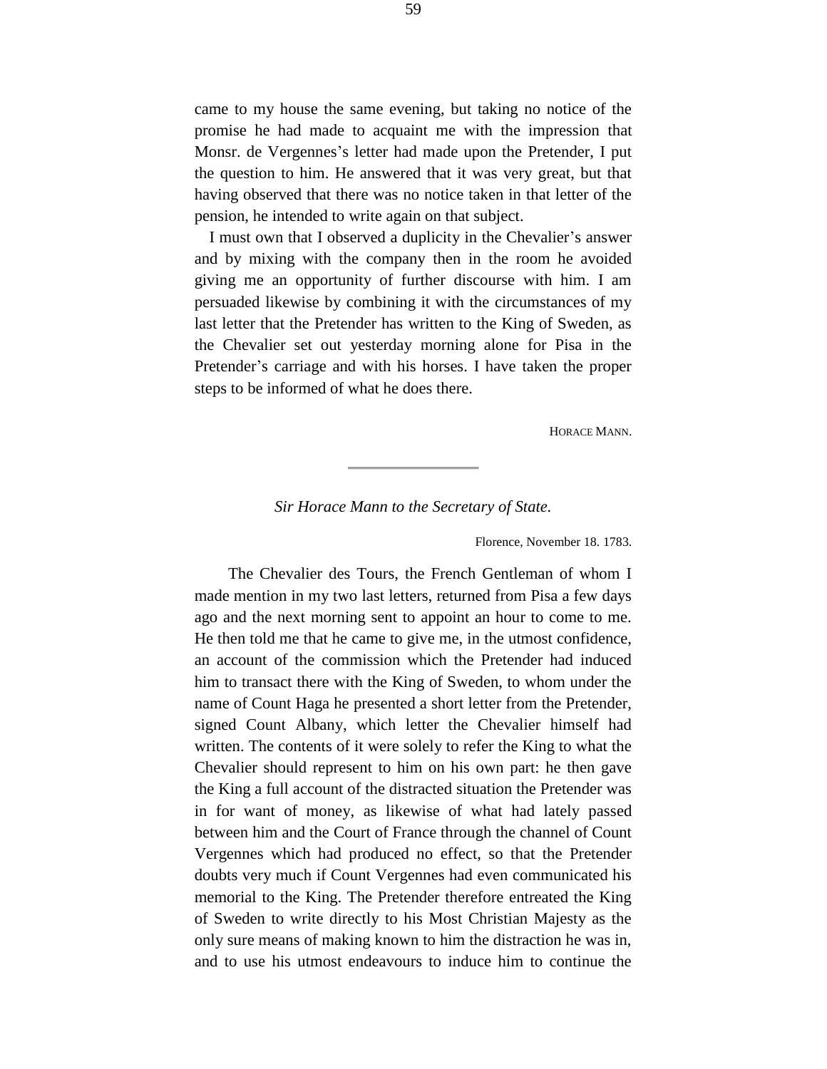came to my house the same evening, but taking no notice of the promise he had made to acquaint me with the impression that Monsr. de Vergennes's letter had made upon the Pretender, I put the question to him. He answered that it was very great, but that having observed that there was no notice taken in that letter of the pension, he intended to write again on that subject.

I must own that I observed a duplicity in the Chevalier's answer and by mixing with the company then in the room he avoided giving me an opportunity of further discourse with him. I am persuaded likewise by combining it with the circumstances of my last letter that the Pretender has written to the King of Sweden, as the Chevalier set out yesterday morning alone for Pisa in the Pretender's carriage and with his horses. I have taken the proper steps to be informed of what he does there.

HORACE MANN.

*Sir Horace Mann to the Secretary of State.*

Florence, November 18. 1783.

The Chevalier des Tours, the French Gentleman of whom I made mention in my two last letters, returned from Pisa a few days ago and the next morning sent to appoint an hour to come to me. He then told me that he came to give me, in the utmost confidence, an account of the commission which the Pretender had induced him to transact there with the King of Sweden, to whom under the name of Count Haga he presented a short letter from the Pretender, signed Count Albany, which letter the Chevalier himself had written. The contents of it were solely to refer the King to what the Chevalier should represent to him on his own part: he then gave the King a full account of the distracted situation the Pretender was in for want of money, as likewise of what had lately passed between him and the Court of France through the channel of Count Vergennes which had produced no effect, so that the Pretender doubts very much if Count Vergennes had even communicated his memorial to the King. The Pretender therefore entreated the King of Sweden to write directly to his Most Christian Majesty as the only sure means of making known to him the distraction he was in, and to use his utmost endeavours to induce him to continue the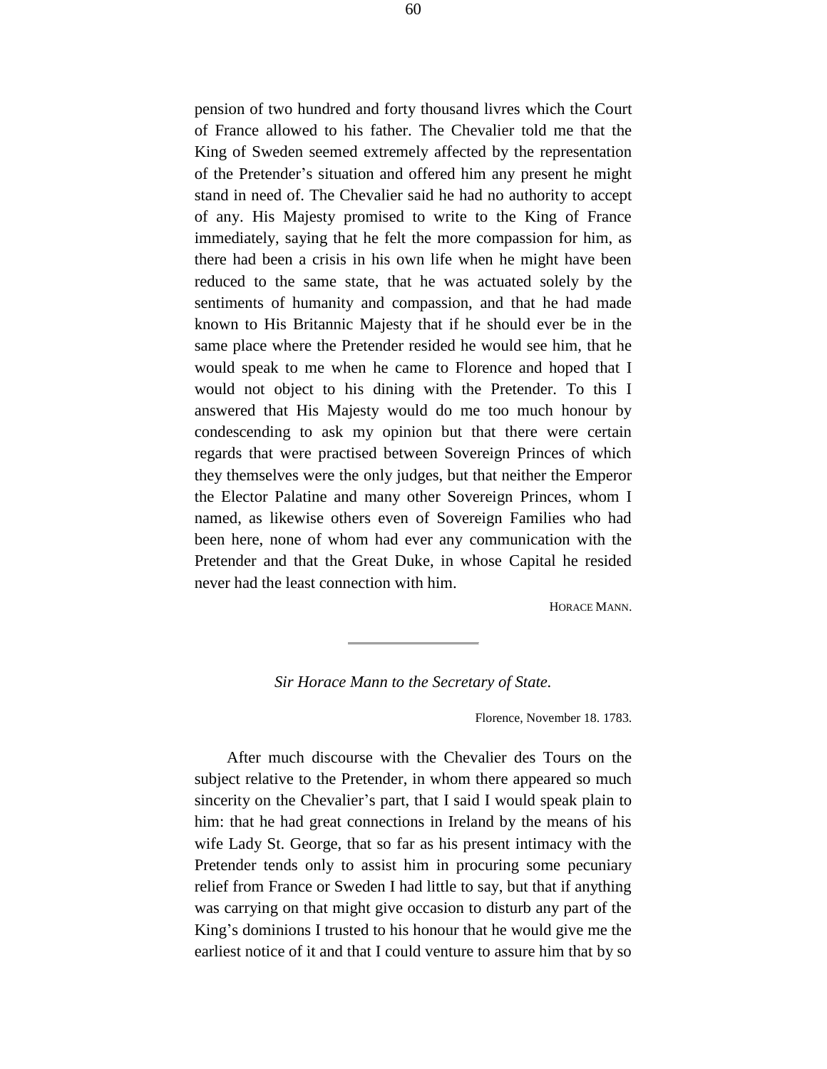pension of two hundred and forty thousand livres which the Court of France allowed to his father. The Chevalier told me that the King of Sweden seemed extremely affected by the representation of the Pretender's situation and offered him any present he might stand in need of. The Chevalier said he had no authority to accept of any. His Majesty promised to write to the King of France immediately, saying that he felt the more compassion for him, as there had been a crisis in his own life when he might have been reduced to the same state, that he was actuated solely by the sentiments of humanity and compassion, and that he had made known to His Britannic Majesty that if he should ever be in the same place where the Pretender resided he would see him, that he would speak to me when he came to Florence and hoped that I would not object to his dining with the Pretender. To this I answered that His Majesty would do me too much honour by condescending to ask my opinion but that there were certain regards that were practised between Sovereign Princes of which they themselves were the only judges, but that neither the Emperor the Elector Palatine and many other Sovereign Princes, whom I named, as likewise others even of Sovereign Families who had been here, none of whom had ever any communication with the Pretender and that the Great Duke, in whose Capital he resided never had the least connection with him.

HORACE MANN.

# *Sir Horace Mann to the Secretary of State.*

Florence, November 18. 1783.

After much discourse with the Chevalier des Tours on the subject relative to the Pretender, in whom there appeared so much sincerity on the Chevalier's part, that I said I would speak plain to him: that he had great connections in Ireland by the means of his wife Lady St. George, that so far as his present intimacy with the Pretender tends only to assist him in procuring some pecuniary relief from France or Sweden I had little to say, but that if anything was carrying on that might give occasion to disturb any part of the King's dominions I trusted to his honour that he would give me the earliest notice of it and that I could venture to assure him that by so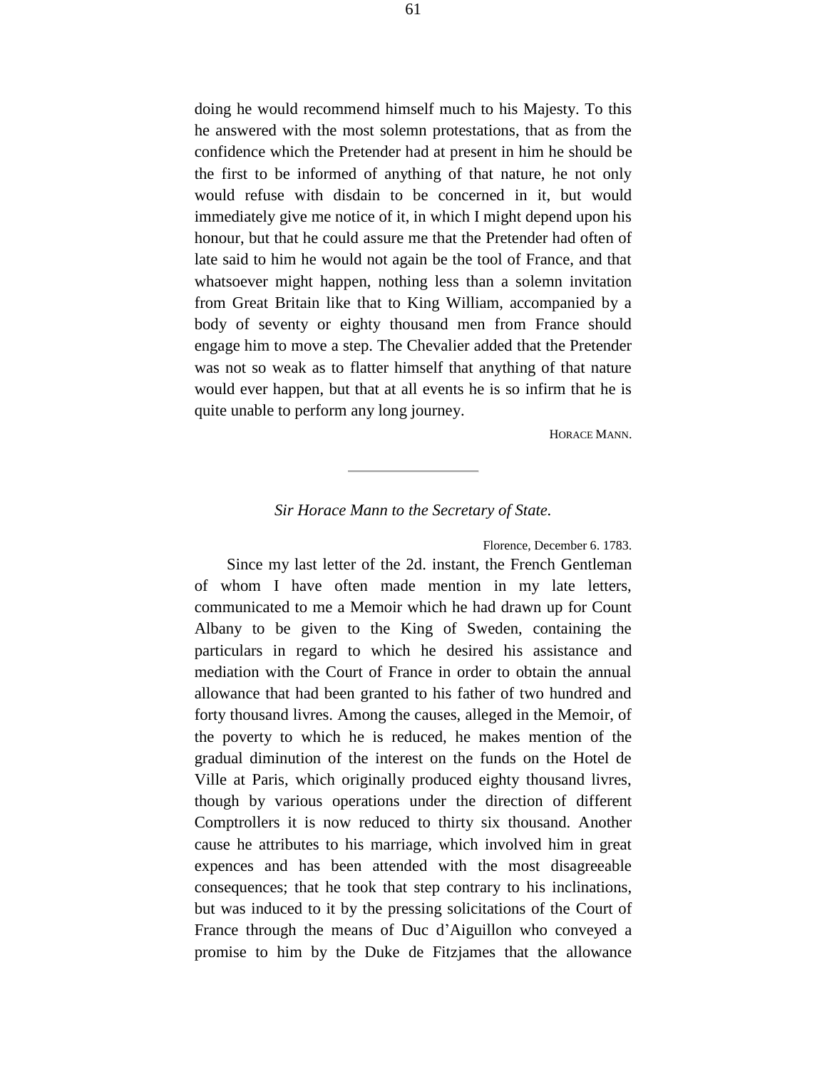doing he would recommend himself much to his Majesty. To this he answered with the most solemn protestations, that as from the confidence which the Pretender had at present in him he should be the first to be informed of anything of that nature, he not only would refuse with disdain to be concerned in it, but would immediately give me notice of it, in which I might depend upon his honour, but that he could assure me that the Pretender had often of late said to him he would not again be the tool of France, and that whatsoever might happen, nothing less than a solemn invitation from Great Britain like that to King William, accompanied by a body of seventy or eighty thousand men from France should engage him to move a step. The Chevalier added that the Pretender was not so weak as to flatter himself that anything of that nature would ever happen, but that at all events he is so infirm that he is quite unable to perform any long journey.

HORACE MANN.

## *Sir Horace Mann to the Secretary of State.*

Florence, December 6. 1783.

Since my last letter of the 2d. instant, the French Gentleman of whom I have often made mention in my late letters, communicated to me a Memoir which he had drawn up for Count Albany to be given to the King of Sweden, containing the particulars in regard to which he desired his assistance and mediation with the Court of France in order to obtain the annual allowance that had been granted to his father of two hundred and forty thousand livres. Among the causes, alleged in the Memoir, of the poverty to which he is reduced, he makes mention of the gradual diminution of the interest on the funds on the Hotel de Ville at Paris, which originally produced eighty thousand livres, though by various operations under the direction of different Comptrollers it is now reduced to thirty six thousand. Another cause he attributes to his marriage, which involved him in great expences and has been attended with the most disagreeable consequences; that he took that step contrary to his inclinations, but was induced to it by the pressing solicitations of the Court of France through the means of Duc d'Aiguillon who conveyed a promise to him by the Duke de Fitzjames that the allowance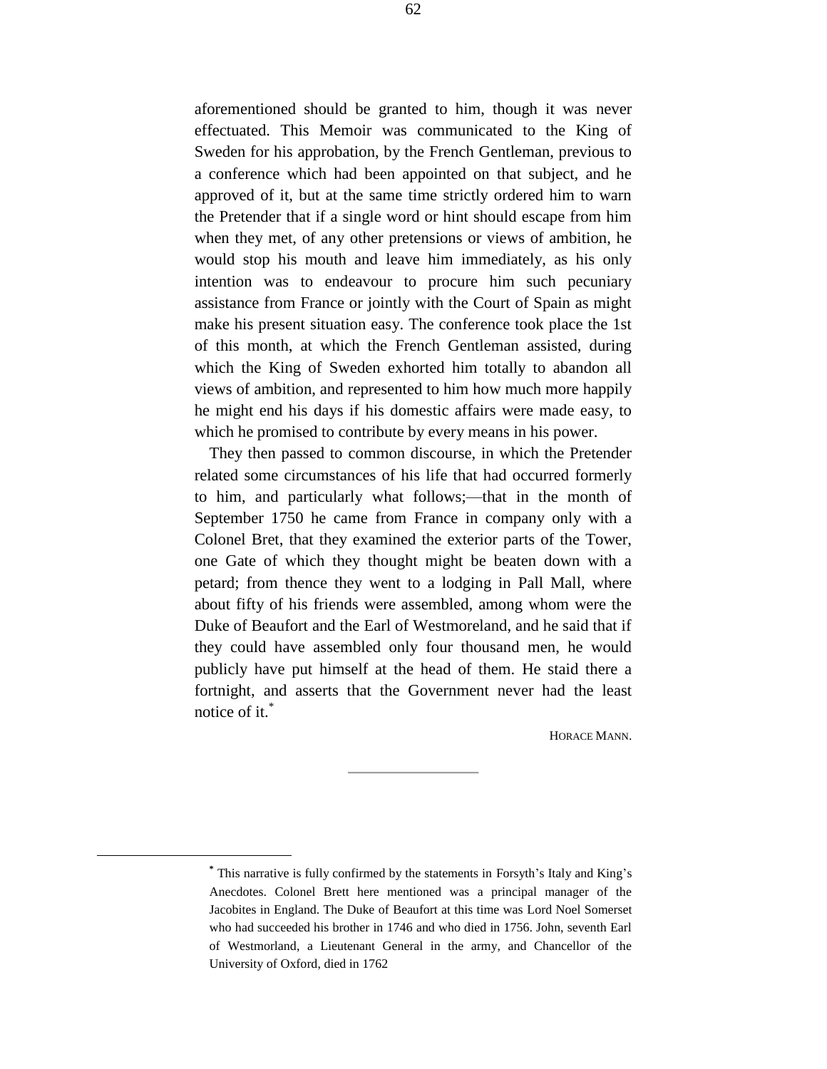aforementioned should be granted to him, though it was never effectuated. This Memoir was communicated to the King of Sweden for his approbation, by the French Gentleman, previous to a conference which had been appointed on that subject, and he approved of it, but at the same time strictly ordered him to warn the Pretender that if a single word or hint should escape from him when they met, of any other pretensions or views of ambition, he would stop his mouth and leave him immediately, as his only intention was to endeavour to procure him such pecuniary assistance from France or jointly with the Court of Spain as might make his present situation easy. The conference took place the 1st of this month, at which the French Gentleman assisted, during which the King of Sweden exhorted him totally to abandon all views of ambition, and represented to him how much more happily he might end his days if his domestic affairs were made easy, to which he promised to contribute by every means in his power.

They then passed to common discourse, in which the Pretender related some circumstances of his life that had occurred formerly to him, and particularly what follows;—that in the month of September 1750 he came from France in company only with a Colonel Bret, that they examined the exterior parts of the Tower, one Gate of which they thought might be beaten down with a petard; from thence they went to a lodging in Pall Mall, where about fifty of his friends were assembled, among whom were the Duke of Beaufort and the Earl of Westmoreland, and he said that if they could have assembled only four thousand men, he would publicly have put himself at the head of them. He staid there a fortnight, and asserts that the Government never had the least notice of it.<sup>\*</sup>

HORACE MANN.

÷.

**<sup>\*</sup>** This narrative is fully confirmed by the statements in Forsyth's Italy and King's Anecdotes. Colonel Brett here mentioned was a principal manager of the Jacobites in England. The Duke of Beaufort at this time was Lord Noel Somerset who had succeeded his brother in 1746 and who died in 1756. John, seventh Earl of Westmorland, a Lieutenant General in the army, and Chancellor of the University of Oxford, died in 1762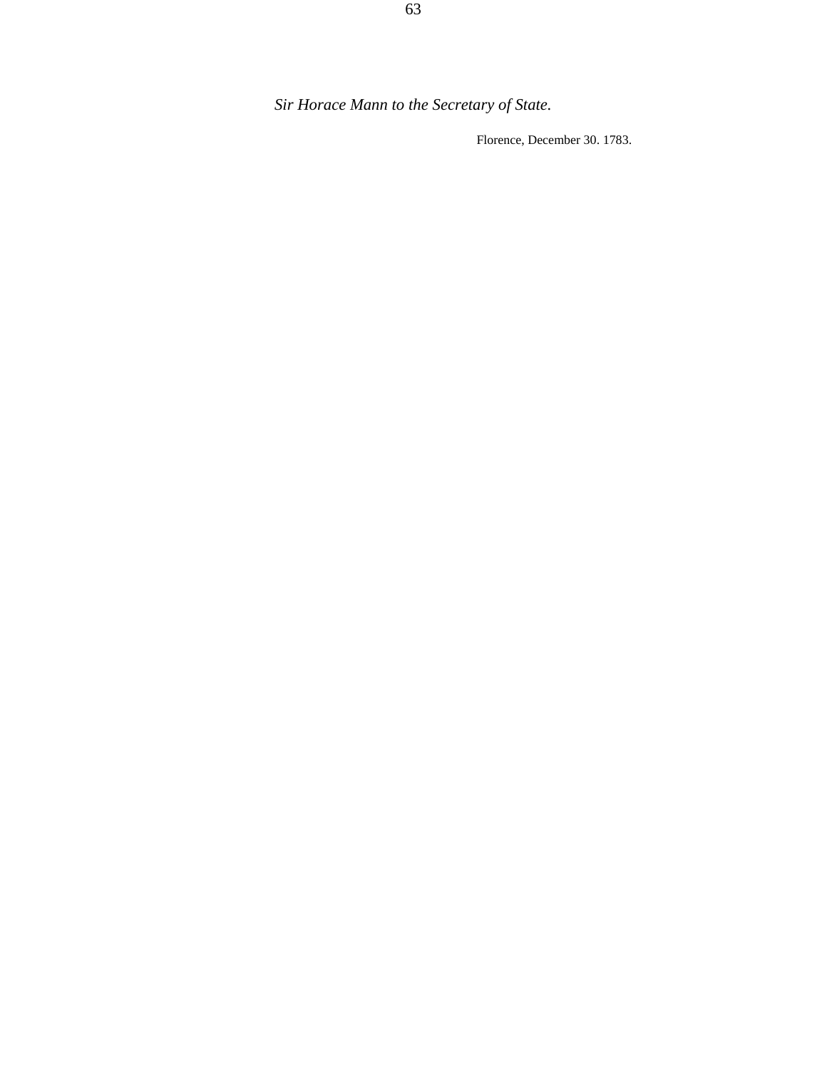Florence, December 30. 1783.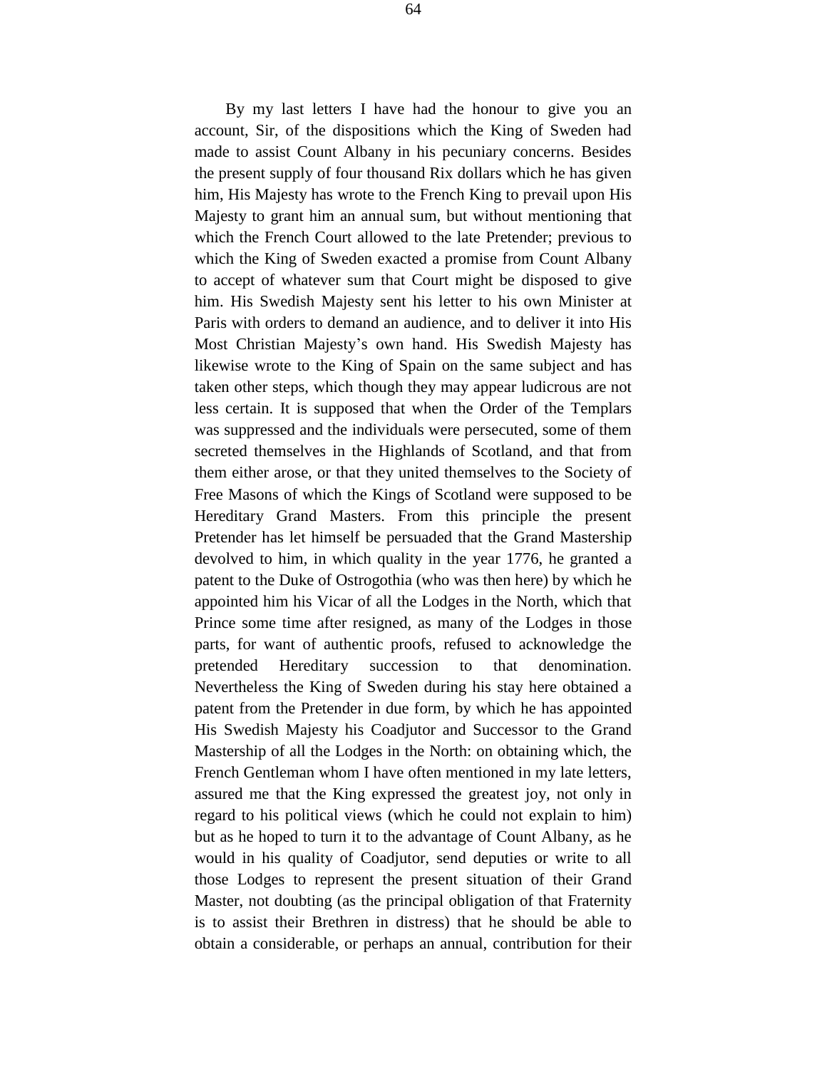By my last letters I have had the honour to give you an account, Sir, of the dispositions which the King of Sweden had made to assist Count Albany in his pecuniary concerns. Besides the present supply of four thousand Rix dollars which he has given him, His Majesty has wrote to the French King to prevail upon His Majesty to grant him an annual sum, but without mentioning that which the French Court allowed to the late Pretender; previous to which the King of Sweden exacted a promise from Count Albany to accept of whatever sum that Court might be disposed to give him. His Swedish Majesty sent his letter to his own Minister at Paris with orders to demand an audience, and to deliver it into His Most Christian Majesty's own hand. His Swedish Majesty has likewise wrote to the King of Spain on the same subject and has taken other steps, which though they may appear ludicrous are not less certain. It is supposed that when the Order of the Templars was suppressed and the individuals were persecuted, some of them secreted themselves in the Highlands of Scotland, and that from them either arose, or that they united themselves to the Society of Free Masons of which the Kings of Scotland were supposed to be Hereditary Grand Masters. From this principle the present Pretender has let himself be persuaded that the Grand Mastership devolved to him, in which quality in the year 1776, he granted a patent to the Duke of Ostrogothia (who was then here) by which he appointed him his Vicar of all the Lodges in the North, which that Prince some time after resigned, as many of the Lodges in those parts, for want of authentic proofs, refused to acknowledge the pretended Hereditary succession to that denomination. Nevertheless the King of Sweden during his stay here obtained a patent from the Pretender in due form, by which he has appointed His Swedish Majesty his Coadjutor and Successor to the Grand Mastership of all the Lodges in the North: on obtaining which, the French Gentleman whom I have often mentioned in my late letters, assured me that the King expressed the greatest joy, not only in regard to his political views (which he could not explain to him) but as he hoped to turn it to the advantage of Count Albany, as he would in his quality of Coadjutor, send deputies or write to all those Lodges to represent the present situation of their Grand Master, not doubting (as the principal obligation of that Fraternity is to assist their Brethren in distress) that he should be able to obtain a considerable, or perhaps an annual, contribution for their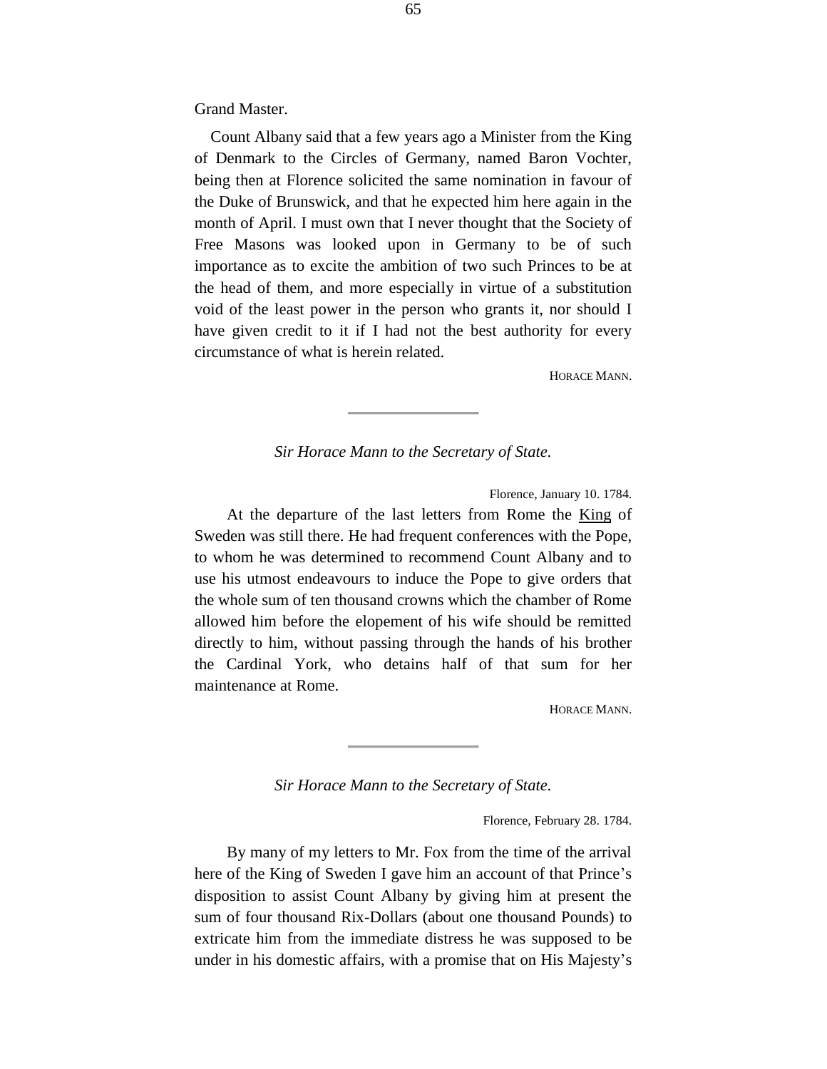Grand Master.

Count Albany said that a few years ago a Minister from the King of Denmark to the Circles of Germany, named Baron Vochter, being then at Florence solicited the same nomination in favour of the Duke of Brunswick, and that he expected him here again in the month of April. I must own that I never thought that the Society of Free Masons was looked upon in Germany to be of such importance as to excite the ambition of two such Princes to be at the head of them, and more especially in virtue of a substitution void of the least power in the person who grants it, nor should I have given credit to it if I had not the best authority for every circumstance of what is herein related.

HORACE MANN.

*Sir Horace Mann to the Secretary of State.*

Florence, January 10. 1784.

At the departure of the last letters from Rome the King of Sweden was still there. He had frequent conferences with the Pope, to whom he was determined to recommend Count Albany and to use his utmost endeavours to induce the Pope to give orders that the whole sum of ten thousand crowns which the chamber of Rome allowed him before the elopement of his wife should be remitted directly to him, without passing through the hands of his brother the Cardinal York, who detains half of that sum for her maintenance at Rome.

HORACE MANN.

*Sir Horace Mann to the Secretary of State.*

Florence, February 28. 1784.

By many of my letters to Mr. Fox from the time of the arrival here of the King of Sweden I gave him an account of that Prince's disposition to assist Count Albany by giving him at present the sum of four thousand Rix-Dollars (about one thousand Pounds) to extricate him from the immediate distress he was supposed to be under in his domestic affairs, with a promise that on His Majesty's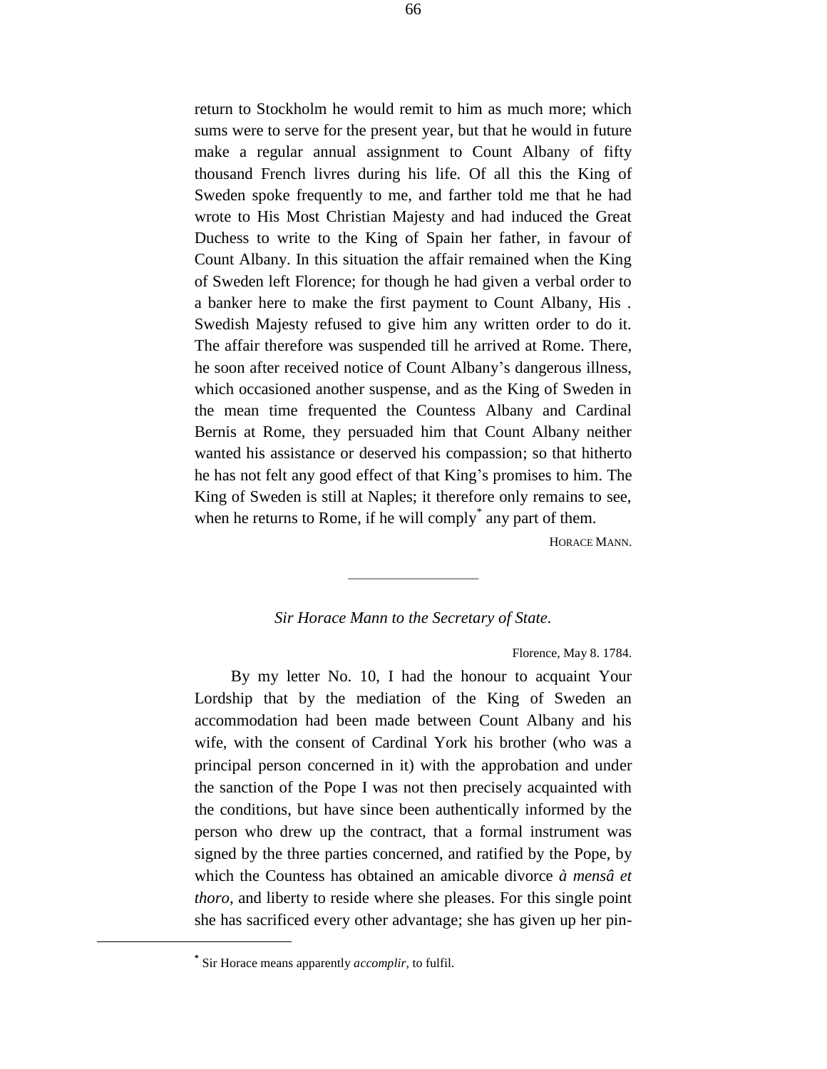return to Stockholm he would remit to him as much more; which sums were to serve for the present year, but that he would in future make a regular annual assignment to Count Albany of fifty thousand French livres during his life. Of all this the King of Sweden spoke frequently to me, and farther told me that he had wrote to His Most Christian Majesty and had induced the Great Duchess to write to the King of Spain her father, in favour of Count Albany. In this situation the affair remained when the King of Sweden left Florence; for though he had given a verbal order to a banker here to make the first payment to Count Albany, His . Swedish Majesty refused to give him any written order to do it. The affair therefore was suspended till he arrived at Rome. There, he soon after received notice of Count Albany's dangerous illness, which occasioned another suspense, and as the King of Sweden in the mean time frequented the Countess Albany and Cardinal Bernis at Rome, they persuaded him that Count Albany neither wanted his assistance or deserved his compassion; so that hitherto he has not felt any good effect of that King's promises to him. The King of Sweden is still at Naples; it therefore only remains to see, when he returns to Rome, if he will comply<sup>\*</sup> any part of them.

HORACE MANN.

## *Sir Horace Mann to the Secretary of State.*

Florence, May 8. 1784.

By my letter No. 10, I had the honour to acquaint Your Lordship that by the mediation of the King of Sweden an accommodation had been made between Count Albany and his wife, with the consent of Cardinal York his brother (who was a principal person concerned in it) with the approbation and under the sanction of the Pope I was not then precisely acquainted with the conditions, but have since been authentically informed by the person who drew up the contract, that a formal instrument was signed by the three parties concerned, and ratified by the Pope, by which the Countess has obtained an amicable divorce *à mensâ et thoro,* and liberty to reside where she pleases. For this single point she has sacrificed every other advantage; she has given up her pin-

÷.

**<sup>\*</sup>** Sir Horace means apparently *accomplir,* to fulfil.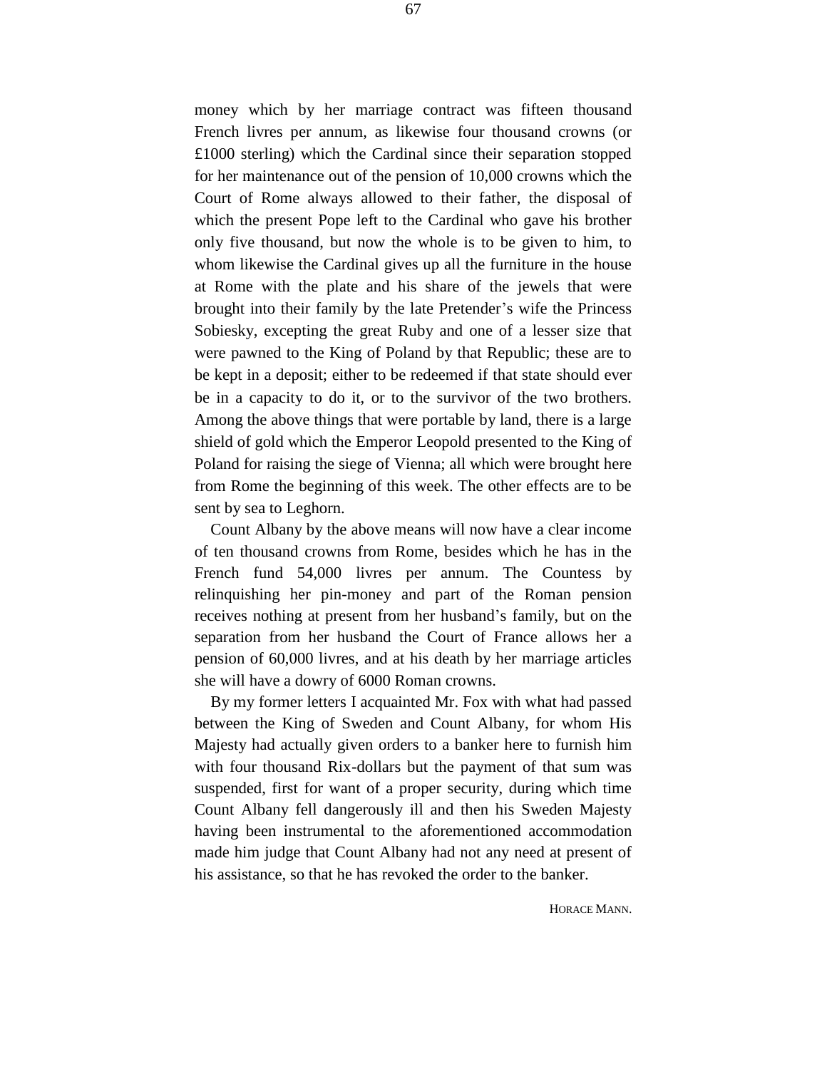money which by her marriage contract was fifteen thousand French livres per annum, as likewise four thousand crowns (or £1000 sterling) which the Cardinal since their separation stopped for her maintenance out of the pension of 10,000 crowns which the Court of Rome always allowed to their father, the disposal of which the present Pope left to the Cardinal who gave his brother only five thousand, but now the whole is to be given to him, to whom likewise the Cardinal gives up all the furniture in the house at Rome with the plate and his share of the jewels that were brought into their family by the late Pretender's wife the Princess Sobiesky, excepting the great Ruby and one of a lesser size that were pawned to the King of Poland by that Republic; these are to be kept in a deposit; either to be redeemed if that state should ever be in a capacity to do it, or to the survivor of the two brothers. Among the above things that were portable by land, there is a large shield of gold which the Emperor Leopold presented to the King of Poland for raising the siege of Vienna; all which were brought here from Rome the beginning of this week. The other effects are to be sent by sea to Leghorn.

Count Albany by the above means will now have a clear income of ten thousand crowns from Rome, besides which he has in the French fund 54,000 livres per annum. The Countess by relinquishing her pin-money and part of the Roman pension receives nothing at present from her husband's family, but on the separation from her husband the Court of France allows her a pension of 60,000 livres, and at his death by her marriage articles she will have a dowry of 6000 Roman crowns.

By my former letters I acquainted Mr. Fox with what had passed between the King of Sweden and Count Albany, for whom His Majesty had actually given orders to a banker here to furnish him with four thousand Rix-dollars but the payment of that sum was suspended, first for want of a proper security, during which time Count Albany fell dangerously ill and then his Sweden Majesty having been instrumental to the aforementioned accommodation made him judge that Count Albany had not any need at present of his assistance, so that he has revoked the order to the banker.

HORACE MANN.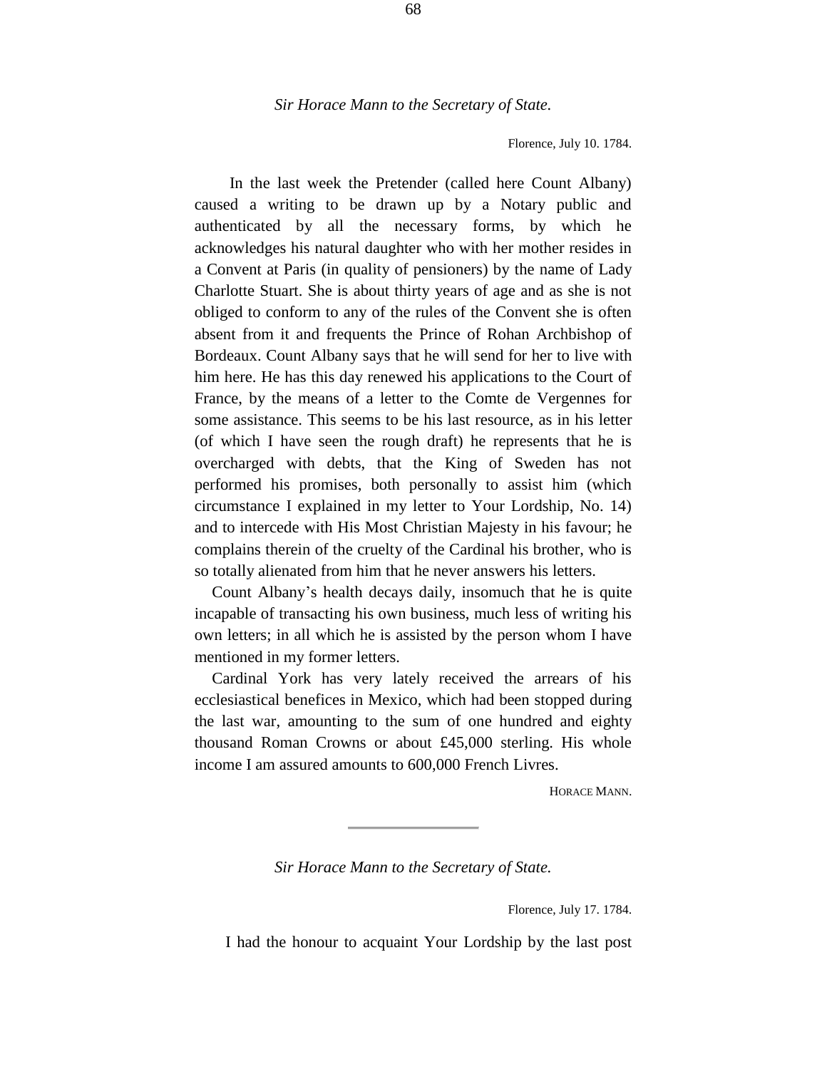Florence, July 10. 1784.

In the last week the Pretender (called here Count Albany) caused a writing to be drawn up by a Notary public and authenticated by all the necessary forms, by which he acknowledges his natural daughter who with her mother resides in a Convent at Paris (in quality of pensioners) by the name of Lady Charlotte Stuart. She is about thirty years of age and as she is not obliged to conform to any of the rules of the Convent she is often absent from it and frequents the Prince of Rohan Archbishop of Bordeaux. Count Albany says that he will send for her to live with him here. He has this day renewed his applications to the Court of France, by the means of a letter to the Comte de Vergennes for some assistance. This seems to be his last resource, as in his letter (of which I have seen the rough draft) he represents that he is overcharged with debts, that the King of Sweden has not performed his promises, both personally to assist him (which circumstance I explained in my letter to Your Lordship, No. 14) and to intercede with His Most Christian Majesty in his favour; he complains therein of the cruelty of the Cardinal his brother, who is so totally alienated from him that he never answers his letters.

Count Albany's health decays daily, insomuch that he is quite incapable of transacting his own business, much less of writing his own letters; in all which he is assisted by the person whom I have mentioned in my former letters.

Cardinal York has very lately received the arrears of his ecclesiastical benefices in Mexico, which had been stopped during the last war, amounting to the sum of one hundred and eighty thousand Roman Crowns or about £45,000 sterling. His whole income I am assured amounts to 600,000 French Livres.

HORACE MANN.

*Sir Horace Mann to the Secretary of State.*

Florence, July 17. 1784.

I had the honour to acquaint Your Lordship by the last post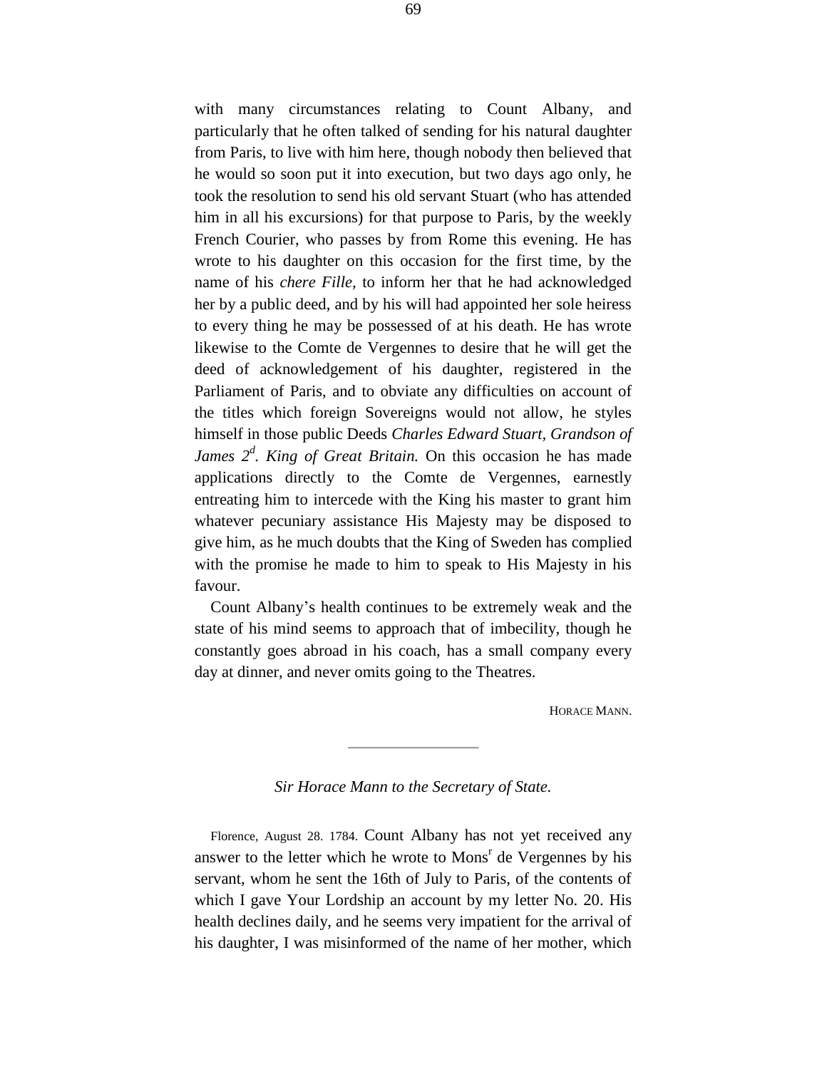with many circumstances relating to Count Albany, and particularly that he often talked of sending for his natural daughter from Paris, to live with him here, though nobody then believed that he would so soon put it into execution, but two days ago only, he took the resolution to send his old servant Stuart (who has attended him in all his excursions) for that purpose to Paris, by the weekly French Courier, who passes by from Rome this evening. He has wrote to his daughter on this occasion for the first time, by the name of his *chere Fille,* to inform her that he had acknowledged her by a public deed, and by his will had appointed her sole heiress to every thing he may be possessed of at his death. He has wrote likewise to the Comte de Vergennes to desire that he will get the deed of acknowledgement of his daughter, registered in the Parliament of Paris, and to obviate any difficulties on account of the titles which foreign Sovereigns would not allow, he styles himself in those public Deeds *Charles Edward Stuart, Grandson of James 2<sup>d</sup> . King of Great Britain.* On this occasion he has made applications directly to the Comte de Vergennes, earnestly entreating him to intercede with the King his master to grant him whatever pecuniary assistance His Majesty may be disposed to give him, as he much doubts that the King of Sweden has complied with the promise he made to him to speak to His Majesty in his favour.

Count Albany's health continues to be extremely weak and the state of his mind seems to approach that of imbecility, though he constantly goes abroad in his coach, has a small company every day at dinner, and never omits going to the Theatres.

HORACE MANN.

*Sir Horace Mann to the Secretary of State.*

Florence, August 28. 1784. Count Albany has not yet received any answer to the letter which he wrote to Mons<sup>r</sup> de Vergennes by his servant, whom he sent the 16th of July to Paris, of the contents of which I gave Your Lordship an account by my letter No. 20. His health declines daily, and he seems very impatient for the arrival of his daughter, I was misinformed of the name of her mother, which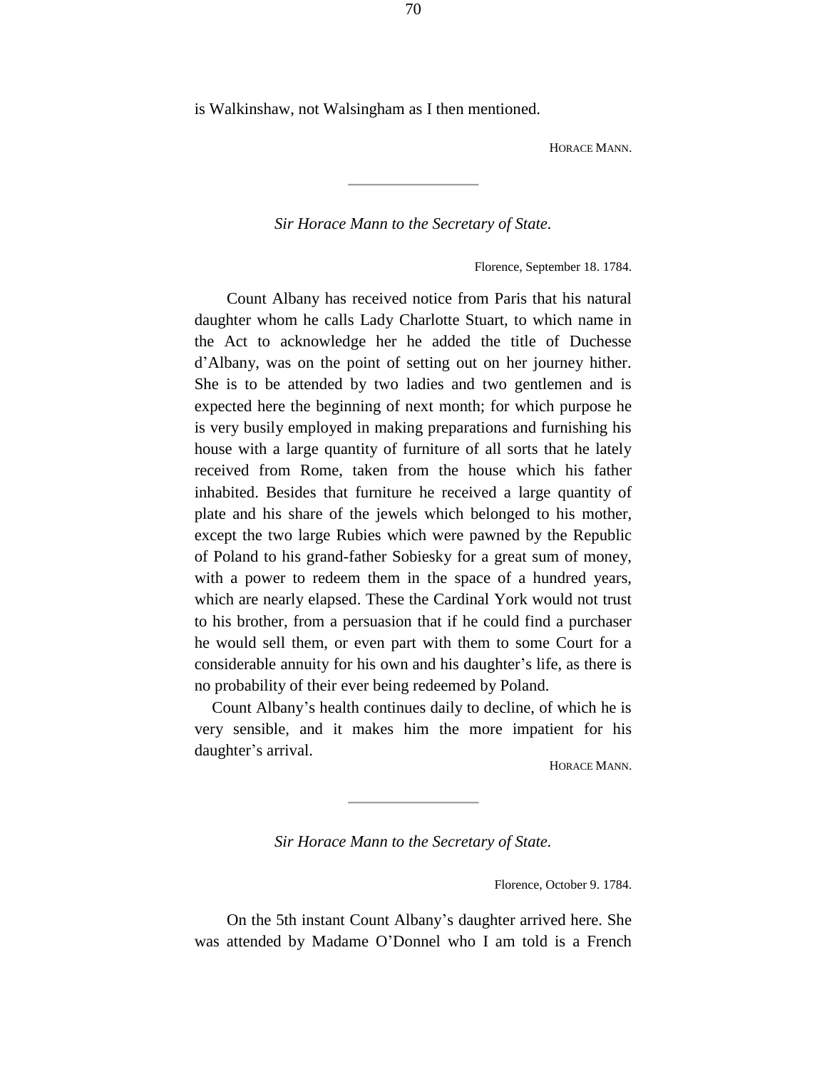is Walkinshaw, not Walsingham as I then mentioned.

HORACE MANN.

*Sir Horace Mann to the Secretary of State.*

Florence, September 18. 1784.

Count Albany has received notice from Paris that his natural daughter whom he calls Lady Charlotte Stuart, to which name in the Act to acknowledge her he added the title of Duchesse d'Albany, was on the point of setting out on her journey hither. She is to be attended by two ladies and two gentlemen and is expected here the beginning of next month; for which purpose he is very busily employed in making preparations and furnishing his house with a large quantity of furniture of all sorts that he lately received from Rome, taken from the house which his father inhabited. Besides that furniture he received a large quantity of plate and his share of the jewels which belonged to his mother, except the two large Rubies which were pawned by the Republic of Poland to his grand-father Sobiesky for a great sum of money, with a power to redeem them in the space of a hundred years, which are nearly elapsed. These the Cardinal York would not trust to his brother, from a persuasion that if he could find a purchaser he would sell them, or even part with them to some Court for a considerable annuity for his own and his daughter's life, as there is no probability of their ever being redeemed by Poland.

Count Albany's health continues daily to decline, of which he is very sensible, and it makes him the more impatient for his daughter's arrival.

HORACE MANN.

*Sir Horace Mann to the Secretary of State.*

Florence, October 9. 1784.

On the 5th instant Count Albany's daughter arrived here. She was attended by Madame O'Donnel who I am told is a French

70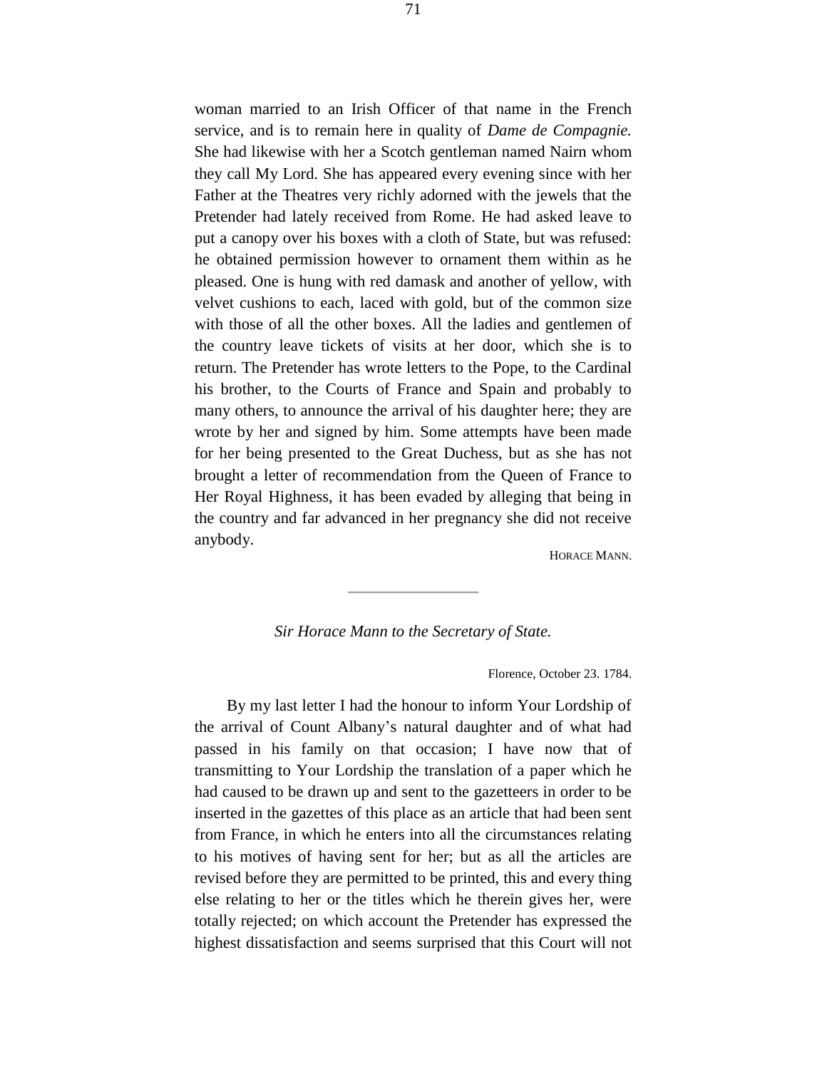woman married to an Irish Officer of that name in the French service, and is to remain here in quality of *Dame de Compagnie.*  She had likewise with her a Scotch gentleman named Nairn whom they call My Lord. She has appeared every evening since with her Father at the Theatres very richly adorned with the jewels that the Pretender had lately received from Rome. He had asked leave to put a canopy over his boxes with a cloth of State, but was refused: he obtained permission however to ornament them within as he pleased. One is hung with red damask and another of yellow, with velvet cushions to each, laced with gold, but of the common size with those of all the other boxes. All the ladies and gentlemen of the country leave tickets of visits at her door, which she is to return. The Pretender has wrote letters to the Pope, to the Cardinal his brother, to the Courts of France and Spain and probably to many others, to announce the arrival of his daughter here; they are wrote by her and signed by him. Some attempts have been made for her being presented to the Great Duchess, but as she has not brought a letter of recommendation from the Queen of France to Her Royal Highness, it has been evaded by alleging that being in the country and far advanced in her pregnancy she did not receive anybody.

HORACE MANN.

## *Sir Horace Mann to the Secretary of State.*

Florence, October 23. 1784.

By my last letter I had the honour to inform Your Lordship of the arrival of Count Albany's natural daughter and of what had passed in his family on that occasion; I have now that of transmitting to Your Lordship the translation of a paper which he had caused to be drawn up and sent to the gazetteers in order to be inserted in the gazettes of this place as an article that had been sent from France, in which he enters into all the circumstances relating to his motives of having sent for her; but as all the articles are revised before they are permitted to be printed, this and every thing else relating to her or the titles which he therein gives her, were totally rejected; on which account the Pretender has expressed the highest dissatisfaction and seems surprised that this Court will not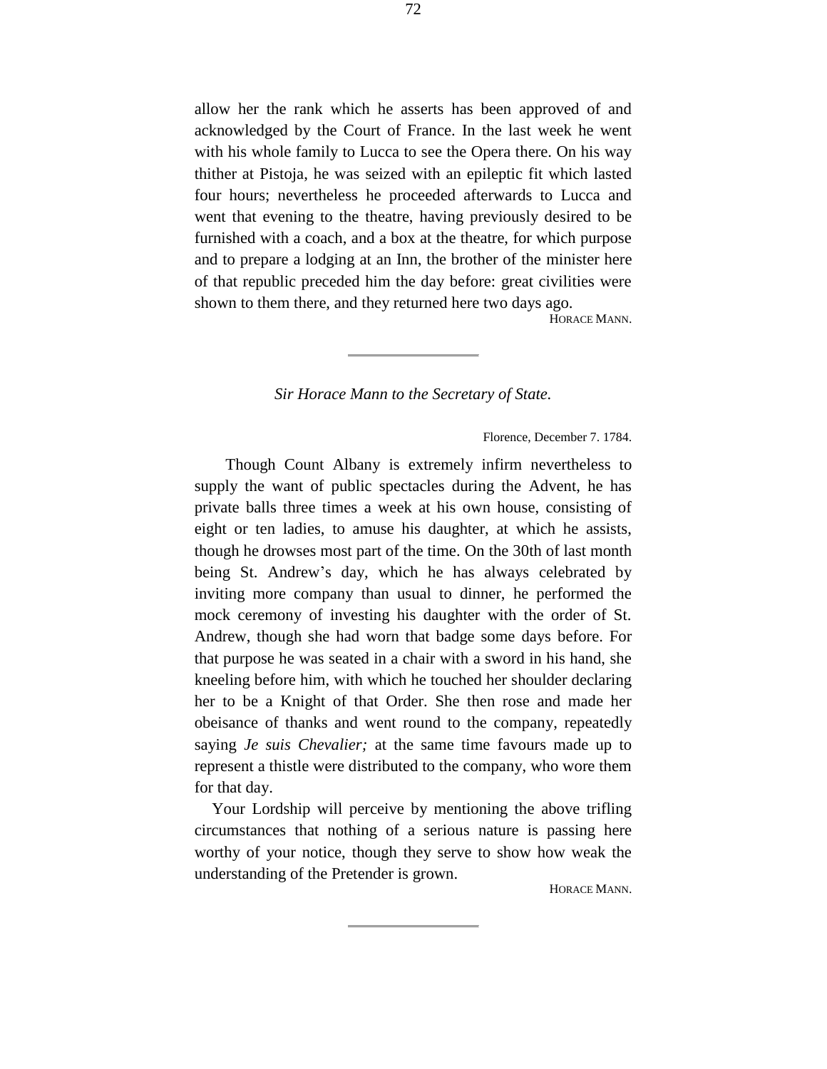allow her the rank which he asserts has been approved of and acknowledged by the Court of France. In the last week he went with his whole family to Lucca to see the Opera there. On his way thither at Pistoja, he was seized with an epileptic fit which lasted four hours; nevertheless he proceeded afterwards to Lucca and went that evening to the theatre, having previously desired to be furnished with a coach, and a box at the theatre, for which purpose and to prepare a lodging at an Inn, the brother of the minister here of that republic preceded him the day before: great civilities were shown to them there, and they returned here two days ago.

HORACE MANN.

### *Sir Horace Mann to the Secretary of State.*

#### Florence, December 7. 1784.

Though Count Albany is extremely infirm nevertheless to supply the want of public spectacles during the Advent, he has private balls three times a week at his own house, consisting of eight or ten ladies, to amuse his daughter, at which he assists, though he drowses most part of the time. On the 30th of last month being St. Andrew's day, which he has always celebrated by inviting more company than usual to dinner, he performed the mock ceremony of investing his daughter with the order of St. Andrew, though she had worn that badge some days before. For that purpose he was seated in a chair with a sword in his hand, she kneeling before him, with which he touched her shoulder declaring her to be a Knight of that Order. She then rose and made her obeisance of thanks and went round to the company, repeatedly saying *Je suis Chevalier;* at the same time favours made up to represent a thistle were distributed to the company, who wore them for that day.

Your Lordship will perceive by mentioning the above trifling circumstances that nothing of a serious nature is passing here worthy of your notice, though they serve to show how weak the understanding of the Pretender is grown.

HORACE MANN.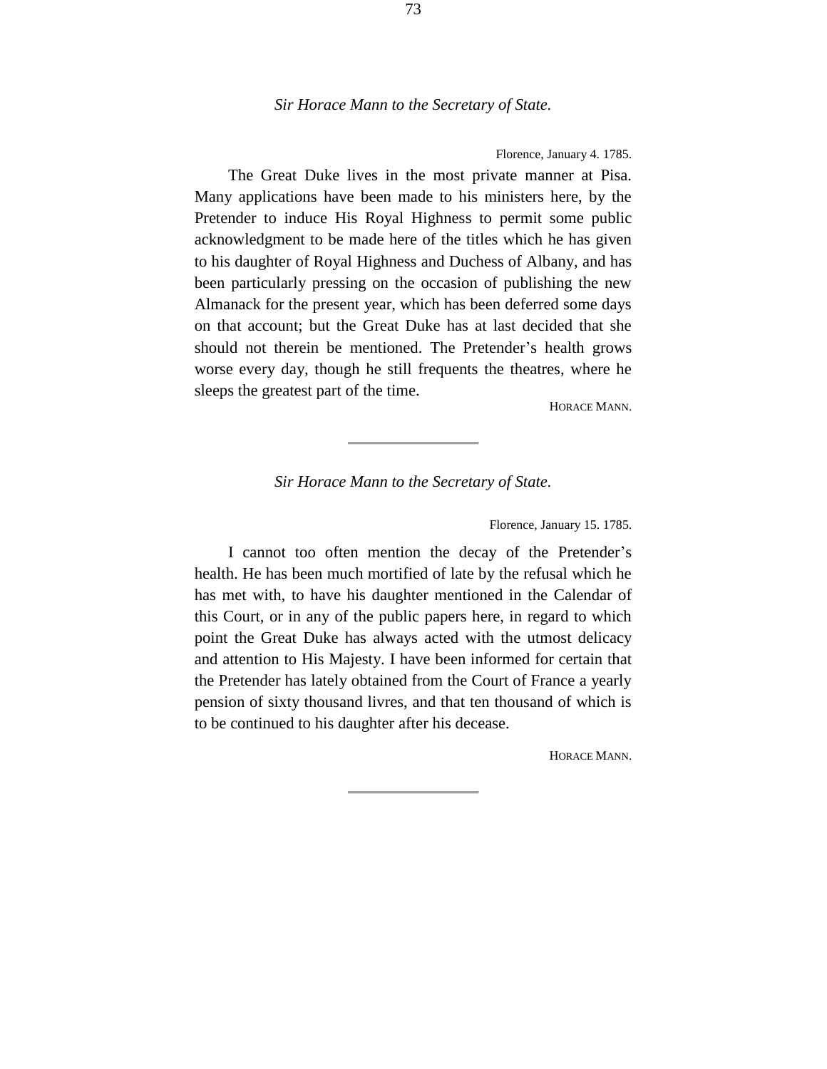### *Sir Horace Mann to the Secretary of State.*

Florence, January 4. 1785.

The Great Duke lives in the most private manner at Pisa. Many applications have been made to his ministers here, by the Pretender to induce His Royal Highness to permit some public acknowledgment to be made here of the titles which he has given to his daughter of Royal Highness and Duchess of Albany, and has been particularly pressing on the occasion of publishing the new Almanack for the present year, which has been deferred some days on that account; but the Great Duke has at last decided that she should not therein be mentioned. The Pretender's health grows worse every day, though he still frequents the theatres, where he sleeps the greatest part of the time.

HORACE MANN.

## *Sir Horace Mann to the Secretary of State.*

Florence, January 15. 1785.

I cannot too often mention the decay of the Pretender's health. He has been much mortified of late by the refusal which he has met with, to have his daughter mentioned in the Calendar of this Court, or in any of the public papers here, in regard to which point the Great Duke has always acted with the utmost delicacy and attention to His Majesty. I have been informed for certain that the Pretender has lately obtained from the Court of France a yearly pension of sixty thousand livres, and that ten thousand of which is to be continued to his daughter after his decease.

HORACE MANN.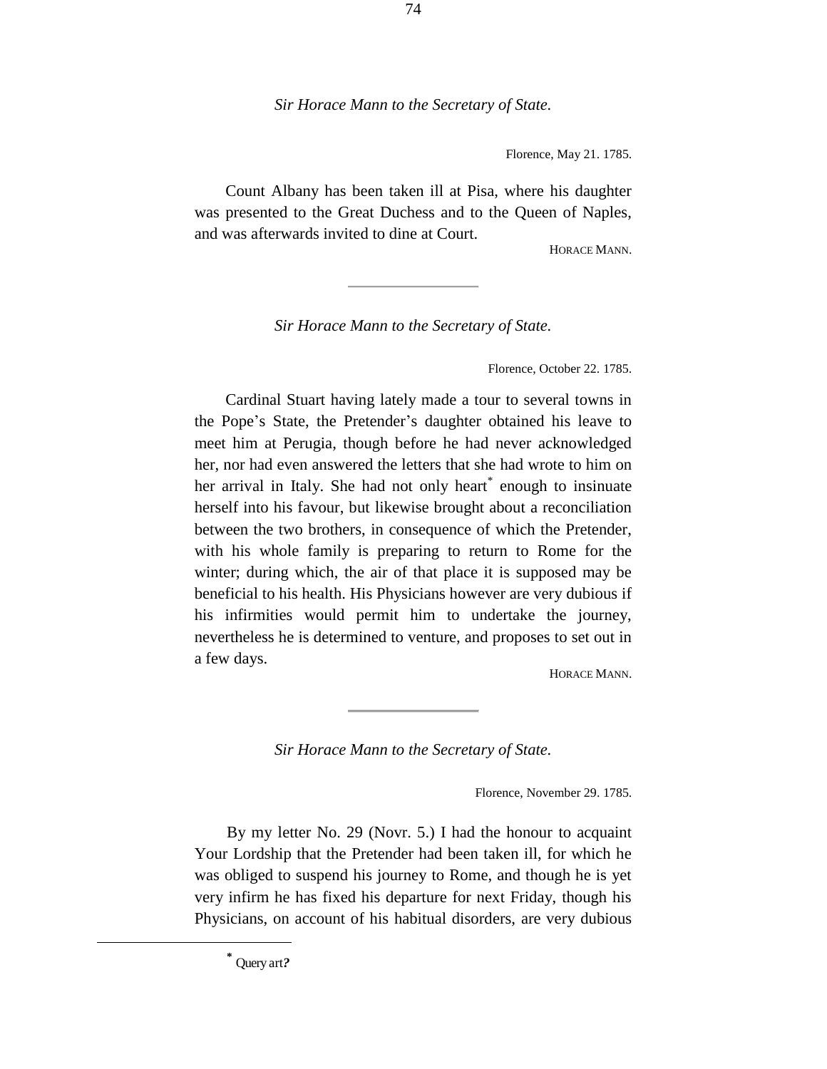### *Sir Horace Mann to the Secretary of State.*

Florence, May 21. 1785.

Count Albany has been taken ill at Pisa, where his daughter was presented to the Great Duchess and to the Queen of Naples, and was afterwards invited to dine at Court.

HORACE MANN.

*Sir Horace Mann to the Secretary of State.*

Florence, October 22. 1785.

Cardinal Stuart having lately made a tour to several towns in the Pope's State, the Pretender's daughter obtained his leave to meet him at Perugia, though before he had never acknowledged her, nor had even answered the letters that she had wrote to him on her arrival in Italy. She had not only heart\* enough to insinuate herself into his favour, but likewise brought about a reconciliation between the two brothers, in consequence of which the Pretender, with his whole family is preparing to return to Rome for the winter; during which, the air of that place it is supposed may be beneficial to his health. His Physicians however are very dubious if his infirmities would permit him to undertake the journey, nevertheless he is determined to venture, and proposes to set out in a few days.

HORACE MANN.

*Sir Horace Mann to the Secretary of State.*

Florence, November 29. 1785.

By my letter No. 29 (Novr. 5.) I had the honour to acquaint Your Lordship that the Pretender had been taken ill, for which he was obliged to suspend his journey to Rome, and though he is yet very infirm he has fixed his departure for next Friday, though his Physicians, on account of his habitual disorders, are very dubious

**\***

÷.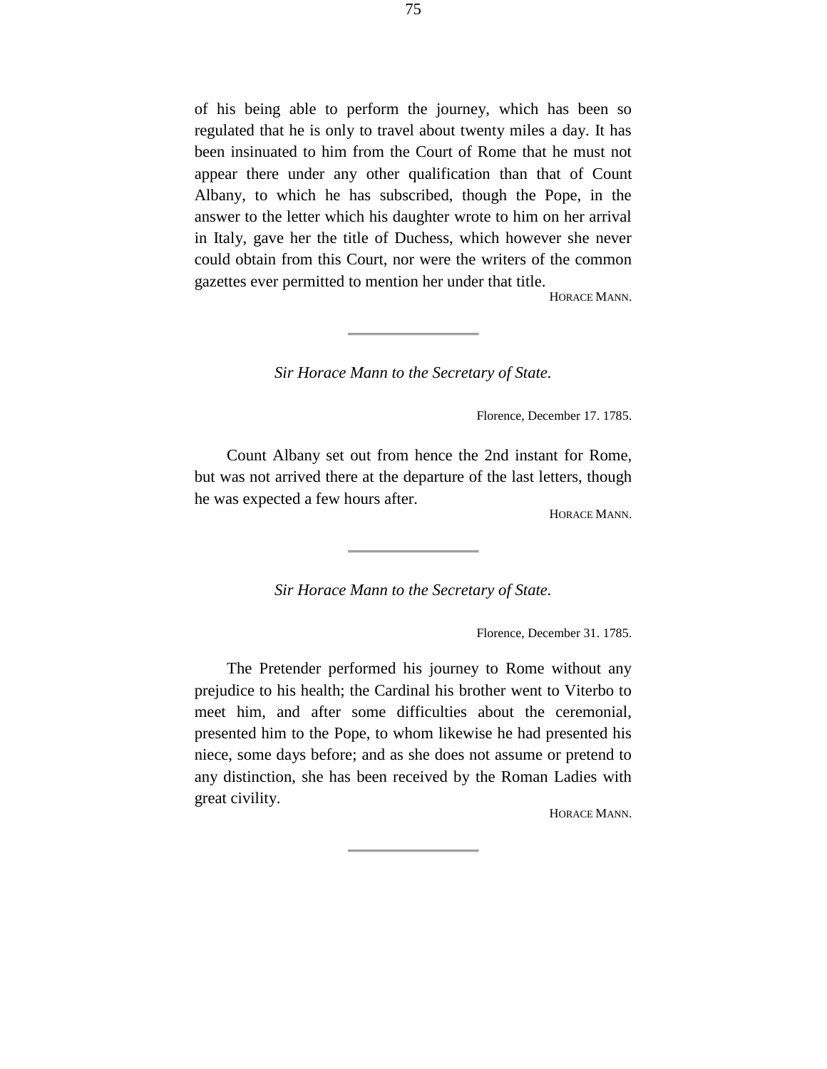of his being able to perform the journey, which has been so regulated that he is only to travel about twenty miles a day. It has been insinuated to him from the Court of Rome that he must not appear there under any other qualification than that of Count Albany, to which he has subscribed, though the Pope, in the answer to the letter which his daughter wrote to him on her arrival in Italy, gave her the title of Duchess, which however she never could obtain from this Court, nor were the writers of the common gazettes ever permitted to mention her under that title.

HORACE MANN.

*Sir Horace Mann to the Secretary of State.*

Florence, December 17. 1785.

Count Albany set out from hence the 2nd instant for Rome, but was not arrived there at the departure of the last letters, though he was expected a few hours after.

HORACE MANN.

*Sir Horace Mann to the Secretary of State.*

Florence, December 31. 1785.

The Pretender performed his journey to Rome without any prejudice to his health; the Cardinal his brother went to Viterbo to meet him, and after some difficulties about the ceremonial, presented him to the Pope, to whom likewise he had presented his niece, some days before; and as she does not assume or pretend to any distinction, she has been received by the Roman Ladies with great civility.

HORACE MANN.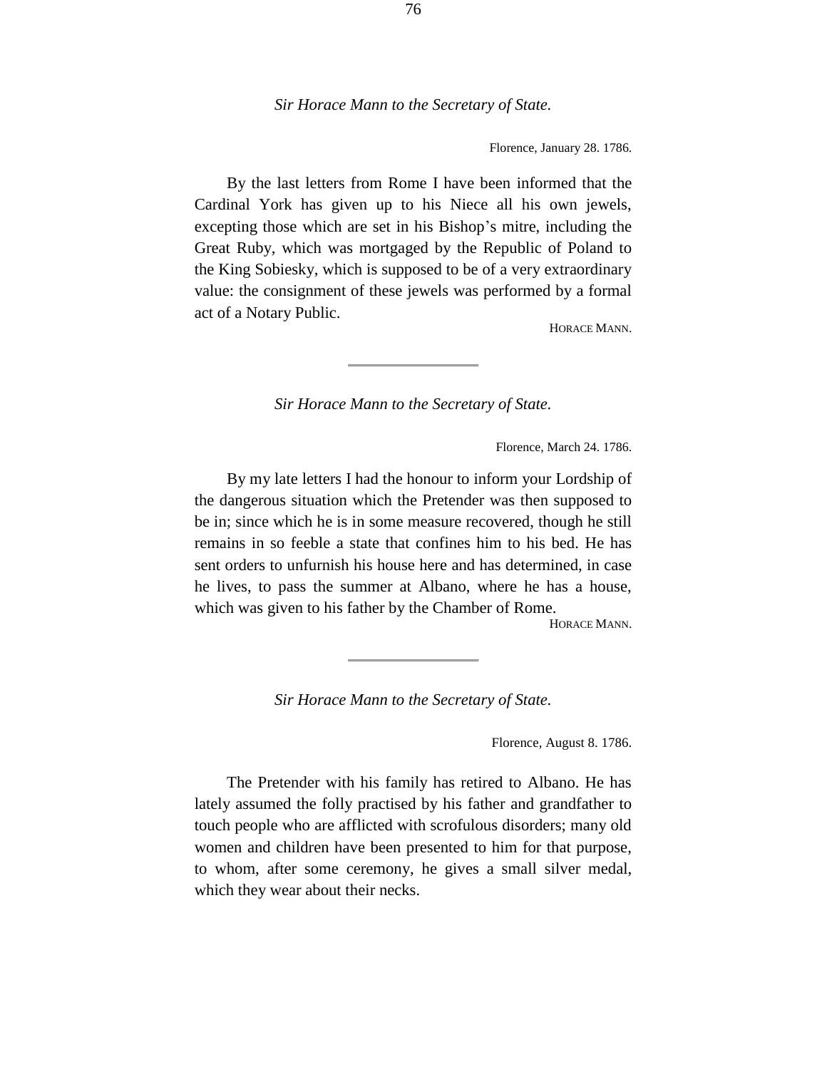### *Sir Horace Mann to the Secretary of State.*

Florence, January 28. 1786.

By the last letters from Rome I have been informed that the Cardinal York has given up to his Niece all his own jewels, excepting those which are set in his Bishop's mitre, including the Great Ruby, which was mortgaged by the Republic of Poland to the King Sobiesky, which is supposed to be of a very extraordinary value: the consignment of these jewels was performed by a formal act of a Notary Public.

HORACE MANN.

*Sir Horace Mann to the Secretary of State.*

Florence, March 24. 1786.

By my late letters I had the honour to inform your Lordship of the dangerous situation which the Pretender was then supposed to be in; since which he is in some measure recovered, though he still remains in so feeble a state that confines him to his bed. He has sent orders to unfurnish his house here and has determined, in case he lives, to pass the summer at Albano, where he has a house, which was given to his father by the Chamber of Rome.

HORACE MANN.

*Sir Horace Mann to the Secretary of State.*

Florence, August 8. 1786.

The Pretender with his family has retired to Albano. He has lately assumed the folly practised by his father and grandfather to touch people who are afflicted with scrofulous disorders; many old women and children have been presented to him for that purpose, to whom, after some ceremony, he gives a small silver medal, which they wear about their necks.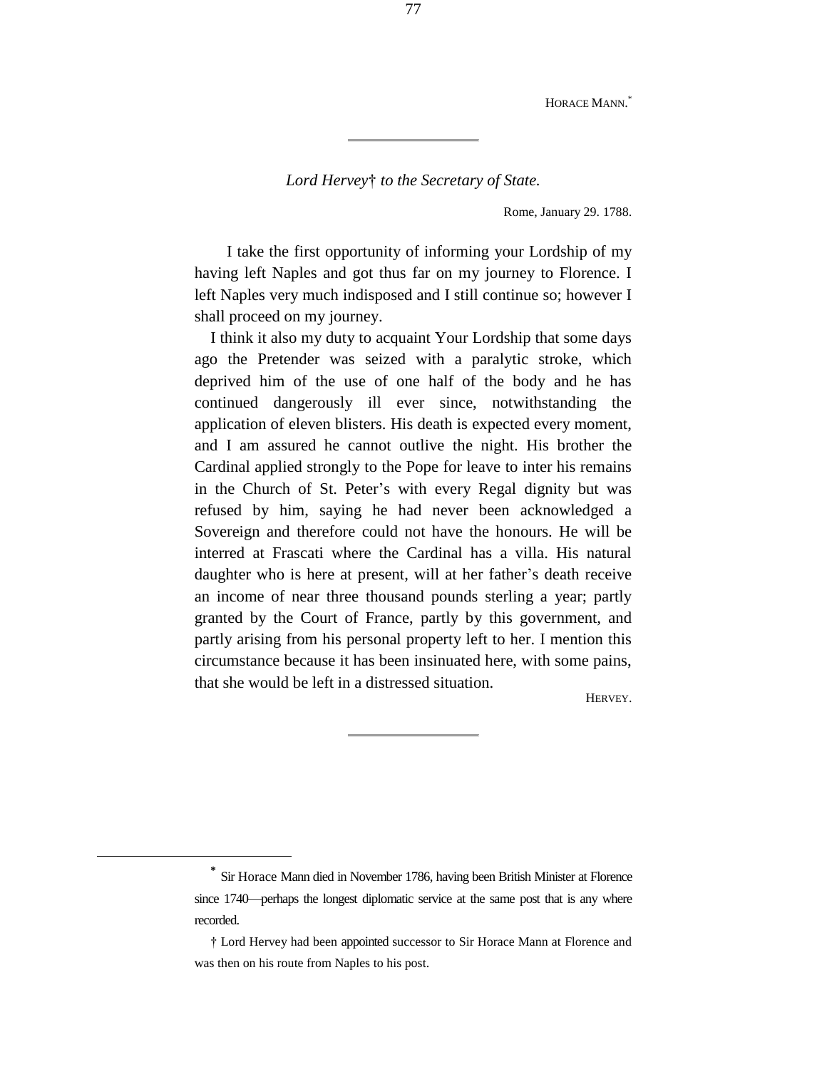HORACE MANN.<sup>\*</sup>

*Lord Hervey*† *to the Secretary of State.*

Rome, January 29. 1788.

I take the first opportunity of informing your Lordship of my having left Naples and got thus far on my journey to Florence. I left Naples very much indisposed and I still continue so; however I shall proceed on my journey.

I think it also my duty to acquaint Your Lordship that some days ago the Pretender was seized with a paralytic stroke, which deprived him of the use of one half of the body and he has continued dangerously ill ever since, notwithstanding the application of eleven blisters. His death is expected every moment, and I am assured he cannot outlive the night. His brother the Cardinal applied strongly to the Pope for leave to inter his remains in the Church of St. Peter's with every Regal dignity but was refused by him, saying he had never been acknowledged a Sovereign and therefore could not have the honours. He will be interred at Frascati where the Cardinal has a villa. His natural daughter who is here at present, will at her father's death receive an income of near three thousand pounds sterling a year; partly granted by the Court of France, partly by this government, and partly arising from his personal property left to her. I mention this circumstance because it has been insinuated here, with some pains, that she would be left in a distressed situation.

HERVEY.

÷.

**<sup>\*</sup>** Sir Horace Mann died in November 1786, having been British Minister at Florence since 1740—perhaps the longest diplomatic service at the same post that is any where recorded.

<sup>†</sup> Lord Hervey had been appointed successor to Sir Horace Mann at Florence and was then on his route from Naples to his post.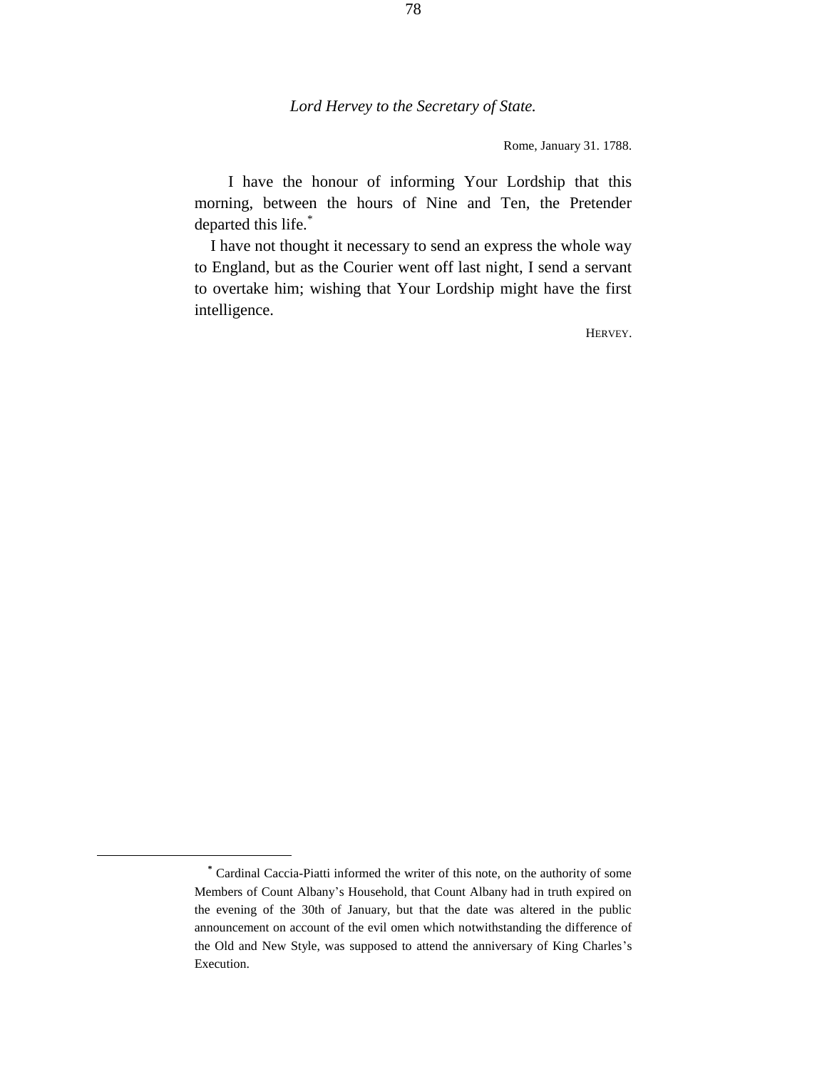# *Lord Hervey to the Secretary of State.*

Rome, January 31. 1788.

I have the honour of informing Your Lordship that this morning, between the hours of Nine and Ten, the Pretender departed this life.\*

I have not thought it necessary to send an express the whole way to England, but as the Courier went off last night, I send a servant to overtake him; wishing that Your Lordship might have the first intelligence.

HERVEY.

÷.

**<sup>\*</sup>** Cardinal Caccia-Piatti informed the writer of this note, on the authority of some Members of Count Albany's Household, that Count Albany had in truth expired on the evening of the 30th of January, but that the date was altered in the public announcement on account of the evil omen which notwithstanding the difference of the Old and New Style, was supposed to attend the anniversary of King Charles's Execution.